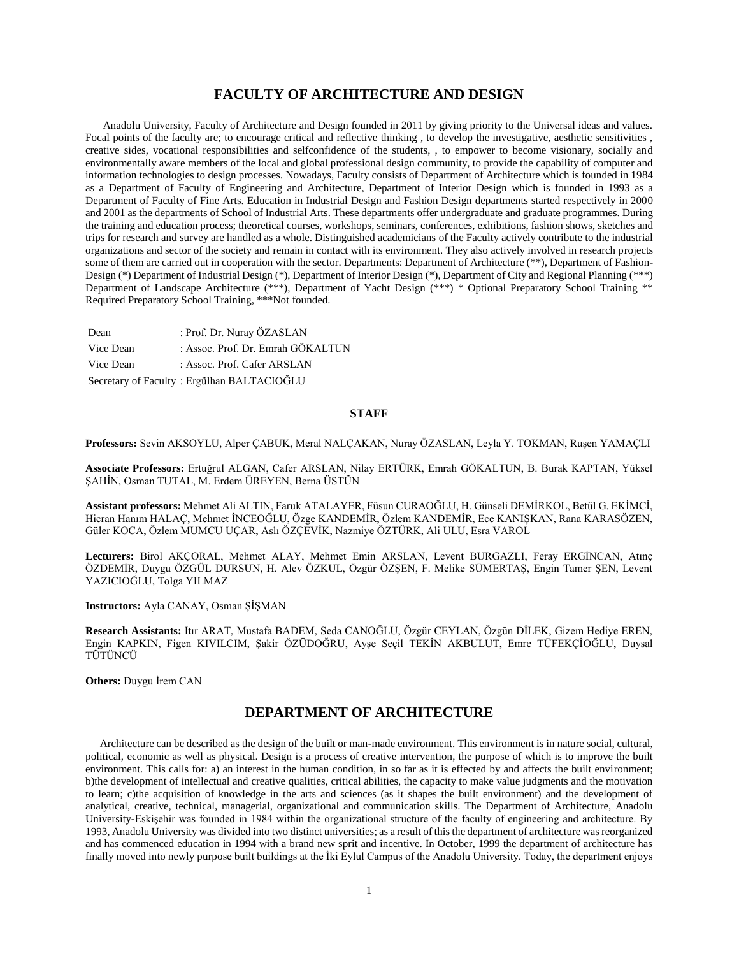## **FACULTY OF ARCHITECTURE AND DESIGN**

 Anadolu University, Faculty of Architecture and Design founded in 2011 by giving priority to the Universal ideas and values. Focal points of the faculty are; to encourage critical and reflective thinking, to develop the investigative, aesthetic sensitivities, creative sides, vocational responsibilities and selfconfidence of the students, , to empower to become visionary, socially and environmentally aware members of the local and global professional design community, to provide the capability of computer and information technologies to design processes. Nowadays, Faculty consists of Department of Architecture which is founded in 1984 as a Department of Faculty of Engineering and Architecture, Department of Interior Design which is founded in 1993 as a Department of Faculty of Fine Arts. Education in Industrial Design and Fashion Design departments started respectively in 2000 and 2001 as the departments of School of Industrial Arts. These departments offer undergraduate and graduate programmes. During the training and education process; theoretical courses, workshops, seminars, conferences, exhibitions, fashion shows, sketches and trips for research and survey are handled as a whole. Distinguished academicians of the Faculty actively contribute to the industrial organizations and sector of the society and remain in contact with its environment. They also actively involved in research projects some of them are carried out in cooperation with the sector. Departments: Department of Architecture (\*\*), Department of Fashion-Design (\*) Department of Industrial Design (\*), Department of Interior Design (\*), Department of City and Regional Planning (\*\*\*) Department of Landscape Architecture (\*\*\*), Department of Yacht Design (\*\*\*) \* Optional Preparatory School Training \*\* Required Preparatory School Training, \*\*\*Not founded.

Dean : Prof. Dr. Nuray ÖZASLAN Vice Dean : Assoc. Prof. Dr. Emrah GÖKALTUN Vice Dean : Assoc. Prof. Cafer ARSLAN Secretary of Faculty : Ergülhan BALTACIOĞLU

#### **STAFF**

**Professors:** Sevin AKSOYLU, Alper ÇABUK, Meral NALÇAKAN, Nuray ÖZASLAN, Leyla Y. TOKMAN, Ruşen YAMAÇLI

**Associate Professors:** Ertuğrul ALGAN, Cafer ARSLAN, Nilay ERTÜRK, Emrah GÖKALTUN, B. Burak KAPTAN, Yüksel ŞAHİN, Osman TUTAL, M. Erdem ÜREYEN, Berna ÜSTÜN

**Assistant professors:** Mehmet Ali ALTIN, Faruk ATALAYER, Füsun CURAOĞLU, H. Günseli DEMİRKOL, Betül G. EKİMCİ, Hicran Hanım HALAÇ, Mehmet İNCEOĞLU, Özge KANDEMİR, Özlem KANDEMİR, Ece KANIŞKAN, Rana KARASÖZEN, Güler KOCA, Özlem MUMCU UÇAR, Aslı ÖZÇEVİK, Nazmiye ÖZTÜRK, Ali ULU, Esra VAROL

**Lecturers:** Birol AKÇORAL, Mehmet ALAY, Mehmet Emin ARSLAN, Levent BURGAZLI, Feray ERGİNCAN, Atınç ÖZDEMİR, Duygu ÖZGÜL DURSUN, H. Alev ÖZKUL, Özgür ÖZŞEN, F. Melike SÜMERTAŞ, Engin Tamer ŞEN, Levent YAZICIOĞLU, Tolga YILMAZ

**Instructors:** Ayla CANAY, Osman ŞİŞMAN

**Research Assistants:** Itır ARAT, Mustafa BADEM, Seda CANOĞLU, Özgür CEYLAN, Özgün DİLEK, Gizem Hediye EREN, Engin KAPKIN, Figen KIVILCIM, Şakir ÖZÜDOĞRU, Ayşe Seçil TEKİN AKBULUT, Emre TÜFEKÇİOĞLU, Duysal TÜTÜNCÜ

**Others:** Duygu İrem CAN

## **DEPARTMENT OF ARCHITECTURE**

 Architecture can be described as the design of the built or man-made environment. This environment is in nature social, cultural, political, economic as well as physical. Design is a process of creative intervention, the purpose of which is to improve the built environment. This calls for: a) an interest in the human condition, in so far as it is effected by and affects the built environment; b)the development of intellectual and creative qualities, critical abilities, the capacity to make value judgments and the motivation to learn; c)the acquisition of knowledge in the arts and sciences (as it shapes the built environment) and the development of analytical, creative, technical, managerial, organizational and communication skills. The Department of Architecture, Anadolu University-Eskişehir was founded in 1984 within the organizational structure of the faculty of engineering and architecture. By 1993, Anadolu University was divided into two distinct universities; as a result of this the department of architecture was reorganized and has commenced education in 1994 with a brand new sprit and incentive. In October, 1999 the department of architecture has finally moved into newly purpose built buildings at the İki Eylul Campus of the Anadolu University. Today, the department enjoys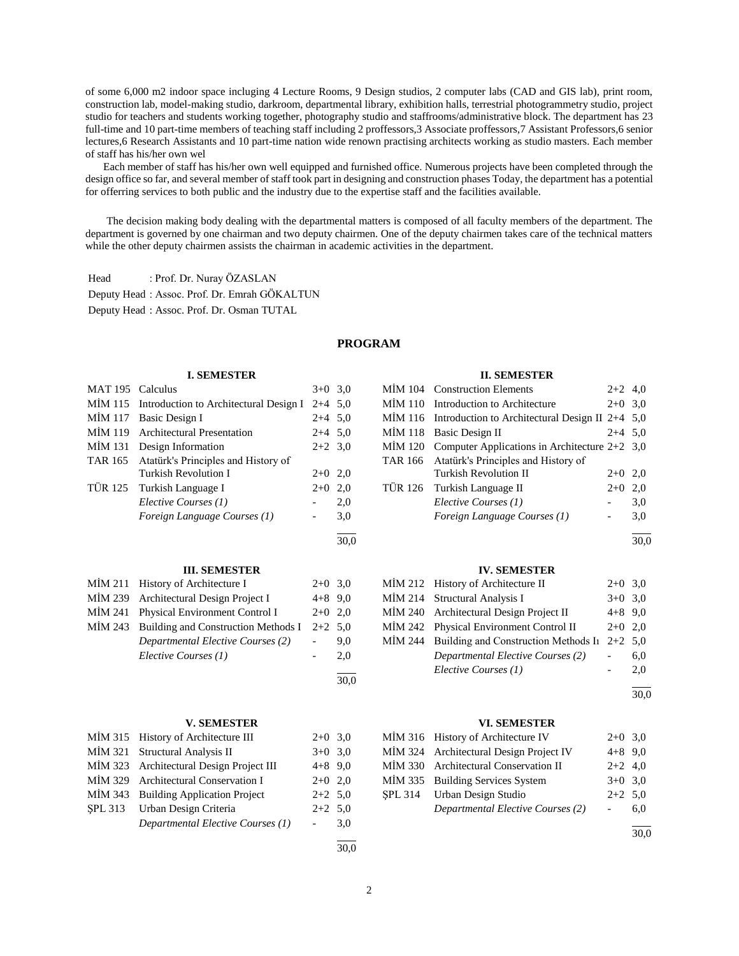of some 6,000 m2 indoor space incluging 4 Lecture Rooms, 9 Design studios, 2 computer labs (CAD and GIS lab), print room, construction lab, model-making studio, darkroom, departmental library, exhibition halls, terrestrial photogrammetry studio, project studio for teachers and students working together, photography studio and staffrooms/administrative block. The department has 23 full-time and 10 part-time members of teaching staff including 2 proffessors,3 Associate proffessors,7 Assistant Professors,6 senior lectures,6 Research Assistants and 10 part-time nation wide renown practising architects working as studio masters. Each member of staff has his/her own wel

 Each member of staff has his/her own well equipped and furnished office. Numerous projects have been completed through the design office so far, and several member of staff took part in designing and construction phases Today, the department has a potential for offerring services to both public and the industry due to the expertise staff and the facilities available.

 The decision making body dealing with the departmental matters is composed of all faculty members of the department. The department is governed by one chairman and two deputy chairmen. One of the deputy chairmen takes care of the technical matters while the other deputy chairmen assists the chairman in academic activities in the department.

Head : Prof. Dr. Nuray ÖZASLAN

Deputy Head : Assoc. Prof. Dr. Emrah GÖKALTUN

Deputy Head : Assoc. Prof. Dr. Osman TUTAL

## **PROGRAM**

#### **I. SEMESTER**  $MAT 105$  Calculus  $3+0.30$

| $N A \cup 2$   | Сансиних                               | J+V -     | J,U  |
|----------------|----------------------------------------|-----------|------|
| MIM 115        | Introduction to Architectural Design I | $2+4$ 5,0 |      |
| MİM 117        | Basic Design I                         | $2+4$ 5,0 |      |
| MİM 119        | <b>Architectural Presentation</b>      | $2+4$ 5,0 |      |
| MIM 131        | Design Information                     | $2+2$ 3,0 |      |
| <b>TAR 165</b> | Atatürk's Principles and History of    |           |      |
|                | Turkish Revolution I                   | $2+0$     | 2,0  |
| TÜR 125        | Turkish Language I                     | $2+0$     | 2,0  |
|                | Elective Courses (1)                   |           | 2,0  |
|                | Foreign Language Courses (1)           |           | 3,0  |
|                |                                        |           | 30,0 |
|                | <b>III. SEMESTER</b>                   |           |      |
| MİM 211        | History of Architecture I              | $2+0$     | 3,0  |
| MIM 239        | Architectural Design Project I         | $4 + 8$   | 9,0  |
| MİM 241        | Physical Environment Control I         | $2+0$     | 2,0  |
| MIM 243        | Building and Construction Methods I    | $2+2$     | 5,0  |
|                | Departmental Elective Courses (2)      |           | 9,0  |
|                | Elective Courses (1)                   |           | 2,0  |
|                |                                        |           | 30.0 |

#### **V. SEMESTER**

| MİM 315 History of Architecture III      | $2+0$ 3,0 |     |
|------------------------------------------|-----------|-----|
| MİM 321 Structural Analysis II           | $3+0$ 3.0 |     |
| MIM 323 Architectural Design Project III | $4+8$ 9.0 |     |
| MIM 329 Architectural Conservation I     | $2+0$ 2,0 |     |
| MIM 343 Building Application Project     | $2+2$ 5,0 |     |
| SPL 313 Urban Design Criteria            | $2+2$ 5,0 |     |
| Departmental Elective Courses (1)        |           | 3,0 |
|                                          |           |     |

# **II. SEMESTER**

| MİM 104 Construction Elements                             | $2+2$ 4,0 |     |
|-----------------------------------------------------------|-----------|-----|
| MIM 110 Introduction to Architecture                      | $2+0$ 3,0 |     |
| MIM 116 Introduction to Architectural Design II $2+4$ 5,0 |           |     |
| MIM 118 Basic Design II                                   | $2+4$ 5,0 |     |
| MİM 120 Computer Applications in Architecture $2+2$ 3,0   |           |     |
| TAR 166 Atatürk's Principles and History of               |           |     |
| <b>Turkish Revolution II</b>                              | $2+0$ 2,0 |     |
| TÜR 126 Turkish Language II                               | $2+0$     | 2,0 |
| Elective Courses (1)                                      |           | 3,0 |
| Foreign Language Courses (1)                              |           | 3,0 |
|                                                           |           |     |

30,0

#### **IV. SEMESTER**

| MIM 212 History of Architecture II                     | $2+0$ 3,0 |     |
|--------------------------------------------------------|-----------|-----|
| MIM 214 Structural Analysis I                          | $3+0$ 3.0 |     |
| MIM 240 Architectural Design Project II                | $4+8$ 9.0 |     |
| MİM 242 Physical Environment Control II                | $2+0$ 2.0 |     |
| MİM 244 Building and Construction Methods In $2+2$ 5,0 |           |     |
| Departmental Elective Courses (2)                      |           | 6.0 |
| Elective Courses (1)                                   |           | 2.0 |

l 30,0

#### **VI. SEMESTER**

| MIM 316 History of Architecture IV      | $2+0$ 3.0      |     |
|-----------------------------------------|----------------|-----|
| MIM 324 Architectural Design Project IV | $4+8$ 9.0      |     |
| MİM 330 Architectural Conservation II   | $2+2$ 4,0      |     |
| MIM 335 Building Services System        | $3+0$ 3,0      |     |
| SPL 314 Urban Design Studio             | $2+2$ 5.0      |     |
| Departmental Elective Courses (2)       | $\sim 10^{-1}$ | 6.0 |
|                                         |                |     |

30,0

30,0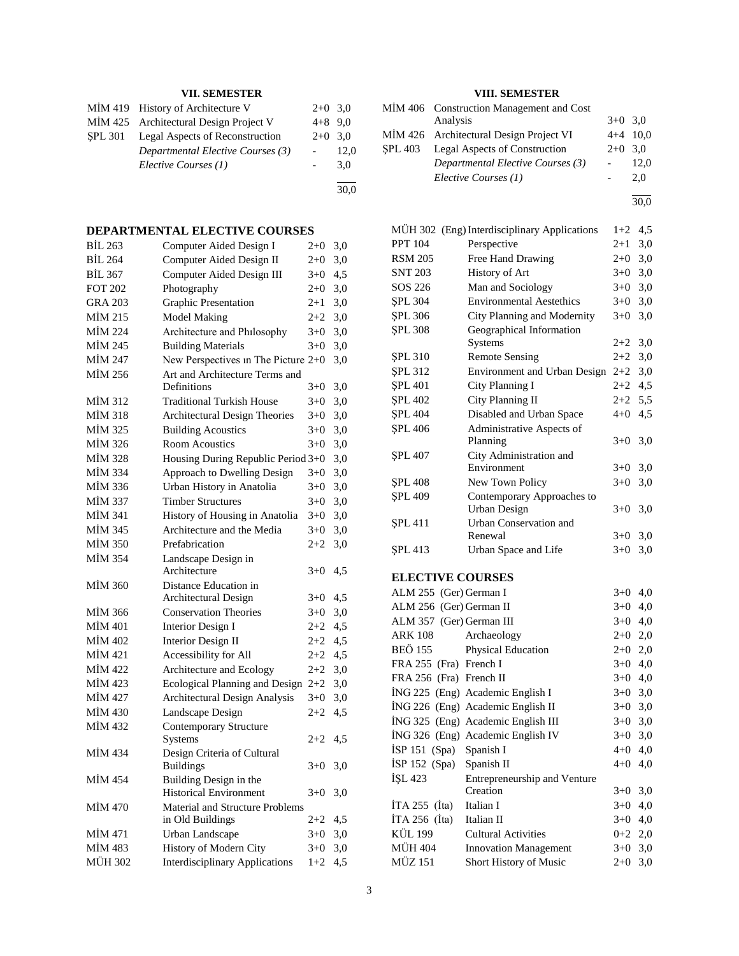## **VII. SEMESTER**

|         | MIM 419 History of Architecture V      | $2+0$ 3.0 |      | М  |
|---------|----------------------------------------|-----------|------|----|
|         | MIM 425 Architectural Design Project V | $4+8$ 9.0 |      |    |
| SPL 301 | Legal Aspects of Reconstruction        | $2+0$ 3.0 |      | M  |
|         | Departmental Elective Courses (3)      |           | 12.0 | SF |
|         | Elective Courses (1)                   |           | 3.0  |    |
|         |                                        |           | 30,0 |    |

## **DEPARTMENTAL ELECTIVE COURSES**

| <b>BIL 263</b> | Computer Aided Design I                | $2 + 0$          | 3,0 |
|----------------|----------------------------------------|------------------|-----|
| <b>BIL 264</b> | Computer Aided Design II               | $2 + 0$          | 3,0 |
| <b>BİL 367</b> | Computer Aided Design III              | $3+0$            | 4,5 |
| <b>FOT 202</b> | Photography                            | $2 + 0$          | 3,0 |
| <b>GRA 203</b> | <b>Graphic Presentation</b>            | $2 + 1$          | 3,0 |
| MIM 215        | <b>Model Making</b>                    | $2 + 2$          | 3,0 |
| MİM 224        | Architecture and Philosophy            | $3 + 0$          | 3,0 |
| MİM 245        | <b>Building Materials</b>              | $3+0$            | 3,0 |
| MİM 247        | New Perspectives in The Picture 2+0    |                  | 3,0 |
| MİM 256        | Art and Architecture Terms and         |                  |     |
|                | Definitions                            | $3+0$            | 3,0 |
| MİM 312        | <b>Traditional Turkish House</b>       | $3+0$            | 3,0 |
| MIM 318        | <b>Architectural Design Theories</b>   | $3+0$            | 3,0 |
| MİM 325        | <b>Building Acoustics</b>              | $3+0$            | 3,0 |
| MİM 326        | <b>Room Acoustics</b>                  | $3+0$            | 3,0 |
| MİM 328        | Housing During Republic Period 3+0     |                  | 3,0 |
| MİM 334        | Approach to Dwelling Design            | $3+0$            | 3,0 |
| MİM 336        | Urban History in Anatolia              | $3+0$            | 3,0 |
| MİM 337        | <b>Timber Structures</b>               | $3+0$            | 3,0 |
| MİM 341        | History of Housing in Anatolia         | $3+0$            | 3,0 |
| MİM 345        | Architecture and the Media             | $3+0$            | 3,0 |
| MİM 350        | Prefabrication                         | $2 + 2$          | 3,0 |
| <b>MİM 354</b> | Landscape Design in                    |                  |     |
|                | Architecture                           | $3+0$            | 4,5 |
| <b>MIM 360</b> | Distance Education in                  |                  |     |
|                | Architectural Design                   | $3+0$            | 4,5 |
| MIM 366        | <b>Conservation Theories</b>           | $3+0$            | 3,0 |
| <b>MİM 401</b> | Interior Design I                      | $2 + 2$          | 4,5 |
| MİM 402        | <b>Interior Design II</b>              | $2+2$            | 4,5 |
| MİM 421        | Accessibility for All                  | $2 + 2$          | 4,5 |
| MİM 422        | Architecture and Ecology               | $2 + 2$          | 3,0 |
| MİM 423        | Ecological Planning and Design         | $2 + 2$          | 3,0 |
| MİM 427        | Architectural Design Analysis          | $3+0$            | 3,0 |
| MİM 430        | Landscape Design                       | $2 + 2$          | 4,5 |
| MİM 432        | <b>Contemporary Structure</b>          |                  |     |
|                | Systems                                | $2+2$            | 4,5 |
| MİM 434        | Design Criteria of Cultural            |                  |     |
|                | <b>Buildings</b>                       | $3+0$            | 3,0 |
| <b>MİM 454</b> | Building Design in the                 |                  |     |
|                | <b>Historical Environment</b>          | $3+0$            | 3,0 |
| MİM 470        | <b>Material and Structure Problems</b> |                  |     |
| MIM 471        | in Old Buildings                       | $2 + 2$<br>$3+0$ | 4,5 |
|                | Urban Landscape                        |                  | 3,0 |
| MİM 483        | History of Modern City                 | $3+0$            | 3,0 |
| MÜH 302        | <b>Interdisciplinary Applications</b>  | $1+2$            | 4,5 |

## **VIII. SEMESTER**

|                |                | VIII. SEMESTER                           |           |            |
|----------------|----------------|------------------------------------------|-----------|------------|
|                |                | MIM 406 Construction Management and Cost |           |            |
|                |                | Analysis                                 | $3+0$ 3,0 |            |
|                |                | MIM 426 Architectural Design Project VI  |           | $4+4$ 10,0 |
|                | <b>SPL 403</b> | Legal Aspects of Construction            | $2+0$ 3.0 |            |
|                |                | Departmental Elective Courses (3)        |           | 12.0       |
|                |                | Elective Courses (1)                     |           | 2,0        |
| $\overline{0}$ |                |                                          |           |            |

30,0

|                          | MÜH 302 (Eng) Interdisciplinary Applications | $1+2$     | 4,5 |
|--------------------------|----------------------------------------------|-----------|-----|
| <b>PPT 104</b>           | Perspective                                  | $2+1$     | 3,0 |
| <b>RSM 205</b>           | Free Hand Drawing                            | $2 + 0$   | 3,0 |
| <b>SNT 203</b>           | History of Art                               | $3+0$ 3,0 |     |
| SOS 226                  | Man and Sociology                            | $3 + 0$   | 3,0 |
| <b>SPL 304</b>           | <b>Environmental Aestethics</b>              | $3 + 0$   | 3,0 |
| <b>SPL 306</b>           | City Planning and Modernity                  | $3+0$     | 3,0 |
| <b>SPL 308</b>           | Geographical Information                     |           |     |
|                          | Systems                                      | $2+2$     | 3,0 |
| <b>SPL 310</b>           | <b>Remote Sensing</b>                        | $2 + 2$   | 3,0 |
| <b>SPL 312</b>           | Environment and Urban Design                 | $2 + 2$   | 3,0 |
| <b>SPL 401</b>           | City Planning I                              | $2 + 2$   | 4,5 |
| <b>SPL 402</b>           | City Planning II                             | $2 + 2$   | 5,5 |
| <b>SPL 404</b>           | Disabled and Urban Space                     | $4 + 0$   | 4,5 |
| <b>SPL 406</b>           | Administrative Aspects of                    |           |     |
|                          | Planning                                     | $3+0$     | 3,0 |
| <b>SPL 407</b>           | City Administration and                      |           |     |
|                          | Environment                                  | $3+0$     | 3,0 |
| <b>ŞPL 408</b>           | New Town Policy                              | $3+0$     | 3,0 |
| <b>SPL 409</b>           | Contemporary Approaches to                   |           |     |
|                          | <b>Urban Design</b>                          | $3+0$     | 3,0 |
| ŞPL 411                  | Urban Conservation and                       |           |     |
|                          | Renewal                                      | $3+0$     | 3,0 |
| <b>SPL 413</b>           | Urban Space and Life                         | $3 + 0$   | 3,0 |
| <b>ELECTIVE COURSES</b>  |                                              |           |     |
| ALM 255 (Ger) German I   |                                              | $3+0$     | 4,0 |
| ALM 256 (Ger) German II  |                                              | $3+0$     | 4,0 |
| ALM 357 (Ger) German III |                                              | $3+0$ 4,0 |     |
| <b>ARK 108</b>           | Archaeology                                  | $2+0$ 2,0 |     |
| <b>BEÖ 155</b>           | Physical Education                           | $2+0$ 2,0 |     |
| FRA 255 (Fra) French I   |                                              | $3+0$ 4,0 |     |
| FRA 256 (Fra) French II  |                                              | $3+0$ 4,0 |     |
|                          | İNG 225 (Eng) Academic English I             | $3+0$ 3,0 |     |
|                          | İNG 226 (Eng) Academic English II            | $3+0$ 3,0 |     |
|                          | İNG 325 (Eng) Academic English III           | $3+0$ 3,0 |     |
|                          | İNG 326 (Eng) Academic English IV            | $3+0$ 3,0 |     |
| İSP 151 (Spa) Spanish I  |                                              | $4+0$ 4,0 |     |
| İSP 152 (Spa) Spanish II |                                              | $4+0$ 4,0 |     |
| ISL 423                  | Entrepreneurship and Venture                 |           |     |
|                          | Creation                                     | $3+0$     | 3,0 |
| İTA 255 (İta)            | Italian I                                    | $3+0$     | 4,0 |
| $ITA 256$ (Ita)          | Italian II                                   | $3+0$     | 4,0 |
| KÜL 199                  | <b>Cultural Activities</b>                   | $0 + 2$   | 2,0 |
| <b>MÜH 404</b>           | <b>Innovation Management</b>                 | $3+0$     | 3,0 |
| MÜZ 151                  | Short History of Music                       | $2+0$     | 3,0 |
|                          |                                              |           |     |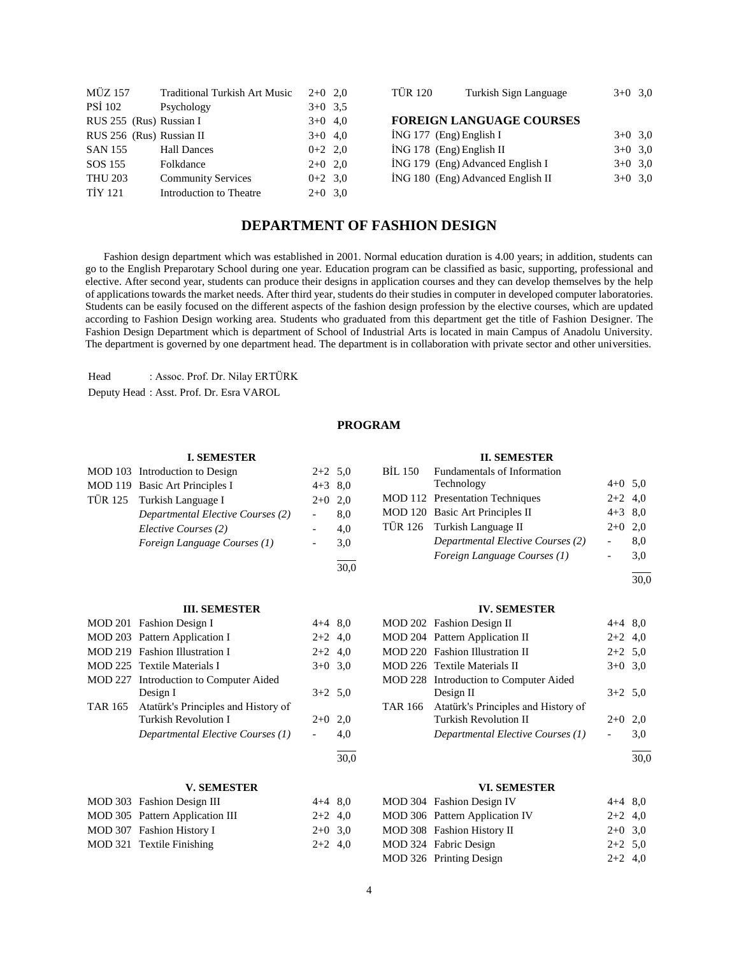| <b>MÜZ 157</b>           | <b>Traditional Turkish Art Music</b> | $2+0$ 2.0 | <b>TÜR 120</b>             | Turkish Sign Language             | $3+0$ 3.0 |  |
|--------------------------|--------------------------------------|-----------|----------------------------|-----------------------------------|-----------|--|
| PSİ 102                  | Psychology                           | $3+0$ 3.5 |                            |                                   |           |  |
| RUS 255 (Rus) Russian I  |                                      | $3+0$ 4,0 |                            | <b>FOREIGN LANGUAGE COURSES</b>   |           |  |
| RUS 256 (Rus) Russian II |                                      | $3+0$ 4,0 | $ING 177$ (Eng) English I  |                                   | $3+0$ 3.0 |  |
| <b>SAN 155</b>           | <b>Hall Dances</b>                   | $0+2$ 2.0 | $ING 178$ (Eng) English II |                                   | $3+0$ 3,0 |  |
| SOS 155                  | Folkdance                            | $2+0$ 2.0 |                            | ING 179 (Eng) Advanced English I  | $3+0$ 3.0 |  |
| <b>THU 203</b>           | <b>Community Services</b>            | $0+2$ 3.0 |                            | ING 180 (Eng) Advanced English II | $3+0$ 3.0 |  |
| <b>TİY 121</b>           | Introduction to Theatre              | $2+0$ 3.0 |                            |                                   |           |  |

## **DEPARTMENT OF FASHION DESIGN**

 Fashion design department which was established in 2001. Normal education duration is 4.00 years; in addition, students can go to the English Preparotary School during one year. Education program can be classified as basic, supporting, professional and elective. After second year, students can produce their designs in application courses and they can develop themselves by the help of applications towards the market needs. After third year, students do their studies in computer in developed computer laboratories. Students can be easily focused on the different aspects of the fashion design profession by the elective courses, which are updated according to Fashion Design working area. Students who graduated from this department get the title of Fashion Designer. The Fashion Design Department which is department of School of Industrial Arts is located in main Campus of Anadolu University. The department is governed by one department head. The department is in collaboration with private sector and other universities.

Head : Assoc. Prof. Dr. Nilay ERTÜRK Deputy Head : Asst. Prof. Dr. Esra VAROL

## **PROGRAM**

30,0

#### **I. SEMESTER**

| MOD 103 Introduction to Design    | $2+2$ 5,0 |     |
|-----------------------------------|-----------|-----|
| MOD 119 Basic Art Principles I    | $4+3$ 8,0 |     |
| TÜR 125 Turkish Language I        | $2+0$ 2,0 |     |
| Departmental Elective Courses (2) |           | 8,0 |
| Elective Courses (2)              |           | 4.0 |
| Foreign Language Courses (1)      |           | 3.0 |
|                                   |           |     |

#### **III. SEMESTER**

| MOD 201 Fashion Design I                    | $4+4$ 8.0 |      |
|---------------------------------------------|-----------|------|
| MOD 203 Pattern Application I               | $2+2$ 4,0 |      |
| MOD 219 Fashion Illustration I              | $2+2$ 4,0 |      |
| MOD 225 Textile Materials I                 | $3+0$ 3.0 |      |
| MOD 227 Introduction to Computer Aided      |           |      |
| Design I                                    | $3+2$ 5.0 |      |
| TAR 165 Atatürk's Principles and History of |           |      |
| <b>Turkish Revolution I</b>                 | $2+0$     | 2,0  |
| Departmental Elective Courses (1)           |           | 4.0  |
|                                             |           | 30.0 |

#### **V. SEMESTER**

| MOD 303 Fashion Design III      | $4+4$ 8.0 |  |
|---------------------------------|-----------|--|
| MOD 305 Pattern Application III | $2+2$ 4.0 |  |
| MOD 307 Fashion History I       | $2+0$ 3.0 |  |
| MOD 321 Textile Finishing       | $2+2$ 4.0 |  |

#### **II. SEMESTER**

|                                 | BIL 150 Fundamentals of Information |           |     |
|---------------------------------|-------------------------------------|-----------|-----|
|                                 | Technology                          | $4+0$ 5.0 |     |
|                                 | MOD 112 Presentation Techniques     | $2+2$ 4.0 |     |
| MOD 120 Basic Art Principles II |                                     | $4+3$ 8,0 |     |
|                                 | TÜR 126 Turkish Language II         | $2+0$     | 2.0 |
|                                 | Departmental Elective Courses (2)   |           | 8,0 |
|                                 | Foreign Language Courses (1)        |           | 3,0 |
|                                 |                                     |           |     |

30,0

#### **IV. SEMESTER**

| MOD 202 Fashion Design II                   | $4+4$ 8.0 |     |
|---------------------------------------------|-----------|-----|
| MOD 204 Pattern Application II              | $2+2$ 4,0 |     |
| <b>MOD 220</b> Fashion Illustration II      | $2+2$ 5,0 |     |
| MOD 226 Textile Materials II                | $3+0$ 3,0 |     |
| MOD 228 Introduction to Computer Aided      |           |     |
| Design II                                   | $3+2$ 5,0 |     |
| TAR 166 Atatürk's Principles and History of |           |     |
| <b>Turkish Revolution II</b>                | $2+0$     | 2,0 |
| Departmental Elective Courses (1)           |           | 3,0 |
|                                             |           |     |

30,0

#### **VI. SEMESTER**

| MOD 304 Fashion Design IV      | $4+4$ 8.0 |  |
|--------------------------------|-----------|--|
| MOD 306 Pattern Application IV | $2+2$ 4.0 |  |
| MOD 308 Fashion History II     | $2+0$ 3.0 |  |
| MOD 324 Fabric Design          | $2+2$ 5.0 |  |
| MOD 326 Printing Design        | $2+2$ 4.0 |  |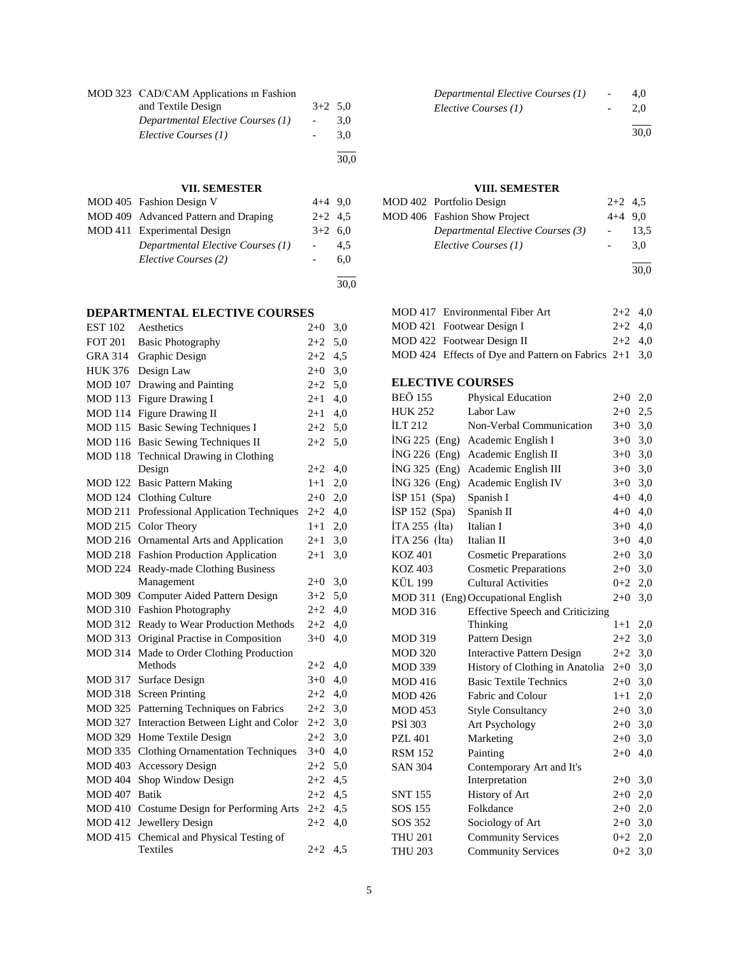| MOD 323 CAD/CAM Applications in Fashion |                          |      |
|-----------------------------------------|--------------------------|------|
| and Textile Design                      | $3+2$ 5.0                |      |
| Departmental Elective Courses (1)       | $\overline{\phantom{a}}$ | 3.0  |
| Elective Courses (1)                    |                          | 3.0  |
|                                         |                          | 30.0 |

## **VII. SEMESTER**

| MOD 405 Fashion Design V             | $4+4$ 9.0 |      |
|--------------------------------------|-----------|------|
| MOD 409 Advanced Pattern and Draping | $2+2$ 4.5 |      |
| MOD 411 Experimental Design          | $3+2$ 6.0 |      |
| Departmental Elective Courses (1)    |           | 4.5  |
| Elective Courses (2)                 |           | 6,0  |
|                                      |           |      |
|                                      |           | 30,0 |

**DEPARTMENTAL ELECTIVE COURSES**

| <b>EST 102</b> | Aesthetics                               | $2 + 0$  | 3,0 |
|----------------|------------------------------------------|----------|-----|
| <b>FOT 201</b> | <b>Basic Photography</b>                 | $2 + 2$  | 5,0 |
| <b>GRA 314</b> | Graphic Design                           | $2 + 2$  | 4,5 |
| <b>HUK 376</b> | Design Law                               | $2 + 0$  | 3,0 |
| <b>MOD 107</b> | Drawing and Painting                     | $2 + 2$  | 5,0 |
| <b>MOD 113</b> | Figure Drawing I                         | $2 + 1$  | 4,0 |
| <b>MOD 114</b> | Figure Drawing II                        | 2+1      | 4,0 |
| <b>MOD</b> 115 | <b>Basic Sewing Techniques I</b>         | $2 + 2$  | 5,0 |
| <b>MOD</b> 116 | <b>Basic Sewing Techniques II</b>        | $2 + 2$  | 5,0 |
| <b>MOD 118</b> | Technical Drawing in Clothing            |          |     |
|                | Design                                   | $2 + 2$  | 4,0 |
| MOD 122        | <b>Basic Pattern Making</b>              | 1+1      | 2,0 |
| <b>MOD 124</b> | <b>Clothing Culture</b>                  | $2+0$    | 2,0 |
| <b>MOD 211</b> | Professional Application Techniques      | 2+2      | 4,0 |
| MOD 215        | Color Theory                             | $1+1$    | 2,0 |
| MOD 216        | Ornamental Arts and Application          | $^{2+1}$ | 3,0 |
| <b>MOD 218</b> | <b>Fashion Production Application</b>    | $^{2+1}$ | 3,0 |
| <b>MOD 224</b> | Ready-made Clothing Business             |          |     |
|                | Management                               | $2+0$    | 3,0 |
| <b>MOD 309</b> | Computer Aided Pattern Design            | $3+2$    | 5,0 |
| <b>MOD 310</b> | <b>Fashion Photography</b>               | $2 + 2$  | 4,0 |
| <b>MOD 312</b> | Ready to Wear Production Methods         | $2 + 2$  | 4,0 |
| <b>MOD 313</b> | Original Practise in Composition         |          | 4,0 |
| <b>MOD 314</b> | Made to Order Clothing Production        |          |     |
|                | Methods                                  | $2 + 2$  | 4,0 |
| <b>MOD 317</b> | Surface Design                           | $3+0$    | 4,0 |
| <b>MOD 318</b> | <b>Screen Printing</b>                   | $2 + 2$  | 4,0 |
| <b>MOD 325</b> | Patterning Techniques on Fabrics         | $2+2$    | 3,0 |
| <b>MOD 327</b> | Interaction Between Light and Color      | $2 + 2$  | 3,0 |
| <b>MOD 329</b> | Home Textile Design                      | $2 + 2$  | 3,0 |
| MOD 335        | <b>Clothing Ornamentation Techniques</b> | $3+0$    | 4,0 |
| <b>MOD 403</b> | <b>Accessory Design</b>                  | $2 + 2$  | 5,0 |
| <b>MOD 404</b> | Shop Window Design                       | $2 + 2$  | 4,5 |
| <b>MOD 407</b> | <b>Batik</b>                             | $2+2$    | 4,5 |
| <b>MOD 410</b> | Costume Design for Performing Arts       | $2 + 2$  | 4,5 |
| <b>MOD 412</b> | Jewellery Design                         | $2 + 2$  | 4,0 |
| <b>MOD 415</b> | Chemical and Physical Testing of         |          |     |
|                | Textiles                                 | $2 + 2$  | 4,5 |

| Departmental Elective Courses (1) | $\overline{a}$ | 4.0 |
|-----------------------------------|----------------|-----|
| Elective Courses (1)              |                | 2.0 |
|                                   |                |     |

30,0

## **VIII. SEMESTER**

| MOD 402 Portfolio Design          | $2+2$ 4.5                |      |
|-----------------------------------|--------------------------|------|
| MOD 406 Fashion Show Project      | $4+4$ 9.0                |      |
| Departmental Elective Courses (3) | $\overline{\phantom{a}}$ | 13.5 |
| Elective Courses (1)              |                          | 3.0  |
|                                   |                          |      |

30,0

| MOD 417 Environmental Fiber Art                         | $2+2$ 4.0 |  |
|---------------------------------------------------------|-----------|--|
| MOD 421 Footwear Design I                               | $2+2$ 4.0 |  |
| MOD 422 Footwear Design II                              | $2+2$ 4.0 |  |
| MOD 424 Effects of Dye and Pattern on Fabrics $2+1$ 3,0 |           |  |
|                                                         |           |  |

## **ELECTIVE COURSES**

| <b>BEÖ 155</b>  | Physical Education                      | $2+0$   | 2,0   |
|-----------------|-----------------------------------------|---------|-------|
| <b>HUK 252</b>  | Labor Law                               | $2+0$   | 2,5   |
| <b>ILT 212</b>  | Non-Verbal Communication                | $3+0$   | 3,0   |
| İNG 225 (Eng)   | Academic English I                      | $3+0$   | 3,0   |
| $ING 226$ (Eng) | Academic English II                     | $3+0$   | $3,0$ |
| İNG 325 (Eng)   | Academic English III                    | $3+0$   | 3,0   |
| İNG 326 (Eng)   | Academic English IV                     | $3+0$   | 3,0   |
| İSP 151 (Spa)   | Spanish I                               | $4 + 0$ | 4,0   |
| $ISP 152$ (Spa) | Spanish II                              | $4 + 0$ | 4,0   |
| $ITA 255$ (Ita) | Italian I                               | $3+0$   | 4,0   |
| ITA 256 $(Ita)$ | Italian II                              | $3+0$   | 4,0   |
| <b>KOZ 401</b>  | <b>Cosmetic Preparations</b>            | $2 + 0$ | 3,0   |
| <b>KOZ 403</b>  | <b>Cosmetic Preparations</b>            | $2+0$   | 3,0   |
| KÜL 199         | <b>Cultural Activities</b>              | $0 + 2$ | 2,0   |
|                 | MOD 311 (Eng) Occupational English      | $2 + 0$ | 3,0   |
| <b>MOD 316</b>  | <b>Effective Speech and Criticizing</b> |         |       |
|                 | Thinking                                | $1 + 1$ | 2,0   |
| <b>MOD 319</b>  | Pattern Design                          | $2+2$   | 3,0   |
| <b>MOD 320</b>  | <b>Interactive Pattern Design</b>       | $2 + 2$ | 3,0   |
| <b>MOD 339</b>  | History of Clothing in Anatolia         | $2+0$   | 3,0   |
| <b>MOD 416</b>  | <b>Basic Textile Technics</b>           | $2+0$   | 3,0   |
| <b>MOD 426</b>  | Fabric and Colour                       | $1+1$   | 2,0   |
| <b>MOD 453</b>  | <b>Style Consultancy</b>                | $2+0$   | 3,0   |
| <b>PSI 303</b>  | Art Psychology                          | $2+0$   | 3,0   |
| <b>PZL 401</b>  | Marketing                               | $2+0$   | 3,0   |
| <b>RSM 152</b>  | Painting                                | $2 + 0$ | 4,0   |
| <b>SAN 304</b>  | Contemporary Art and It's               |         |       |
|                 | Interpretation                          | $2+0$   | 3,0   |
| <b>SNT 155</b>  | History of Art                          | $2+0$   | 2,0   |
| SOS 155         | Folkdance                               | $2+0$   | 2,0   |
| SOS 352         | Sociology of Art                        | $2 + 0$ | 3,0   |
| <b>THU 201</b>  | <b>Community Services</b>               | $0 + 2$ | 2,0   |
| <b>THU 203</b>  | <b>Community Services</b>               | $0 + 2$ | 3,0   |
|                 |                                         |         |       |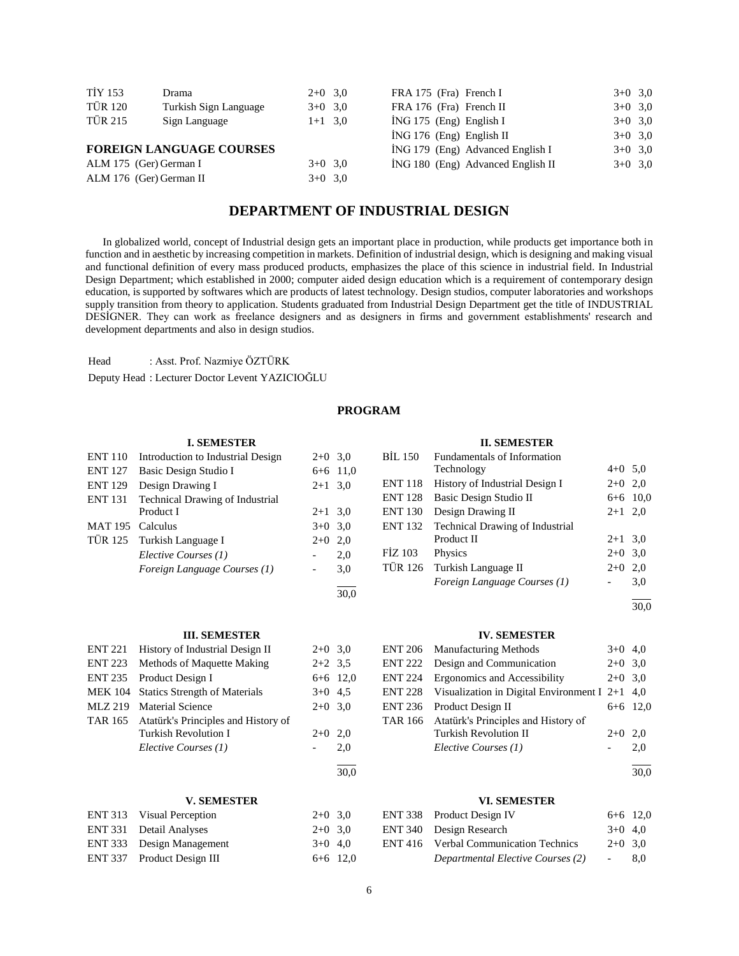| <b>TİY 153</b>          | Drama                           | $2+0$ 3.0 | FRA 175 (Fra) French I     |                                    | $3+0$ 3.0 |  |
|-------------------------|---------------------------------|-----------|----------------------------|------------------------------------|-----------|--|
| TÜR 120                 | Turkish Sign Language           | $3+0$ 3.0 | FRA 176 (Fra) French II    |                                    | $3+0$ 3.0 |  |
| TÜR 215                 | Sign Language                   | $1+1$ 3,0 | $ING 175$ (Eng) English I  |                                    | $3+0$ 3.0 |  |
|                         |                                 |           | $ING 176 (Eng)$ English II |                                    | $3+0$ 3.0 |  |
|                         | <b>FOREIGN LANGUAGE COURSES</b> |           |                            | $ING 179$ (Eng) Advanced English I | $3+0$ 3.0 |  |
| ALM 175 (Ger) German I  |                                 | $3+0$ 3,0 |                            | ING 180 (Eng) Advanced English II  | $3+0$ 3,0 |  |
| ALM 176 (Ger) German II |                                 | $3+0$ 3,0 |                            |                                    |           |  |

## **DEPARTMENT OF INDUSTRIAL DESIGN**

 In globalized world, concept of Industrial design gets an important place in production, while products get importance both in function and in aesthetic by increasing competition in markets. Definition of industrial design, which is designing and making visual and functional definition of every mass produced products, emphasizes the place of this science in industrial field. In Industrial Design Department; which established in 2000; computer aided design education which is a requirement of contemporary design education, is supported by softwares which are products of latest technology. Design studios, computer laboratories and workshops supply transition from theory to application. Students graduated from Industrial Design Department get the title of INDUSTRIAL DESİGNER. They can work as freelance designers and as designers in firms and government establishments' research and development departments and also in design studios.

Head : Asst. Prof. Nazmiye ÖZTÜRK

Deputy Head : Lecturer Doctor Levent YAZICIOĞLU

## **PROGRAM**

 $\frac{1}{30.0}$ 

 $\frac{1}{30.0}$ 

#### **I. SEMESTER**

| <b>ENT 110</b>   | Introduction to Industrial Design | $2+0$ 3.0 |            |
|------------------|-----------------------------------|-----------|------------|
| <b>ENT 127</b>   | Basic Design Studio I             |           | $6+6$ 11,0 |
| <b>ENT 129</b>   | Design Drawing I                  | $2+1$ 3.0 |            |
| <b>ENT 131</b>   | Technical Drawing of Industrial   |           |            |
|                  | Product I                         | $2+1$ 3.0 |            |
| MAT 195 Calculus |                                   | $3+0$ 3.0 |            |
|                  | TÜR 125 Turkish Language I        | $2+0$     | 2,0        |
|                  | Elective Courses (1)              |           | 2,0        |
|                  | Foreign Language Courses (1)      | $\sim$    | 3,0        |
|                  |                                   |           |            |

## **II. SEMESTER**

| <b>BIL 150</b> | Fundamentals of Information            |           |            |
|----------------|----------------------------------------|-----------|------------|
|                | Technology                             | $4+0$ 5,0 |            |
| <b>ENT 118</b> | History of Industrial Design I         | $2+0$ 2,0 |            |
| <b>ENT 128</b> | Basic Design Studio II                 |           | $6+6$ 10,0 |
| <b>ENT 130</b> | Design Drawing II                      | $2+1$ 2,0 |            |
| <b>ENT 132</b> | <b>Technical Drawing of Industrial</b> |           |            |
|                | Product II                             | $2+1$ 3,0 |            |
| FIZ 103        | Physics                                | $2+0$ 3,0 |            |
| <b>TÜR 126</b> | Turkish Language II                    | $2+0$     | 2.0        |
|                | Foreign Language Courses (1)           |           | 3,0        |
|                |                                        |           |            |

30,0

#### **III. SEMESTER**

| <b>ENT 221</b> | History of Industrial Design II             | $2+0$ 3.0  |     |
|----------------|---------------------------------------------|------------|-----|
|                | ENT 223 Methods of Maquette Making          | $2+2$ 3.5  |     |
|                | ENT 235 Product Design I                    | $6+6$ 12,0 |     |
|                | MEK 104 Statics Strength of Materials       | $3+0$ 4.5  |     |
| MLZ 219        | <b>Material Science</b>                     | $2+0$ 3.0  |     |
|                | TAR 165 Atatürk's Principles and History of |            |     |
|                | Turkish Revolution I                        | $2+0$      | 2.0 |
|                | Elective Courses (1)                        |            | 2.0 |
|                |                                             |            |     |

#### **V. SEMESTER**

| ENT 313 Visual Perception  | $2+0$ 3.0  |  |
|----------------------------|------------|--|
| ENT 331 Detail Analyses    | $2+0$ 3.0  |  |
| ENT 333 Design Management  | $3+0$ 4.0  |  |
| ENT 337 Product Design III | $6+6$ 12,0 |  |

#### **IV. SEMESTER**

|                | ENT 206 Manufacturing Methods                    | $3+0$ 4.0 |            |
|----------------|--------------------------------------------------|-----------|------------|
| <b>ENT 222</b> | Design and Communication                         | $2+0$ 3,0 |            |
| <b>ENT 224</b> | Ergonomics and Accessibility                     | $2+0$ 3.0 |            |
| ENT 228        | Visualization in Digital Environment I $2+1$ 4,0 |           |            |
| <b>ENT 236</b> | Product Design II                                |           | $6+6$ 12,0 |
| TAR 166        | Atatürk's Principles and History of              |           |            |
|                | <b>Turkish Revolution II</b>                     | $2+0$     | 2.0        |
|                | Elective Courses (1)                             |           | 2,0        |
|                |                                                  |           |            |

30,0

#### **VI. SEMESTER**

| ENT 338 Product Design IV                    | $6+6$ 12,0      |     |
|----------------------------------------------|-----------------|-----|
| ENT 340 Design Research                      | $3+0$ 4.0       |     |
| <b>ENT 416</b> Verbal Communication Technics | $2+0$ 3.0       |     |
| Departmental Elective Courses (2)            | $\sim$ 10 $\pm$ | 8.0 |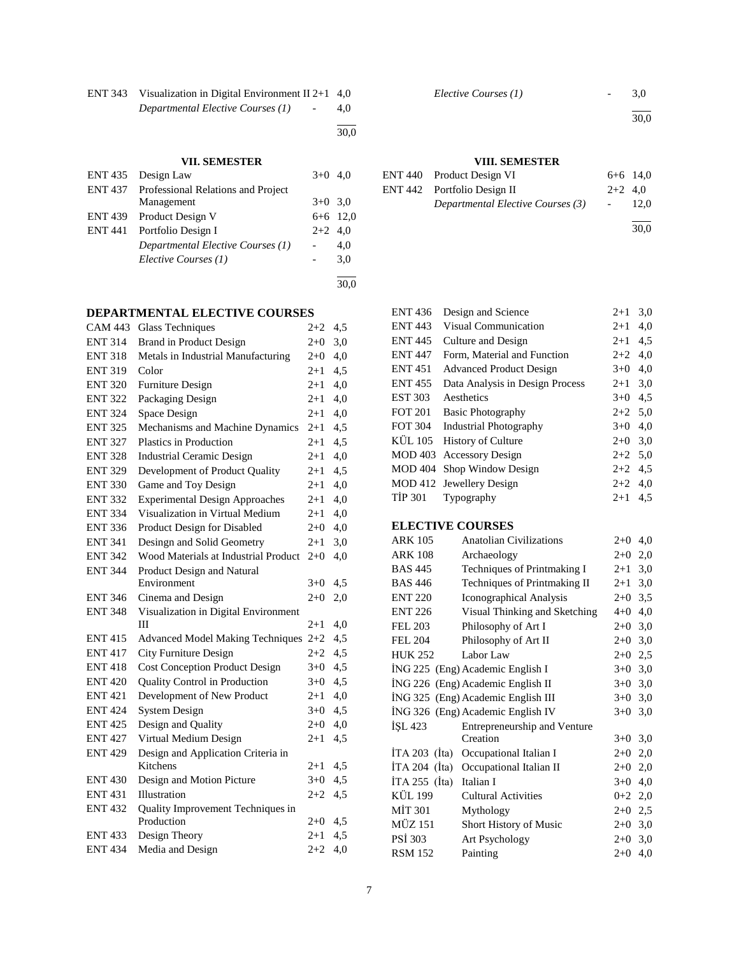| ENT 343 Visualization in Digital Environment II 2+1 $4,0$ |     |
|-----------------------------------------------------------|-----|
| Departmental Elective Courses (1)<br>$\overline{a}$       | 4,0 |

l 30,0

## **VII. SEMESTER**

|                | ENT 435 Design Law                                | $3+0$ 4,0 |            |
|----------------|---------------------------------------------------|-----------|------------|
|                | <b>ENT 437</b> Professional Relations and Project |           |            |
|                | Management                                        | $3+0$ 3.0 |            |
|                | ENT 439 Product Design V                          |           | $6+6$ 12,0 |
| <b>ENT 441</b> | Portfolio Design I                                | $2+2$ 4.0 |            |
|                | Departmental Elective Courses (1)                 |           | 4,0        |
|                | Elective Courses (1)                              |           | 3,0        |
|                |                                                   |           |            |
|                |                                                   |           | 30.0       |

## **DEPARTMENTAL ELECTIVE COURSES**

| <b>CAM 443</b> | <b>Glass Techniques</b>                 | $2 + 2$ | 4,5 |
|----------------|-----------------------------------------|---------|-----|
| <b>ENT 314</b> | <b>Brand in Product Design</b>          | $2 + 0$ | 3,0 |
| <b>ENT 318</b> | Metals in Industrial Manufacturing      | $2+0$   | 4,0 |
| <b>ENT 319</b> | Color                                   | $2+1$   | 4,5 |
| <b>ENT 320</b> | <b>Furniture Design</b>                 | $2 + 1$ | 4,0 |
| <b>ENT 322</b> | Packaging Design                        | $2 + 1$ | 4,0 |
| <b>ENT 324</b> | Space Design                            | $2 + 1$ | 4,0 |
| <b>ENT 325</b> | Mechanisms and Machine Dynamics         | $2 + 1$ | 4,5 |
| <b>ENT 327</b> | Plastics in Production                  | $2 + 1$ | 4,5 |
| <b>ENT 328</b> | <b>Industrial Ceramic Design</b>        | $2 + 1$ | 4,0 |
| <b>ENT 329</b> | Development of Product Quality          | $2+1$   | 4,5 |
| <b>ENT 330</b> | Game and Toy Design                     | $2 + 1$ | 4,0 |
| <b>ENT 332</b> | <b>Experimental Design Approaches</b>   | $2+1$   | 4,0 |
| <b>ENT 334</b> | Visualization in Virtual Medium         | $2 + 1$ | 4,0 |
| <b>ENT 336</b> | Product Design for Disabled             | $2+0$   | 4,0 |
| <b>ENT 341</b> | Desingn and Solid Geometry              | $2 + 1$ | 3,0 |
| <b>ENT 342</b> | Wood Materials at Industrial Product    | $2 + 0$ | 4,0 |
| <b>ENT 344</b> | Product Design and Natural              |         |     |
|                | Environment                             | $3+0$   | 4,5 |
| <b>ENT 346</b> | Cinema and Design                       | $2+0$   | 2,0 |
| <b>ENT 348</b> | Visualization in Digital Environment    |         |     |
|                | Ш                                       | $2 + 1$ | 4,0 |
| <b>ENT 415</b> | <b>Advanced Model Making Techniques</b> | $2 + 2$ | 4,5 |
| <b>ENT 417</b> | City Furniture Design                   | $2 + 2$ | 4,5 |
| <b>ENT418</b>  | <b>Cost Conception Product Design</b>   | $3+0$   | 4,5 |
| <b>ENT 420</b> | Quality Control in Production           | $3+0$   | 4,5 |
| <b>ENT 421</b> | Development of New Product              | $2 + 1$ | 4,0 |
| <b>ENT 424</b> | <b>System Design</b>                    | $3+0$   | 4,5 |
| <b>ENT 425</b> | Design and Quality                      | $2+0$   | 4,0 |
| <b>ENT 427</b> | Virtual Medium Design                   | 2+1     | 4,5 |
| <b>ENT 429</b> | Design and Application Criteria in      |         |     |
|                | Kitchens                                | $2 + 1$ | 4,5 |
| <b>ENT 430</b> | Design and Motion Picture               | $3 + 0$ | 4,5 |
| <b>ENT 431</b> | Illustration                            | $2 + 2$ | 4,5 |
| <b>ENT 432</b> | Quality Improvement Techniques in       |         |     |
|                | Production                              | $2 + 0$ | 4,5 |
| <b>ENT 433</b> | Design Theory                           | $2 + 1$ | 4,5 |
| <b>ENT 434</b> | Media and Design                        | $2+2$   | 4,0 |

*Elective Courses (1)* - 3,0

l

30,0

## **VIII. SEMESTER**

| ENT 440 Product Design VI         |                          | $6+6$ 14.0 |
|-----------------------------------|--------------------------|------------|
| ENT 442 Portfolio Design II       | $2+2$ 4.0                |            |
| Departmental Elective Courses (3) | <b>Contract Contract</b> | 12.0       |
|                                   |                          |            |

30,0

| <b>ENT 436</b> | Design and Science              | $2+1$     | 3,0 |
|----------------|---------------------------------|-----------|-----|
| <b>ENT 443</b> | <b>Visual Communication</b>     | $2 + 1$   | 4.0 |
| <b>ENT 445</b> | Culture and Design              | $2 + 1$   | 4,5 |
| <b>ENT 447</b> | Form, Material and Function     | $2 + 2$   | 4,0 |
| <b>ENT 451</b> | <b>Advanced Product Design</b>  | $3+0$     | 4,0 |
| <b>ENT455</b>  | Data Analysis in Design Process | $2 + 1$   | 3,0 |
| <b>EST 303</b> | Aesthetics                      | $3+0$     | 4.5 |
| <b>FOT 201</b> | <b>Basic Photography</b>        | $2+2$ 5.0 |     |
| <b>FOT 304</b> | <b>Industrial Photography</b>   | $3+0$     | 4.0 |
| KÜL 105        | <b>History of Culture</b>       | $2 + 0$   | 3,0 |
| <b>MOD 403</b> | <b>Accessory Design</b>         | $2+2$ 5,0 |     |
| <b>MOD 404</b> | Shop Window Design              | $2+2$     | 4.5 |
|                | MOD 412 Jewellery Design        | $2+2$     | 4.0 |
| <b>TIP 301</b> | Typography                      | $2 + 1$   | 4.5 |
|                |                                 |           |     |

## **ELECTIVE COURSES**

| ELECTIVE COURSES    |                                    |           |     |
|---------------------|------------------------------------|-----------|-----|
| <b>ARK 105</b>      | <b>Anatolian Civilizations</b>     | $2+0$     | 4,0 |
| <b>ARK 108</b>      | Archaeology                        | $2+0$     | 2,0 |
| <b>BAS 445</b>      | Techniques of Printmaking I        | $2 + 1$   | 3,0 |
| <b>BAS 446</b>      | Techniques of Printmaking II       | $2 + 1$   | 3,0 |
| <b>ENT 220</b>      | Iconographical Analysis            | $2+0$     | 3,5 |
| <b>ENT 226</b>      | Visual Thinking and Sketching      | $4 + 0$   | 4,0 |
| <b>FEL 203</b>      | Philosophy of Art I                | $2+0$     | 3,0 |
| <b>FEL 204</b>      | Philosophy of Art II               | $2+0$     | 3,0 |
| <b>HUK 252</b>      | Labor Law                          | $2+0$ 2,5 |     |
|                     | ING 225 (Eng) Academic English I   | $3+0$     | 3,0 |
|                     | ING 226 (Eng) Academic English II  | $3+0$     | 3,0 |
|                     | İNG 325 (Eng) Academic English III | $3+0$     | 3,0 |
|                     | ING 326 (Eng) Academic English IV  | $3+0$     | 3,0 |
| ISL 423             | Entrepreneurship and Venture       |           |     |
|                     | Creation                           | $3+0$     | 3,0 |
| ITA 203 $(Ita)$     | Occupational Italian I             | $2+0$     | 2,0 |
| ITA 204 $(Ita)$     | Occupational Italian II            | $2+0$     | 2,0 |
| ITA 255 $($ Ita $)$ | Italian I                          | $3+0$     | 4,0 |
| <b>KÜL 199</b>      | <b>Cultural Activities</b>         | $0 + 2$   | 2,0 |
| <b>MİT 301</b>      | Mythology                          | $2+0$     | 2,5 |
| <b>MÜZ 151</b>      | <b>Short History of Music</b>      | $2+0$     | 3,0 |
| PSİ 303             | Art Psychology                     | $2+0$     | 3,0 |
| <b>RSM 152</b>      | Painting                           | $2+0$     | 4,0 |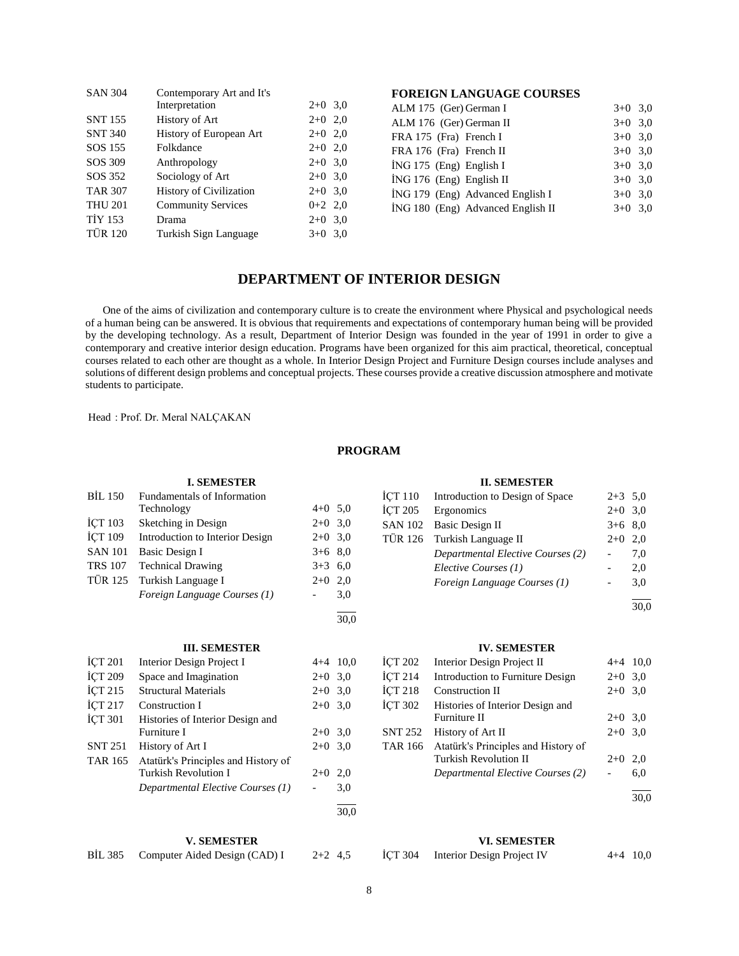| <b>SAN 304</b> | Contemporary Art and It's<br>Interpretation | $2+0$ 3.0 |     |
|----------------|---------------------------------------------|-----------|-----|
| <b>SNT 155</b> | History of Art                              | $2+0$ 2,0 |     |
| <b>SNT 340</b> | History of European Art                     | $2+0$ 2,0 |     |
| SOS 155        | Folkdance                                   | $2+0$ 2,0 |     |
| SOS 309        | Anthropology                                | $2+0$ 3.0 |     |
| SOS 352        | Sociology of Art                            | $2+0$ 3.0 |     |
| <b>TAR 307</b> | <b>History of Civilization</b>              | $2+0$ 3,0 |     |
| <b>THU 201</b> | <b>Community Services</b>                   | $0+2$ 2,0 |     |
| <b>TİY 153</b> | Drama                                       | $2+0$     | 3,0 |
| <b>TÜR 120</b> | Turkish Sign Language                       | $3+0$     | 3,0 |

## **FOREIGN LANGUAGE COURSES**

| ALM 175 (Ger) German I            | $3+0$ 3.0 |
|-----------------------------------|-----------|
| ALM 176 (Ger) German II           | $3+0$ 3.0 |
| FRA 175 (Fra) French I            | $3+0$ 3.0 |
| FRA 176 (Fra) French II           | $3+0$ 3.0 |
| $ING 175$ (Eng) English I         | $3+0$ 3.0 |
| $ING 176$ (Eng) English II        | $3+0$ 3.0 |
| ING 179 (Eng) Advanced English I  | $3+0$ 3.0 |
| İNG 180 (Eng) Advanced English II | $3+0$ 3.0 |

## **DEPARTMENT OF INTERIOR DESIGN**

 One of the aims of civilization and contemporary culture is to create the environment where Physical and psychological needs of a human being can be answered. It is obvious that requirements and expectations of contemporary human being will be provided by the developing technology. As a result, Department of Interior Design was founded in the year of 1991 in order to give a contemporary and creative interior design education. Programs have been organized for this aim practical, theoretical, conceptual courses related to each other are thought as a whole. In Interior Design Project and Furniture Design courses include analyses and solutions of different design problems and conceptual projects. These courses provide a creative discussion atmosphere and motivate students to participate.

Head : Prof. Dr. Meral NALÇAKAN

## **PROGRAM**

30,0

## **I. SEMESTER** BİL 150 Fundamentals of Information Technology  $4+0$  5,0 İÇT 103 Sketching in Design 2+0 3,0 İÇT 109 Introduction to Interior Design 2+0 3,0 SAN 101 Basic Design I  $3+6$  8,0 TRS 107 Technical Drawing  $3+3$  6,0 TÜR 125 Turkish Language I  $2+0$  2,0 *Foreign Language Courses (1)* - 3,0 l

#### **III. SEMESTER**

| <b>ICT 201</b>     | Interior Design Project I           |           | $4+4$ 10,0 |
|--------------------|-------------------------------------|-----------|------------|
| <b>İCT 209</b>     | Space and Imagination               | $2+0$ 3.0 |            |
| ICT <sub>215</sub> | <b>Structural Materials</b>         | $2+0$     | 3,0        |
| İÇT 217            | Construction I                      | $2+0$ 3.0 |            |
| <b>ICT 301</b>     | Histories of Interior Design and    |           |            |
|                    | Furniture I                         | $2+0$ 3.0 |            |
| <b>SNT 251</b>     | History of Art I                    | $2+0$     | 3.0        |
| <b>TAR 165</b>     | Atatürk's Principles and History of |           |            |
|                    | <b>Turkish Revolution I</b>         | $2+0$     | 2.0        |
|                    | Departmental Elective Courses (1)   |           | 3,0        |
|                    |                                     |           | 30.0       |

#### **V. SEMESTER**

BİL 385 Computer Aided Design (CAD) I 2+2 4,5

## **II. SEMESTER**

|                | İÇT 110 Introduction to Design of Space | $2+3$ 5.0 |     |
|----------------|-----------------------------------------|-----------|-----|
| <b>İCT 205</b> | Ergonomics                              | $2+0$ 3.0 |     |
|                | SAN 102 Basic Design II                 | $3+6$ 8.0 |     |
|                | TÜR 126 Turkish Language II             | $2+0$ 2.0 |     |
|                | Departmental Elective Courses (2)       |           | 7.0 |
|                | Elective Courses (1)                    |           | 2,0 |
|                | Foreign Language Courses (1)            |           | 3,0 |
|                |                                         |           |     |

 $\frac{1}{30.0}$ 

#### **IV. SEMESTER**

| <b>ICT 202</b> | Interior Design Project II          | $4+4$ 10.0 |      |
|----------------|-------------------------------------|------------|------|
| <b>İCT 214</b> | Introduction to Furniture Design    | $2+0$ 3.0  |      |
| <b>İCT 218</b> | Construction II                     | $2+0$ 3,0  |      |
| <b>İCT 302</b> | Histories of Interior Design and    |            |      |
|                | Furniture II                        | $2+0$ 3.0  |      |
| <b>SNT 252</b> | History of Art II                   | $2+0$ 3.0  |      |
| <b>TAR 166</b> | Atatürk's Principles and History of |            |      |
|                | <b>Turkish Revolution II</b>        | $2+0$      | 2,0  |
|                | Departmental Elective Courses (2)   |            | 6,0  |
|                |                                     |            | 30.0 |

#### **VI. SEMESTER**

| İÇT 304 | Interior Design Project IV | $4+4$ 10,0 |  |
|---------|----------------------------|------------|--|
|         |                            |            |  |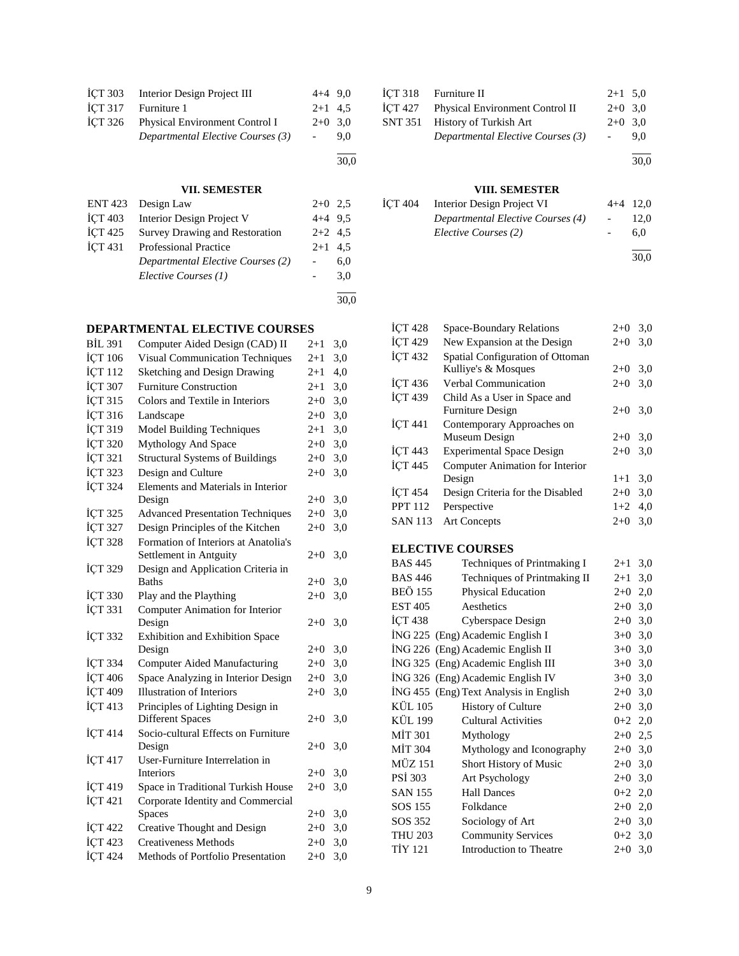| <b>ICT 303</b> | Interior Design Project III       | $4+4$ 9.0 |     |
|----------------|-----------------------------------|-----------|-----|
| <b>İCT 317</b> | Furniture 1                       | $2+1$ 4.5 |     |
| İCT 326        | Physical Environment Control I    | $2+0$ 3.0 |     |
|                | Departmental Elective Courses (3) |           | 9.0 |
|                |                                   |           |     |

## **VII. SEMESTER**

30,0

|                | ENT 423 Design Law                    | $2+0$ 2.5 |      |
|----------------|---------------------------------------|-----------|------|
| <b>ICT 403</b> | Interior Design Project V             | $4+4$ 9.5 |      |
| <b>İCT 425</b> | <b>Survey Drawing and Restoration</b> | $2+2$ 4.5 |      |
| İCT 431        | <b>Professional Practice</b>          | $2+1$ 4.5 |      |
|                | Departmental Elective Courses (2)     |           | 6,0  |
|                | Elective Courses (1)                  |           | 3,0  |
|                |                                       |           |      |
|                |                                       |           | 30.0 |

## **DEPARTMENTAL ELECTIVE COURSES**

| <b>BİL 391</b> | Computer Aided Design (CAD) II            | $2 + 1$ | 3,0 |
|----------------|-------------------------------------------|---------|-----|
| İÇT 106        | <b>Visual Communication Techniques</b>    | $2 + 1$ | 3,0 |
| İÇT 112        | Sketching and Design Drawing              | $2+1$   | 4,0 |
| İÇT 307        | <b>Furniture Construction</b>             | $2+1$   | 3,0 |
| İÇT 315        | Colors and Textile in Interiors           | $2 + 0$ | 3,0 |
| İÇT 316        | Landscape                                 | $2 + 0$ | 3,0 |
| İÇT 319        | Model Building Techniques                 | $2+1$   | 3,0 |
| İÇT 320        | Mythology And Space                       | $2 + 0$ | 3,0 |
| İÇT 321        | <b>Structural Systems of Buildings</b>    | $2 + 0$ | 3,0 |
| İÇT 323        | Design and Culture                        | $2 + 0$ | 3,0 |
| İÇT 324        | Elements and Materials in Interior        |         |     |
|                | Design                                    | $2 + 0$ | 3,0 |
| İÇT 325        | <b>Advanced Presentation Techniques</b>   | $2 + 0$ | 3,0 |
| İÇT 327        | Design Principles of the Kitchen          | $2+0$   | 3,0 |
| İÇT 328        | Formation of Interiors at Anatolia's      |         |     |
|                | Settlement in Antguity                    | $2 + 0$ | 3,0 |
| <b>İÇT 329</b> | Design and Application Criteria in        |         |     |
|                | <b>Baths</b>                              | $2+0$   | 3,0 |
| İÇT 330        | Play and the Plaything                    | $2 + 0$ | 3,0 |
| İÇT 331        | Computer Animation for Interior           |         |     |
|                | Design                                    | $2 + 0$ | 3,0 |
| <b>İÇT 332</b> | Exhibition and Exhibition Space<br>Design | $2+0$   | 3,0 |
| <b>İÇT 334</b> | <b>Computer Aided Manufacturing</b>       | $2 + 0$ | 3,0 |
| İÇT 406        | Space Analyzing in Interior Design        | $2 + 0$ | 3,0 |
| İÇT 409        | <b>Illustration of Interiors</b>          | $2 + 0$ | 3,0 |
| <b>İCT 413</b> | Principles of Lighting Design in          |         |     |
|                | <b>Different Spaces</b>                   | $2 + 0$ | 3,0 |
| <b>İCT 414</b> | Socio-cultural Effects on Furniture       |         |     |
|                | Design                                    | $2 + 0$ | 3,0 |
| İCT 417        | User-Furniture Interrelation in           |         |     |
|                | Interiors                                 | $2 + 0$ | 3,0 |
| İÇT 419        | Space in Traditional Turkish House        | $2 + 0$ | 3,0 |
| İÇT 421        | Corporate Identity and Commercial         |         |     |
|                | Spaces                                    | $2 + 0$ | 3,0 |
| <b>İÇT 422</b> | Creative Thought and Design               | $2 + 0$ | 3,0 |
| İÇT 423        | <b>Creativeness Methods</b>               | $2 + 0$ | 3,0 |
| İÇT 424        | Methods of Portfolio Presentation         | $2 + 0$ | 3,0 |

| $\text{ICT } 318$ Furniture II          | $2+1$ 5,0 |      |
|-----------------------------------------|-----------|------|
| İÇT 427 Physical Environment Control II | $2+0$ 3.0 |      |
| SNT 351 History of Turkish Art          | $2+0$ 3.0 |      |
| Departmental Elective Courses (3)       |           | 9.0  |
|                                         |           | 30,0 |

## **VIII. SEMESTER**

| ICT 404 | Interior Design Project VI        | $4+4$ 12,0               |      |
|---------|-----------------------------------|--------------------------|------|
|         | Departmental Elective Courses (4) | <b>Contract Contract</b> | 12.0 |
|         | Elective Courses (2)              |                          | 6.0  |
|         |                                   |                          |      |

30,0

| <b>İÇT 428</b>       | <b>Space-Boundary Relations</b>  | $2+0$ | 3,0 |
|----------------------|----------------------------------|-------|-----|
| <b>ICT 429</b>       | New Expansion at the Design      | $2+0$ | 3,0 |
| <b>ICT 432</b>       | Spatial Configuration of Ottoman |       |     |
|                      | Kulliye's & Mosques              | $2+0$ | 3,0 |
| <b>ICT 436</b>       | <b>Verbal Communication</b>      | $2+0$ | 3,0 |
| <b>İCT 439</b>       | Child As a User in Space and     |       |     |
|                      | <b>Furniture Design</b>          | $2+0$ | 3,0 |
| <b>ICT 441</b>       | Contemporary Approaches on       |       |     |
|                      | Museum Design                    | $2+0$ | 3,0 |
| $\overline{ICT}$ 443 | <b>Experimental Space Design</b> | $2+0$ | 3,0 |
| $\overline{ICT}$ 445 | Computer Animation for Interior  |       |     |
|                      | Design                           | $1+1$ | 3,0 |
| <b>ICT 454</b>       | Design Criteria for the Disabled | $2+0$ | 3,0 |
| <b>PPT 112</b>       | Perspective                      | $1+2$ | 4,0 |
| <b>SAN 113</b>       | <b>Art Concepts</b>              | $2+0$ | 3,0 |
|                      |                                  |       |     |

## **ELECTIVE COURSES**

| <b>BAS 445</b> | Techniques of Printmaking I            | $2+1$   | 3,0 |
|----------------|----------------------------------------|---------|-----|
| <b>BAS 446</b> | Techniques of Printmaking II           | $2 + 1$ | 3,0 |
| <b>BEÖ 155</b> | <b>Physical Education</b>              | $2+0$   | 2,0 |
| <b>EST 405</b> | Aesthetics                             | $2+0$   | 3,0 |
| İCT 438        | Cyberspace Design                      | $2+0$   | 3,0 |
|                | ING 225 (Eng) Academic English I       | $3+0$   | 3,0 |
|                | ING 226 (Eng) Academic English II      | $3+0$   | 3,0 |
|                | ING 325 (Eng) Academic English III     | $3+0$   | 3,0 |
|                | ING 326 (Eng) Academic English IV      | $3+0$   | 3,0 |
|                | ING 455 (Eng) Text Analysis in English | $2+0$   | 3,0 |
| KÜL 105        | <b>History of Culture</b>              | $2+0$   | 3,0 |
| KÜL 199        | <b>Cultural Activities</b>             | $0 + 2$ | 2,0 |
| MIT 301        | Mythology                              | $2+0$   | 2,5 |
| <b>MİT 304</b> | Mythology and Iconography              | $2+0$   | 3,0 |
| MÜZ 151        | Short History of Music                 | $2+0$   | 3,0 |
| PSI 303        | Art Psychology                         | $2+0$   | 3,0 |
| <b>SAN 155</b> | <b>Hall Dances</b>                     | $0 + 2$ | 2,0 |
| SOS 155        | Folkdance                              | $2+0$   | 2,0 |
| SOS 352        | Sociology of Art                       | $2+0$   | 3,0 |
| <b>THU 203</b> | <b>Community Services</b>              | $0 + 2$ | 3,0 |
| TİY 121        | Introduction to Theatre                | $2+0$   | 3,0 |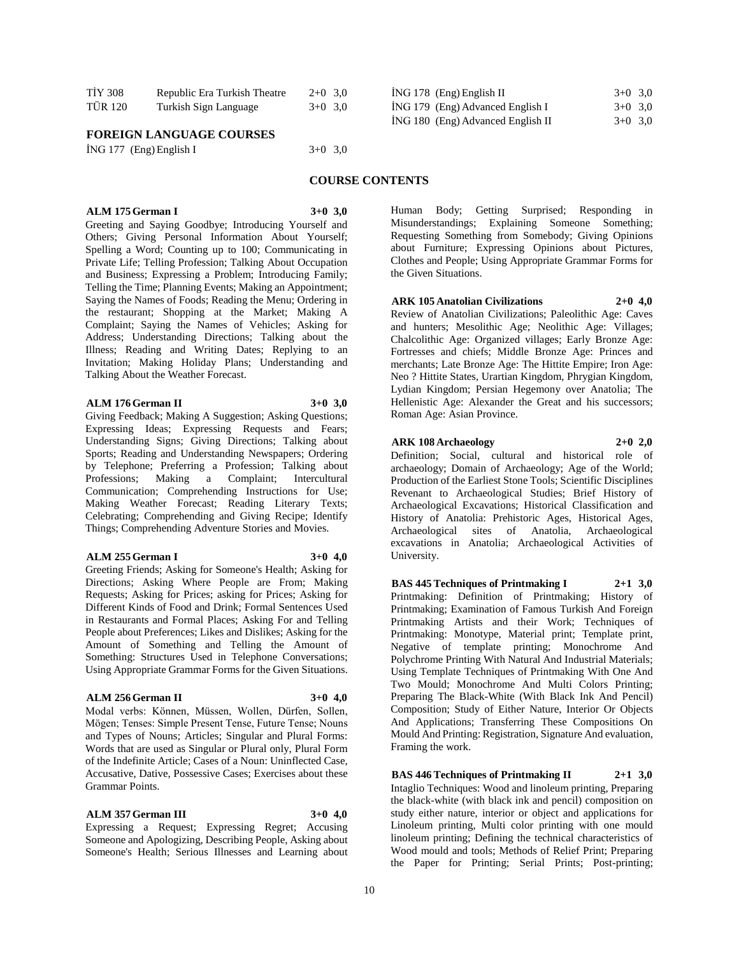| <b>TİY 308</b> | Republic Era Turkish Theatre | $2+0$ 3.0 |  |
|----------------|------------------------------|-----------|--|
| <b>TÜR 120</b> | Turkish Sign Language        | $3+0$ 3.0 |  |

#### **FOREIGN LANGUAGE COURSES**

|  | İNG 177 (Eng) English I |  | $3+0$ 3,0 |  |
|--|-------------------------|--|-----------|--|
|--|-------------------------|--|-----------|--|

**ALM 175 German I 3+0 3,0**

Greeting and Saying Goodbye; Introducing Yourself and Others; Giving Personal Information About Yourself; Spelling a Word; Counting up to 100; Communicating in Private Life; Telling Profession; Talking About Occupation and Business; Expressing a Problem; Introducing Family; Telling the Time; Planning Events; Making an Appointment; Saying the Names of Foods; Reading the Menu; Ordering in the restaurant; Shopping at the Market; Making A Complaint; Saying the Names of Vehicles; Asking for Address; Understanding Directions; Talking about the Illness; Reading and Writing Dates; Replying to an Invitation; Making Holiday Plans; Understanding and Talking About the Weather Forecast.

#### **ALM 176 German II 3+0 3,0**

Giving Feedback; Making A Suggestion; Asking Questions; Expressing Ideas; Expressing Requests and Fears; Understanding Signs; Giving Directions; Talking about Sports; Reading and Understanding Newspapers; Ordering by Telephone; Preferring a Profession; Talking about Professions; Making a Complaint; Intercultural Professions; Making a Complaint; Intercultural Communication; Comprehending Instructions for Use; Making Weather Forecast; Reading Literary Texts; Celebrating; Comprehending and Giving Recipe; Identify Things; Comprehending Adventure Stories and Movies.

#### **ALM 255 German I 3+0 4,0**

Greeting Friends; Asking for Someone's Health; Asking for Directions; Asking Where People are From; Making Requests; Asking for Prices; asking for Prices; Asking for Different Kinds of Food and Drink; Formal Sentences Used in Restaurants and Formal Places; Asking For and Telling People about Preferences; Likes and Dislikes; Asking for the Amount of Something and Telling the Amount of Something: Structures Used in Telephone Conversations; Using Appropriate Grammar Forms for the Given Situations.

#### **ALM 256 German II 3+0 4,0**

Modal verbs: Können, Müssen, Wollen, Dürfen, Sollen, Mögen; Tenses: Simple Present Tense, Future Tense; Nouns and Types of Nouns; Articles; Singular and Plural Forms: Words that are used as Singular or Plural only, Plural Form of the Indefinite Article; Cases of a Noun: Uninflected Case, Accusative, Dative, Possessive Cases; Exercises about these Grammar Points.

#### **ALM 357 German III 3+0 4,0**

Expressing a Request; Expressing Regret; Accusing Someone and Apologizing, Describing People, Asking about Someone's Health; Serious Illnesses and Learning about

| ING 178 (Eng) English II          | $3+0$ 3.0 |
|-----------------------------------|-----------|
| ING 179 (Eng) Advanced English I  | $3+0$ 3.0 |
| ING 180 (Eng) Advanced English II | $3+0$ 3.0 |

### **COURSE CONTENTS**

Human Body; Getting Surprised; Responding in Misunderstandings; Explaining Someone Something; Requesting Something from Somebody; Giving Opinions about Furniture; Expressing Opinions about Pictures, Clothes and People; Using Appropriate Grammar Forms for the Given Situations.

#### **ARK 105 Anatolian Civilizations 2+0 4,0**

Review of Anatolian Civilizations; Paleolithic Age: Caves and hunters; Mesolithic Age; Neolithic Age: Villages; Chalcolithic Age: Organized villages; Early Bronze Age: Fortresses and chiefs; Middle Bronze Age: Princes and merchants; Late Bronze Age: The Hittite Empire; Iron Age: Neo ? Hittite States, Urartian Kingdom, Phrygian Kingdom, Lydian Kingdom; Persian Hegemony over Anatolia; The Hellenistic Age: Alexander the Great and his successors; Roman Age: Asian Province.

#### **ARK 108 Archaeology 2+0 2,0**

Definition; Social, cultural and historical role of archaeology; Domain of Archaeology; Age of the World; Production of the Earliest Stone Tools; Scientific Disciplines Revenant to Archaeological Studies; Brief History of Archaeological Excavations; Historical Classification and History of Anatolia: Prehistoric Ages, Historical Ages, Anatolia, Archaeological excavations in Anatolia; Archaeological Activities of University.

**BAS 445 Techniques of Printmaking I 2+1 3,0** Printmaking: Definition of Printmaking; History of Printmaking; Examination of Famous Turkish And Foreign Printmaking Artists and their Work; Techniques of Printmaking: Monotype, Material print; Template print, Negative of template printing; Monochrome And Polychrome Printing With Natural And Industrial Materials; Using Template Techniques of Printmaking With One And Two Mould; Monochrome And Multi Colors Printing; Preparing The Black-White (With Black Ink And Pencil) Composition; Study of Either Nature, Interior Or Objects And Applications; Transferring These Compositions On Mould And Printing: Registration, Signature And evaluation, Framing the work.

**BAS 446 Techniques of Printmaking II 2+1 3,0** Intaglio Techniques: Wood and linoleum printing, Preparing the black-white (with black ink and pencil) composition on study either nature, interior or object and applications for Linoleum printing, Multi color printing with one mould linoleum printing; Defining the technical characteristics of Wood mould and tools; Methods of Relief Print; Preparing the Paper for Printing; Serial Prints; Post-printing;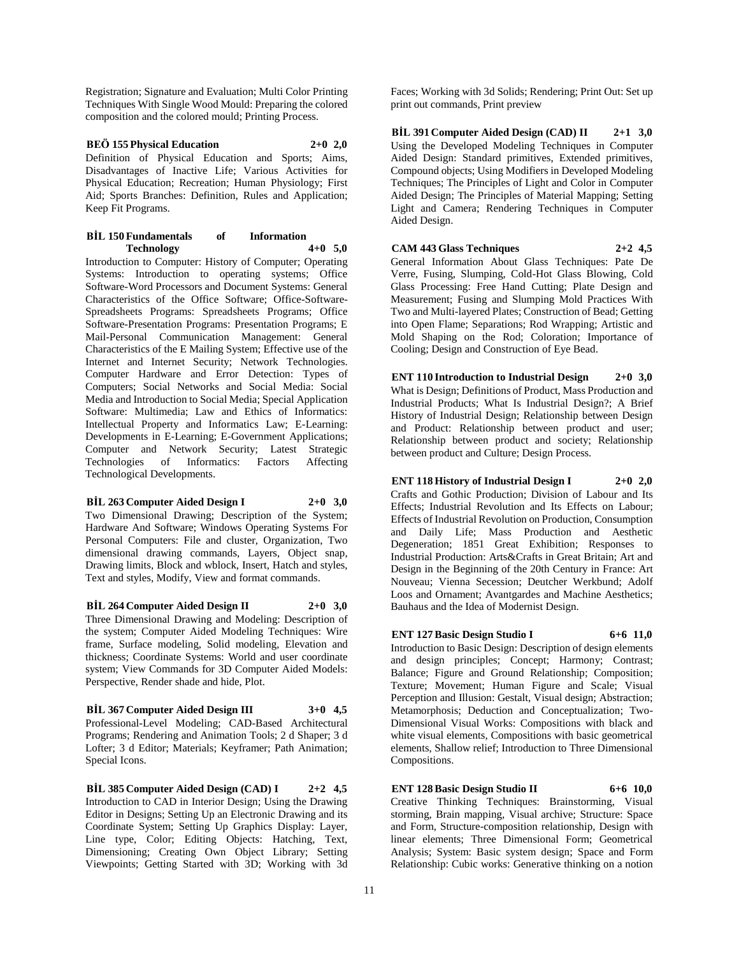Registration; Signature and Evaluation; Multi Color Printing Techniques With Single Wood Mould: Preparing the colored composition and the colored mould; Printing Process.

## **BEÖ 155 Physical Education 2+0 2,0**

Definition of Physical Education and Sports; Aims, Disadvantages of Inactive Life; Various Activities for Physical Education; Recreation; Human Physiology; First Aid; Sports Branches: Definition, Rules and Application; Keep Fit Programs.

#### **BİL 150 Fundamentals of Information Technology 4+0 5,0**

Introduction to Computer: History of Computer; Operating Systems: Introduction to operating systems; Office Software-Word Processors and Document Systems: General Characteristics of the Office Software; Office-Software-Spreadsheets Programs: Spreadsheets Programs; Office Software-Presentation Programs: Presentation Programs; E Mail-Personal Communication Management: General Characteristics of the E Mailing System; Effective use of the Internet and Internet Security; Network Technologies. Computer Hardware and Error Detection: Types of Computers; Social Networks and Social Media: Social Media and Introduction to Social Media; Special Application Software: Multimedia; Law and Ethics of Informatics: Intellectual Property and Informatics Law; E-Learning: Developments in E-Learning; E-Government Applications; Computer and Network Security; Latest Strategic Technologies of Informatics: Factors Affecting Technological Developments.

#### **BİL 263 Computer Aided Design I 2+0 3,0**

Two Dimensional Drawing; Description of the System; Hardware And Software; Windows Operating Systems For Personal Computers: File and cluster, Organization, Two dimensional drawing commands, Layers, Object snap, Drawing limits, Block and wblock, Insert, Hatch and styles, Text and styles, Modify, View and format commands.

## **BİL 264 Computer Aided Design II 2+0 3,0**

Three Dimensional Drawing and Modeling: Description of the system; Computer Aided Modeling Techniques: Wire frame, Surface modeling, Solid modeling, Elevation and thickness; Coordinate Systems: World and user coordinate system; View Commands for 3D Computer Aided Models: Perspective, Render shade and hide, Plot.

#### **BİL 367 Computer Aided Design III 3+0 4,5**

Professional-Level Modeling; CAD-Based Architectural Programs; Rendering and Animation Tools; 2 d Shaper; 3 d Lofter; 3 d Editor; Materials; Keyframer; Path Animation; Special Icons.

**BİL 385 Computer Aided Design (CAD) I 2+2 4,5** Introduction to CAD in Interior Design; Using the Drawing Editor in Designs; Setting Up an Electronic Drawing and its Coordinate System; Setting Up Graphics Display: Layer, Line type, Color; Editing Objects: Hatching, Text, Dimensioning; Creating Own Object Library; Setting Viewpoints; Getting Started with 3D; Working with 3d

Faces; Working with 3d Solids; Rendering; Print Out: Set up print out commands, Print preview

**BİL 391 Computer Aided Design (CAD) II 2+1 3,0** Using the Developed Modeling Techniques in Computer Aided Design: Standard primitives, Extended primitives, Compound objects; Using Modifiers in Developed Modeling Techniques; The Principles of Light and Color in Computer Aided Design; The Principles of Material Mapping; Setting Light and Camera; Rendering Techniques in Computer Aided Design.

**CAM 443 Glass Techniques 2+2 4,5** General Information About Glass Techniques: Pate De Verre, Fusing, Slumping, Cold-Hot Glass Blowing, Cold Glass Processing: Free Hand Cutting; Plate Design and Measurement; Fusing and Slumping Mold Practices With Two and Multi-layered Plates; Construction of Bead; Getting into Open Flame; Separations; Rod Wrapping; Artistic and Mold Shaping on the Rod; Coloration; Importance of

Cooling; Design and Construction of Eye Bead.

**ENT 110 Introduction to Industrial Design 2+0 3,0** What is Design; Definitions of Product, Mass Production and Industrial Products; What Is Industrial Design?; A Brief History of Industrial Design; Relationship between Design and Product: Relationship between product and user; Relationship between product and society; Relationship between product and Culture; Design Process.

**ENT 118 History of Industrial Design I 2+0 2,0** Crafts and Gothic Production; Division of Labour and Its Effects; Industrial Revolution and Its Effects on Labour; Effects of Industrial Revolution on Production, Consumption and Daily Life; Mass Production and Aesthetic Degeneration; 1851 Great Exhibition; Responses to Industrial Production: Arts&Crafts in Great Britain; Art and Design in the Beginning of the 20th Century in France: Art Nouveau; Vienna Secession; Deutcher Werkbund; Adolf Loos and Ornament; Avantgardes and Machine Aesthetics; Bauhaus and the Idea of Modernist Design.

## **ENT 127 Basic Design Studio I 6+6 11,0**

Introduction to Basic Design: Description of design elements and design principles; Concept; Harmony; Contrast; Balance; Figure and Ground Relationship; Composition; Texture; Movement; Human Figure and Scale; Visual Perception and Illusion: Gestalt, Visual design; Abstraction; Metamorphosis; Deduction and Conceptualization; Two-Dimensional Visual Works: Compositions with black and white visual elements, Compositions with basic geometrical elements, Shallow relief; Introduction to Three Dimensional Compositions.

## **ENT 128 Basic Design Studio II 6+6 10,0**

Creative Thinking Techniques: Brainstorming, Visual storming, Brain mapping, Visual archive; Structure: Space and Form, Structure-composition relationship, Design with linear elements; Three Dimensional Form; Geometrical Analysis; System: Basic system design; Space and Form Relationship: Cubic works: Generative thinking on a notion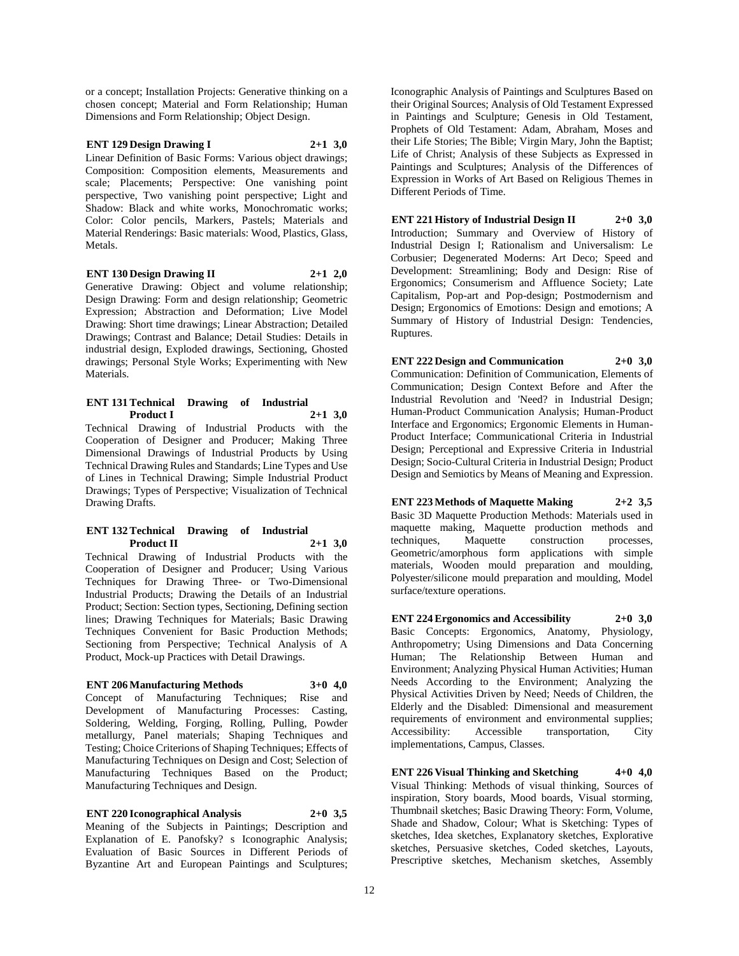or a concept; Installation Projects: Generative thinking on a chosen concept; Material and Form Relationship; Human Dimensions and Form Relationship; Object Design.

#### **ENT 129 Design Drawing I 2+1 3,0**

Linear Definition of Basic Forms: Various object drawings; Composition: Composition elements, Measurements and scale; Placements; Perspective: One vanishing point perspective, Two vanishing point perspective; Light and Shadow: Black and white works, Monochromatic works; Color: Color pencils, Markers, Pastels; Materials and Material Renderings: Basic materials: Wood, Plastics, Glass, Metals.

#### **ENT 130 Design Drawing II 2+1 2,0**

Generative Drawing: Object and volume relationship; Design Drawing: Form and design relationship; Geometric Expression; Abstraction and Deformation; Live Model Drawing: Short time drawings; Linear Abstraction; Detailed Drawings; Contrast and Balance; Detail Studies: Details in industrial design, Exploded drawings, Sectioning, Ghosted drawings; Personal Style Works; Experimenting with New Materials.

#### **ENT 131 Technical Drawing of Industrial Product I 2+1 3,0** Technical Drawing of Industrial Products with the Cooperation of Designer and Producer; Making Three Dimensional Drawings of Industrial Products by Using

Technical Drawing Rules and Standards; Line Types and Use of Lines in Technical Drawing; Simple Industrial Product Drawings; Types of Perspective; Visualization of Technical Drawing Drafts.

#### **ENT 132 Technical Drawing of Industrial Product II 2+1 3,0**

Technical Drawing of Industrial Products with the Cooperation of Designer and Producer; Using Various Techniques for Drawing Three- or Two-Dimensional Industrial Products; Drawing the Details of an Industrial Product; Section: Section types, Sectioning, Defining section lines; Drawing Techniques for Materials; Basic Drawing Techniques Convenient for Basic Production Methods; Sectioning from Perspective; Technical Analysis of A Product, Mock-up Practices with Detail Drawings.

#### **ENT 206 Manufacturing Methods 3+0 4,0**

Concept of Manufacturing Techniques; Rise and Development of Manufacturing Processes: Casting, Soldering, Welding, Forging, Rolling, Pulling, Powder metallurgy, Panel materials; Shaping Techniques and Testing; Choice Criterions of Shaping Techniques; Effects of Manufacturing Techniques on Design and Cost; Selection of Manufacturing Techniques Based on the Product; Manufacturing Techniques and Design.

**ENT 220 Iconographical Analysis 2+0 3,5** Meaning of the Subjects in Paintings; Description and Explanation of E. Panofsky? s Iconographic Analysis; Evaluation of Basic Sources in Different Periods of Byzantine Art and European Paintings and Sculptures;

Iconographic Analysis of Paintings and Sculptures Based on their Original Sources; Analysis of Old Testament Expressed in Paintings and Sculpture; Genesis in Old Testament, Prophets of Old Testament: Adam, Abraham, Moses and their Life Stories; The Bible; Virgin Mary, John the Baptist; Life of Christ; Analysis of these Subjects as Expressed in Paintings and Sculptures; Analysis of the Differences of Expression in Works of Art Based on Religious Themes in Different Periods of Time.

**ENT 221 History of Industrial Design II 2+0 3,0** Introduction; Summary and Overview of History of Industrial Design I; Rationalism and Universalism: Le Corbusier; Degenerated Moderns: Art Deco; Speed and Development: Streamlining; Body and Design: Rise of Ergonomics; Consumerism and Affluence Society; Late Capitalism, Pop-art and Pop-design; Postmodernism and Design; Ergonomics of Emotions: Design and emotions; A Summary of History of Industrial Design: Tendencies, Ruptures.

**ENT 222 Design and Communication 2+0 3,0** Communication: Definition of Communication, Elements of Communication; Design Context Before and After the Industrial Revolution and 'Need? in Industrial Design; Human-Product Communication Analysis; Human-Product Interface and Ergonomics; Ergonomic Elements in Human-Product Interface; Communicational Criteria in Industrial Design; Perceptional and Expressive Criteria in Industrial Design; Socio-Cultural Criteria in Industrial Design; Product Design and Semiotics by Means of Meaning and Expression.

**ENT 223 Methods of Maquette Making 2+2 3,5** Basic 3D Maquette Production Methods: Materials used in maquette making, Maquette production methods and techniques, Maquette construction processes, Geometric/amorphous form applications with simple materials, Wooden mould preparation and moulding, Polyester/silicone mould preparation and moulding, Model surface/texture operations.

**ENT 224 Ergonomics and Accessibility 2+0 3,0** Basic Concepts: Ergonomics, Anatomy, Physiology, Anthropometry; Using Dimensions and Data Concerning Human; The Relationship Between Human and Environment; Analyzing Physical Human Activities; Human Needs According to the Environment; Analyzing the Physical Activities Driven by Need; Needs of Children, the Elderly and the Disabled: Dimensional and measurement requirements of environment and environmental supplies; Accessibility: Accessible transportation, City implementations, Campus, Classes.

**ENT 226 Visual Thinking and Sketching 4+0 4,0** Visual Thinking: Methods of visual thinking, Sources of inspiration, Story boards, Mood boards, Visual storming, Thumbnail sketches; Basic Drawing Theory: Form, Volume, Shade and Shadow, Colour; What is Sketching: Types of sketches, Idea sketches, Explanatory sketches, Explorative sketches, Persuasive sketches, Coded sketches, Layouts, Prescriptive sketches, Mechanism sketches, Assembly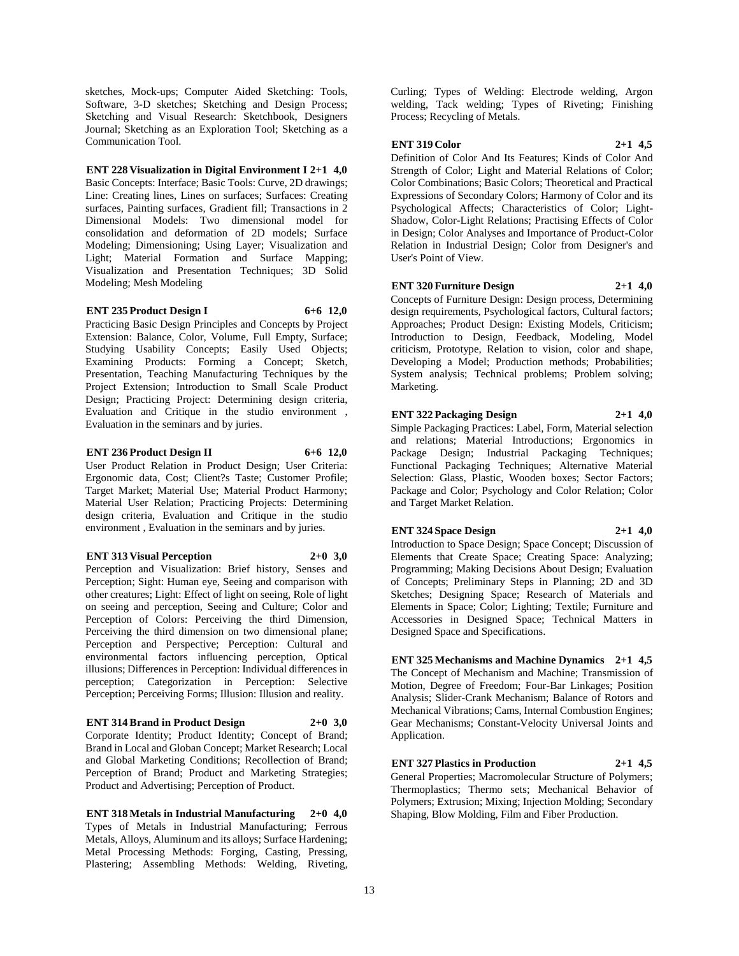sketches, Mock-ups; Computer Aided Sketching: Tools, Software, 3-D sketches; Sketching and Design Process; Sketching and Visual Research: Sketchbook, Designers Journal; Sketching as an Exploration Tool; Sketching as a Communication Tool.

#### **ENT 228 Visualization in Digital Environment I 2+1 4,0**

Basic Concepts: Interface; Basic Tools: Curve, 2D drawings; Line: Creating lines, Lines on surfaces; Surfaces: Creating surfaces, Painting surfaces, Gradient fill; Transactions in 2 Dimensional Models: Two dimensional model for consolidation and deformation of 2D models; Surface Modeling; Dimensioning; Using Layer; Visualization and Light; Material Formation and Surface Mapping; Visualization and Presentation Techniques; 3D Solid Modeling; Mesh Modeling

#### **ENT 235 Product Design I 6+6 12,0**

Practicing Basic Design Principles and Concepts by Project Extension: Balance, Color, Volume, Full Empty, Surface; Studying Usability Concepts; Easily Used Objects; Examining Products: Forming a Concept; Sketch, Presentation, Teaching Manufacturing Techniques by the Project Extension; Introduction to Small Scale Product Design; Practicing Project: Determining design criteria, Evaluation and Critique in the studio environment , Evaluation in the seminars and by juries.

#### **ENT 236 Product Design II 6+6 12,0**

User Product Relation in Product Design; User Criteria: Ergonomic data, Cost; Client?s Taste; Customer Profile; Target Market; Material Use; Material Product Harmony; Material User Relation; Practicing Projects: Determining design criteria, Evaluation and Critique in the studio environment , Evaluation in the seminars and by juries.

#### **ENT 313 Visual Perception 2+0 3,0**

Perception and Visualization: Brief history, Senses and Perception; Sight: Human eye, Seeing and comparison with other creatures; Light: Effect of light on seeing, Role of light on seeing and perception, Seeing and Culture; Color and Perception of Colors: Perceiving the third Dimension, Perceiving the third dimension on two dimensional plane; Perception and Perspective; Perception: Cultural and environmental factors influencing perception, Optical illusions; Differences in Perception: Individual differences in perception; Categorization in Perception: Selective Perception; Perceiving Forms; Illusion: Illusion and reality.

#### **ENT 314 Brand in Product Design 2+0 3,0**

Corporate Identity; Product Identity; Concept of Brand; Brand in Local and Globan Concept; Market Research; Local and Global Marketing Conditions; Recollection of Brand; Perception of Brand; Product and Marketing Strategies; Product and Advertising; Perception of Product.

**ENT 318 Metals in Industrial Manufacturing 2+0 4,0** Types of Metals in Industrial Manufacturing; Ferrous Metals, Alloys, Aluminum and its alloys; Surface Hardening; Metal Processing Methods: Forging, Casting, Pressing, Plastering; Assembling Methods: Welding, Riveting,

Curling; Types of Welding: Electrode welding, Argon welding, Tack welding; Types of Riveting; Finishing Process; Recycling of Metals.

#### **ENT 319 Color 2+1 4,5**

Definition of Color And Its Features; Kinds of Color And Strength of Color; Light and Material Relations of Color; Color Combinations; Basic Colors; Theoretical and Practical Expressions of Secondary Colors; Harmony of Color and its Psychological Affects; Characteristics of Color; Light-

Shadow, Color-Light Relations; Practising Effects of Color in Design; Color Analyses and Importance of Product-Color Relation in Industrial Design; Color from Designer's and User's Point of View.

**ENT 320 Furniture Design 2+1 4,0**

Concepts of Furniture Design: Design process, Determining design requirements, Psychological factors, Cultural factors; Approaches; Product Design: Existing Models, Criticism; Introduction to Design, Feedback, Modeling, Model criticism, Prototype, Relation to vision, color and shape, Developing a Model; Production methods; Probabilities; System analysis; Technical problems; Problem solving; Marketing.

## **ENT 322 Packaging Design 2+1 4,0**

Simple Packaging Practices: Label, Form, Material selection and relations; Material Introductions; Ergonomics in Package Design; Industrial Packaging Techniques; Functional Packaging Techniques; Alternative Material Selection: Glass, Plastic, Wooden boxes; Sector Factors; Package and Color; Psychology and Color Relation; Color and Target Market Relation.

## **ENT 324 Space Design 2+1 4,0**

Introduction to Space Design; Space Concept; Discussion of Elements that Create Space; Creating Space: Analyzing; Programming; Making Decisions About Design; Evaluation of Concepts; Preliminary Steps in Planning; 2D and 3D Sketches; Designing Space; Research of Materials and Elements in Space; Color; Lighting; Textile; Furniture and Accessories in Designed Space; Technical Matters in Designed Space and Specifications.

**ENT 325 Mechanisms and Machine Dynamics 2+1 4,5** The Concept of Mechanism and Machine; Transmission of Motion, Degree of Freedom; Four-Bar Linkages; Position Analysis; Slider-Crank Mechanism; Balance of Rotors and Mechanical Vibrations; Cams, Internal Combustion Engines; Gear Mechanisms; Constant-Velocity Universal Joints and Application.

## **ENT 327 Plastics in Production 2+1 4,5**

General Properties; Macromolecular Structure of Polymers; Thermoplastics; Thermo sets; Mechanical Behavior of Polymers; Extrusion; Mixing; Injection Molding; Secondary Shaping, Blow Molding, Film and Fiber Production.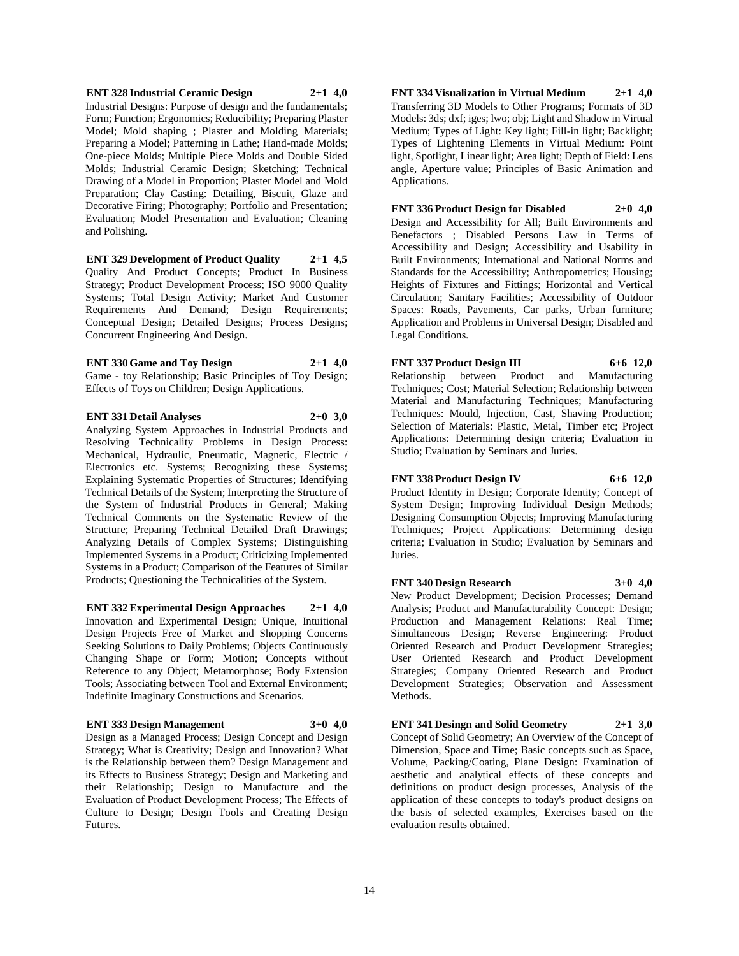## Strategy; Product Development Process; ISO 9000 Quality

Systems; Total Design Activity; Market And Customer Requirements And Demand; Design Requirements; Conceptual Design; Detailed Designs; Process Designs; Concurrent Engineering And Design.

**ENT 329 Development of Product Quality 2+1 4,5** Quality And Product Concepts; Product In Business

and Polishing.

**ENT 328 Industrial Ceramic Design 2+1 4,0** Industrial Designs: Purpose of design and the fundamentals; Form; Function; Ergonomics; Reducibility; Preparing Plaster Model; Mold shaping ; Plaster and Molding Materials; Preparing a Model; Patterning in Lathe; Hand-made Molds; One-piece Molds; Multiple Piece Molds and Double Sided Molds; Industrial Ceramic Design; Sketching; Technical Drawing of a Model in Proportion; Plaster Model and Mold Preparation; Clay Casting: Detailing, Biscuit, Glaze and Decorative Firing; Photography; Portfolio and Presentation; Evaluation; Model Presentation and Evaluation; Cleaning

**ENT 330 Game and Toy Design 2+1 4,0** Game - toy Relationship; Basic Principles of Toy Design; Effects of Toys on Children; Design Applications.

**ENT 331 Detail Analyses 2+0 3,0** Analyzing System Approaches in Industrial Products and Resolving Technicality Problems in Design Process: Mechanical, Hydraulic, Pneumatic, Magnetic, Electric / Electronics etc. Systems; Recognizing these Systems; Explaining Systematic Properties of Structures; Identifying Technical Details of the System; Interpreting the Structure of the System of Industrial Products in General; Making Technical Comments on the Systematic Review of the Structure; Preparing Technical Detailed Draft Drawings; Analyzing Details of Complex Systems; Distinguishing Implemented Systems in a Product; Criticizing Implemented Systems in a Product; Comparison of the Features of Similar Products; Questioning the Technicalities of the System.

**ENT 332 Experimental Design Approaches 2+1 4,0** Innovation and Experimental Design; Unique, Intuitional Design Projects Free of Market and Shopping Concerns Seeking Solutions to Daily Problems; Objects Continuously Changing Shape or Form; Motion; Concepts without Reference to any Object; Metamorphose; Body Extension Tools; Associating between Tool and External Environment; Indefinite Imaginary Constructions and Scenarios.

#### **ENT 333 Design Management 3+0 4,0**

Design as a Managed Process; Design Concept and Design Strategy; What is Creativity; Design and Innovation? What is the Relationship between them? Design Management and its Effects to Business Strategy; Design and Marketing and their Relationship; Design to Manufacture and the Evaluation of Product Development Process; The Effects of Culture to Design; Design Tools and Creating Design Futures.

**ENT 334 Visualization in Virtual Medium 2+1 4,0** Transferring 3D Models to Other Programs; Formats of 3D Models: 3ds; dxf; iges; lwo; obj; Light and Shadow in Virtual Medium; Types of Light: Key light; Fill-in light; Backlight; Types of Lightening Elements in Virtual Medium: Point light, Spotlight, Linear light; Area light; Depth of Field: Lens angle, Aperture value; Principles of Basic Animation and Applications.

#### **ENT 336 Product Design for Disabled 2+0 4,0**

Design and Accessibility for All; Built Environments and Benefactors ; Disabled Persons Law in Terms of Accessibility and Design; Accessibility and Usability in Built Environments; International and National Norms and Standards for the Accessibility; Anthropometrics; Housing; Heights of Fixtures and Fittings; Horizontal and Vertical Circulation; Sanitary Facilities; Accessibility of Outdoor Spaces: Roads, Pavements, Car parks, Urban furniture; Application and Problems in Universal Design; Disabled and Legal Conditions.

### **ENT 337 Product Design III 6+6 12,0**

Relationship between Product and Manufacturing Techniques; Cost; Material Selection; Relationship between Material and Manufacturing Techniques; Manufacturing Techniques: Mould, Injection, Cast, Shaving Production; Selection of Materials: Plastic, Metal, Timber etc; Project Applications: Determining design criteria; Evaluation in Studio; Evaluation by Seminars and Juries.

## **ENT 338 Product Design IV 6+6 12,0**

Product Identity in Design; Corporate Identity; Concept of System Design; Improving Individual Design Methods; Designing Consumption Objects; Improving Manufacturing Techniques; Project Applications: Determining design criteria; Evaluation in Studio; Evaluation by Seminars and Juries.

#### **ENT 340 Design Research 3+0 4,0**

New Product Development; Decision Processes; Demand

Analysis; Product and Manufacturability Concept: Design; Production and Management Relations: Real Time; Simultaneous Design; Reverse Engineering: Product Oriented Research and Product Development Strategies; User Oriented Research and Product Development Strategies; Company Oriented Research and Product Development Strategies; Observation and Assessment Methods.

**ENT 341 Desingn and Solid Geometry 2+1 3,0** Concept of Solid Geometry; An Overview of the Concept of Dimension, Space and Time; Basic concepts such as Space, Volume, Packing/Coating, Plane Design: Examination of aesthetic and analytical effects of these concepts and definitions on product design processes, Analysis of the application of these concepts to today's product designs on the basis of selected examples, Exercises based on the evaluation results obtained.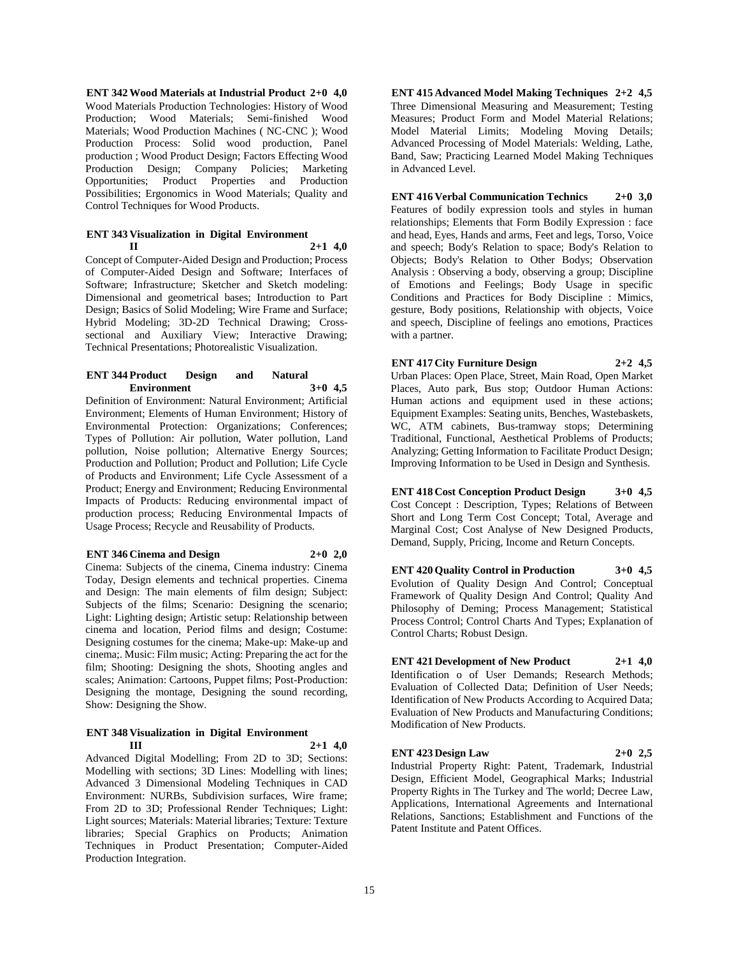**ENT 342 Wood Materials at Industrial Product 2+0 4,0** Wood Materials Production Technologies: History of Wood Production; Wood Materials; Semi-finished Wood Materials; Wood Production Machines ( NC-CNC ); Wood Production Process: Solid wood production, Panel production ; Wood Product Design; Factors Effecting Wood Production Design; Company Policies; Marketing Opportunities; Product Properties and Production Possibilities; Ergonomics in Wood Materials; Quality and Control Techniques for Wood Products.

#### **ENT 343 Visualization in Digital Environment II 2+1 4,0**

Concept of Computer-Aided Design and Production; Process of Computer-Aided Design and Software; Interfaces of Software; Infrastructure; Sketcher and Sketch modeling: Dimensional and geometrical bases; Introduction to Part Design; Basics of Solid Modeling; Wire Frame and Surface; Hybrid Modeling; 3D-2D Technical Drawing; Crosssectional and Auxiliary View; Interactive Drawing; Technical Presentations; Photorealistic Visualization.

#### **ENT 344 Product Design and Natural Environment 3+0 4,5**

Definition of Environment: Natural Environment; Artificial Environment; Elements of Human Environment; History of Environmental Protection: Organizations; Conferences; Types of Pollution: Air pollution, Water pollution, Land pollution, Noise pollution; Alternative Energy Sources; Production and Pollution; Product and Pollution; Life Cycle of Products and Environment; Life Cycle Assessment of a Product; Energy and Environment; Reducing Environmental Impacts of Products: Reducing environmental impact of production process; Reducing Environmental Impacts of Usage Process; Recycle and Reusability of Products.

#### **ENT 346 Cinema and Design 2+0 2,0**

Cinema: Subjects of the cinema, Cinema industry: Cinema Today, Design elements and technical properties. Cinema and Design: The main elements of film design; Subject: Subjects of the films; Scenario: Designing the scenario; Light: Lighting design; Artistic setup: Relationship between cinema and location, Period films and design; Costume: Designing costumes for the cinema; Make-up: Make-up and cinema;. Music: Film music; Acting: Preparing the act for the film; Shooting: Designing the shots, Shooting angles and scales; Animation: Cartoons, Puppet films; Post-Production: Designing the montage, Designing the sound recording, Show: Designing the Show.

#### **ENT 348 Visualization in Digital Environment III 2+1 4,0**

Advanced Digital Modelling; From 2D to 3D; Sections: Modelling with sections; 3D Lines: Modelling with lines; Advanced 3 Dimensional Modeling Techniques in CAD Environment: NURBs, Subdivision surfaces, Wire frame; From 2D to 3D; Professional Render Techniques; Light: Light sources; Materials: Material libraries; Texture: Texture libraries; Special Graphics on Products; Animation Techniques in Product Presentation; Computer-Aided Production Integration.

**ENT 415 Advanced Model Making Techniques 2+2 4,5** Three Dimensional Measuring and Measurement; Testing Measures; Product Form and Model Material Relations; Model Material Limits; Modeling Moving Details; Advanced Processing of Model Materials: Welding, Lathe, Band, Saw; Practicing Learned Model Making Techniques in Advanced Level.

## **ENT 416 Verbal Communication Technics 2+0 3,0**

Features of bodily expression tools and styles in human relationships; Elements that Form Bodily Expression : face and head, Eyes, Hands and arms, Feet and legs, Torso, Voice and speech; Body's Relation to space; Body's Relation to Objects; Body's Relation to Other Bodys; Observation Analysis : Observing a body, observing a group; Discipline of Emotions and Feelings; Body Usage in specific Conditions and Practices for Body Discipline : Mimics, gesture, Body positions, Relationship with objects, Voice and speech, Discipline of feelings ano emotions, Practices with a partner.

**ENT 417 City Furniture Design 2+2 4,5** Urban Places: Open Place, Street, Main Road, Open Market Places, Auto park, Bus stop; Outdoor Human Actions: Human actions and equipment used in these actions; Equipment Examples: Seating units, Benches, Wastebaskets, WC, ATM cabinets, Bus-tramway stops; Determining Traditional, Functional, Aesthetical Problems of Products; Analyzing; Getting Information to Facilitate Product Design; Improving Information to be Used in Design and Synthesis.

**ENT 418 Cost Conception Product Design 3+0 4,5** Cost Concept : Description, Types; Relations of Between Short and Long Term Cost Concept; Total, Average and Marginal Cost; Cost Analyse of New Designed Products, Demand, Supply, Pricing, Income and Return Concepts.

**ENT 420 Quality Control in Production 3+0 4,5** Evolution of Quality Design And Control; Conceptual Framework of Quality Design And Control; Quality And Philosophy of Deming; Process Management; Statistical Process Control; Control Charts And Types; Explanation of Control Charts; Robust Design.

**ENT 421 Development of New Product 2+1 4,0** Identification o of User Demands; Research Methods; Evaluation of Collected Data; Definition of User Needs; Identification of New Products According to Acquired Data; Evaluation of New Products and Manufacturing Conditions; Modification of New Products.

**ENT 423 Design Law 2+0 2,5** Industrial Property Right: Patent, Trademark, Industrial Design, Efficient Model, Geographical Marks; Industrial Property Rights in The Turkey and The world; Decree Law, Applications, International Agreements and International Relations, Sanctions; Establishment and Functions of the Patent Institute and Patent Offices.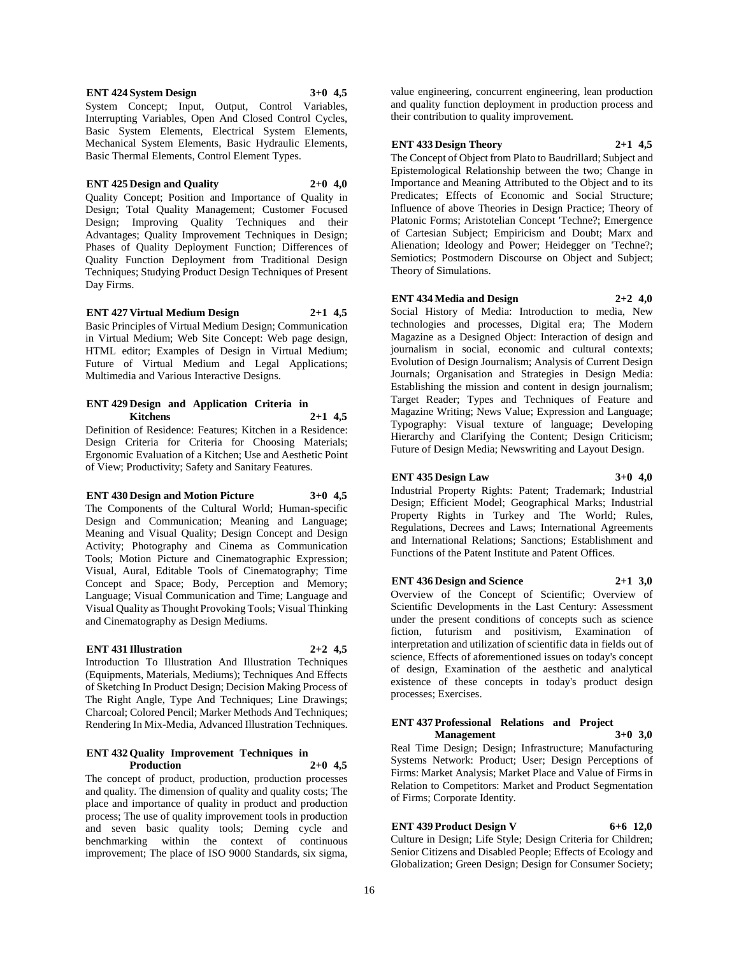#### **ENT 424 System Design 3+0 4,5**

System Concept; Input, Output, Control Variables, Interrupting Variables, Open And Closed Control Cycles, Basic System Elements, Electrical System Elements, Mechanical System Elements, Basic Hydraulic Elements, Basic Thermal Elements, Control Element Types.

#### **ENT 425 Design and Quality 2+0 4,0**

Quality Concept; Position and Importance of Quality in Design; Total Quality Management; Customer Focused Design; Improving Quality Techniques and their Advantages; Quality Improvement Techniques in Design; Phases of Quality Deployment Function; Differences of Quality Function Deployment from Traditional Design Techniques; Studying Product Design Techniques of Present Day Firms.

**ENT 427 Virtual Medium Design 2+1 4,5** Basic Principles of Virtual Medium Design; Communication in Virtual Medium; Web Site Concept: Web page design, HTML editor; Examples of Design in Virtual Medium; Future of Virtual Medium and Legal Applications; Multimedia and Various Interactive Designs.

#### **ENT 429 Design and Application Criteria in Kitchens 2+1 4,5**

Definition of Residence: Features; Kitchen in a Residence: Design Criteria for Criteria for Choosing Materials; Ergonomic Evaluation of a Kitchen; Use and Aesthetic Point of View; Productivity; Safety and Sanitary Features.

#### **ENT 430 Design and Motion Picture 3+0 4,5**

The Components of the Cultural World; Human-specific Design and Communication; Meaning and Language; Meaning and Visual Quality; Design Concept and Design Activity; Photography and Cinema as Communication Tools; Motion Picture and Cinematographic Expression; Visual, Aural, Editable Tools of Cinematography; Time Concept and Space; Body, Perception and Memory; Language; Visual Communication and Time; Language and Visual Quality as Thought Provoking Tools; Visual Thinking and Cinematography as Design Mediums.

#### **ENT 431 Illustration 2+2 4,5**

Introduction To Illustration And Illustration Techniques (Equipments, Materials, Mediums); Techniques And Effects of Sketching In Product Design; Decision Making Process of The Right Angle, Type And Techniques; Line Drawings; Charcoal; Colored Pencil; Marker Methods And Techniques; Rendering In Mix-Media, Advanced Illustration Techniques.

#### **ENT 432 Quality Improvement Techniques in Production**

The concept of product, production, production processes and quality. The dimension of quality and quality costs; The place and importance of quality in product and production process; The use of quality improvement tools in production and seven basic quality tools; Deming cycle and benchmarking within the context of continuous improvement; The place of ISO 9000 Standards, six sigma,

value engineering, concurrent engineering, lean production and quality function deployment in production process and their contribution to quality improvement.

## **ENT 433 Design Theory 2+1 4,5**

The Concept of Object from Plato to Baudrillard; Subject and Epistemological Relationship between the two; Change in Importance and Meaning Attributed to the Object and to its Predicates; Effects of Economic and Social Structure; Influence of above Theories in Design Practice; Theory of Platonic Forms; Aristotelian Concept 'Techne?; Emergence of Cartesian Subject; Empiricism and Doubt; Marx and Alienation; Ideology and Power; Heidegger on 'Techne?; Semiotics; Postmodern Discourse on Object and Subject; Theory of Simulations.

## **ENT 434 Media and Design 2+2 4,0**

Social History of Media: Introduction to media, New technologies and processes, Digital era; The Modern Magazine as a Designed Object: Interaction of design and journalism in social, economic and cultural contexts; Evolution of Design Journalism; Analysis of Current Design Journals; Organisation and Strategies in Design Media: Establishing the mission and content in design journalism; Target Reader; Types and Techniques of Feature and Magazine Writing; News Value; Expression and Language; Typography: Visual texture of language; Developing Hierarchy and Clarifying the Content; Design Criticism; Future of Design Media; Newswriting and Layout Design.

**ENT 435 Design Law 3+0 4,0** Industrial Property Rights: Patent; Trademark; Industrial Design; Efficient Model; Geographical Marks; Industrial Property Rights in Turkey and The World; Rules, Regulations, Decrees and Laws; International Agreements

#### **ENT 436 Design and Science 2+1 3,0**

Overview of the Concept of Scientific; Overview of Scientific Developments in the Last Century: Assessment under the present conditions of concepts such as science fiction, futurism and positivism, Examination of interpretation and utilization of scientific data in fields out of science, Effects of aforementioned issues on today's concept of design, Examination of the aesthetic and analytical existence of these concepts in today's product design processes; Exercises.

and International Relations; Sanctions; Establishment and Functions of the Patent Institute and Patent Offices.

## **ENT 437 Professional Relations and Project**

**Management 3+0 3,0** Real Time Design; Design; Infrastructure; Manufacturing Systems Network: Product; User; Design Perceptions of Firms: Market Analysis; Market Place and Value of Firms in Relation to Competitors: Market and Product Segmentation of Firms; Corporate Identity.

## **ENT 439 Product Design V 6+6 12,0**

Culture in Design; Life Style; Design Criteria for Children; Senior Citizens and Disabled People; Effects of Ecology and Globalization; Green Design; Design for Consumer Society;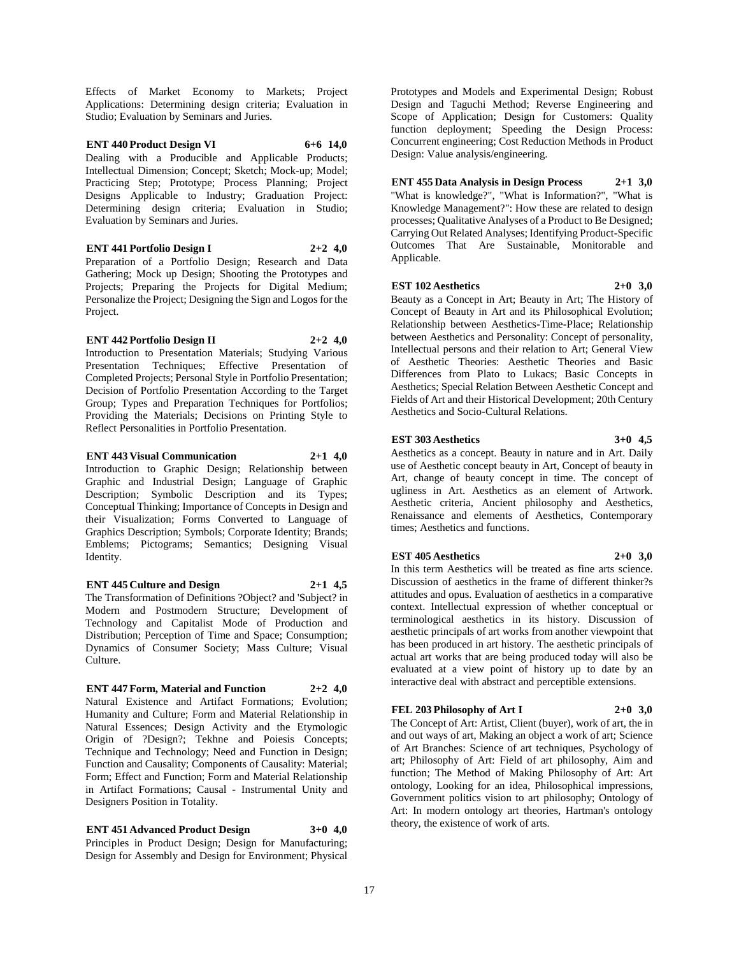Effects of Market Economy to Markets; Project Applications: Determining design criteria; Evaluation in Studio; Evaluation by Seminars and Juries.

**ENT 440 Product Design VI 6+6 14,0** Dealing with a Producible and Applicable Products; Intellectual Dimension; Concept; Sketch; Mock-up; Model; Practicing Step; Prototype; Process Planning; Project Designs Applicable to Industry; Graduation Project: Determining design criteria; Evaluation in Studio; Evaluation by Seminars and Juries.

**ENT 441 Portfolio Design I 2+2 4,0** Preparation of a Portfolio Design; Research and Data Gathering; Mock up Design; Shooting the Prototypes and Projects; Preparing the Projects for Digital Medium; Personalize the Project; Designing the Sign and Logos for the Project.

**ENT 442 Portfolio Design II 2+2 4,0** Introduction to Presentation Materials; Studying Various Presentation Techniques; Effective Presentation of Completed Projects; Personal Style in Portfolio Presentation; Decision of Portfolio Presentation According to the Target Group; Types and Preparation Techniques for Portfolios; Providing the Materials; Decisions on Printing Style to Reflect Personalities in Portfolio Presentation.

**ENT 443 Visual Communication 2+1 4,0** Introduction to Graphic Design; Relationship between Graphic and Industrial Design; Language of Graphic Description; Symbolic Description and its Types; Conceptual Thinking; Importance of Concepts in Design and their Visualization; Forms Converted to Language of Graphics Description; Symbols; Corporate Identity; Brands; Emblems; Pictograms; Semantics; Designing Visual Identity.

## **ENT 445 Culture and Design 2+1 4,5**

The Transformation of Definitions ?Object? and 'Subject? in Modern and Postmodern Structure; Development of Technology and Capitalist Mode of Production and Distribution; Perception of Time and Space; Consumption; Dynamics of Consumer Society; Mass Culture; Visual Culture.

#### **ENT 447 Form, Material and Function 2+2 4,0**

Natural Existence and Artifact Formations; Evolution; Humanity and Culture; Form and Material Relationship in Natural Essences; Design Activity and the Etymologic Origin of ?Design?; Tekhne and Poiesis Concepts; Technique and Technology; Need and Function in Design; Function and Causality; Components of Causality: Material; Form; Effect and Function; Form and Material Relationship in Artifact Formations; Causal - Instrumental Unity and Designers Position in Totality.

**ENT 451 Advanced Product Design 3+0 4,0** Principles in Product Design; Design for Manufacturing; Design for Assembly and Design for Environment; Physical Prototypes and Models and Experimental Design; Robust Design and Taguchi Method; Reverse Engineering and Scope of Application; Design for Customers: Quality function deployment; Speeding the Design Process: Concurrent engineering; Cost Reduction Methods in Product Design: Value analysis/engineering.

**ENT 455 Data Analysis in Design Process 2+1 3,0** "What is knowledge?", "What is Information?", "What is Knowledge Management?": How these are related to design processes; Qualitative Analyses of a Product to Be Designed; Carrying Out Related Analyses; Identifying Product-Specific Outcomes That Are Sustainable, Monitorable and Applicable.

#### **EST 102 Aesthetics 2+0 3,0**

Beauty as a Concept in Art; Beauty in Art; The History of Concept of Beauty in Art and its Philosophical Evolution; Relationship between Aesthetics-Time-Place; Relationship between Aesthetics and Personality: Concept of personality, Intellectual persons and their relation to Art; General View of Aesthetic Theories: Aesthetic Theories and Basic Differences from Plato to Lukacs; Basic Concepts in Aesthetics; Special Relation Between Aesthetic Concept and Fields of Art and their Historical Development; 20th Century Aesthetics and Socio-Cultural Relations.

#### **EST 303 Aesthetics 3+0 4,5**

Aesthetics as a concept. Beauty in nature and in Art. Daily use of Aesthetic concept beauty in Art, Concept of beauty in Art, change of beauty concept in time. The concept of ugliness in Art. Aesthetics as an element of Artwork. Aesthetic criteria, Ancient philosophy and Aesthetics, Renaissance and elements of Aesthetics, Contemporary times; Aesthetics and functions.

#### **EST 405 Aesthetics 2+0 3,0**

In this term Aesthetics will be treated as fine arts science. Discussion of aesthetics in the frame of different thinker?s attitudes and opus. Evaluation of aesthetics in a comparative context. Intellectual expression of whether conceptual or terminological aesthetics in its history. Discussion of aesthetic principals of art works from another viewpoint that has been produced in art history. The aesthetic principals of actual art works that are being produced today will also be evaluated at a view point of history up to date by an interactive deal with abstract and perceptible extensions.

#### **FEL 203 Philosophy of Art I 2+0 3,0**

The Concept of Art: Artist, Client (buyer), work of art, the in and out ways of art, Making an object a work of art; Science of Art Branches: Science of art techniques, Psychology of art; Philosophy of Art: Field of art philosophy, Aim and function; The Method of Making Philosophy of Art: Art ontology, Looking for an idea, Philosophical impressions, Government politics vision to art philosophy; Ontology of Art: In modern ontology art theories, Hartman's ontology theory, the existence of work of arts.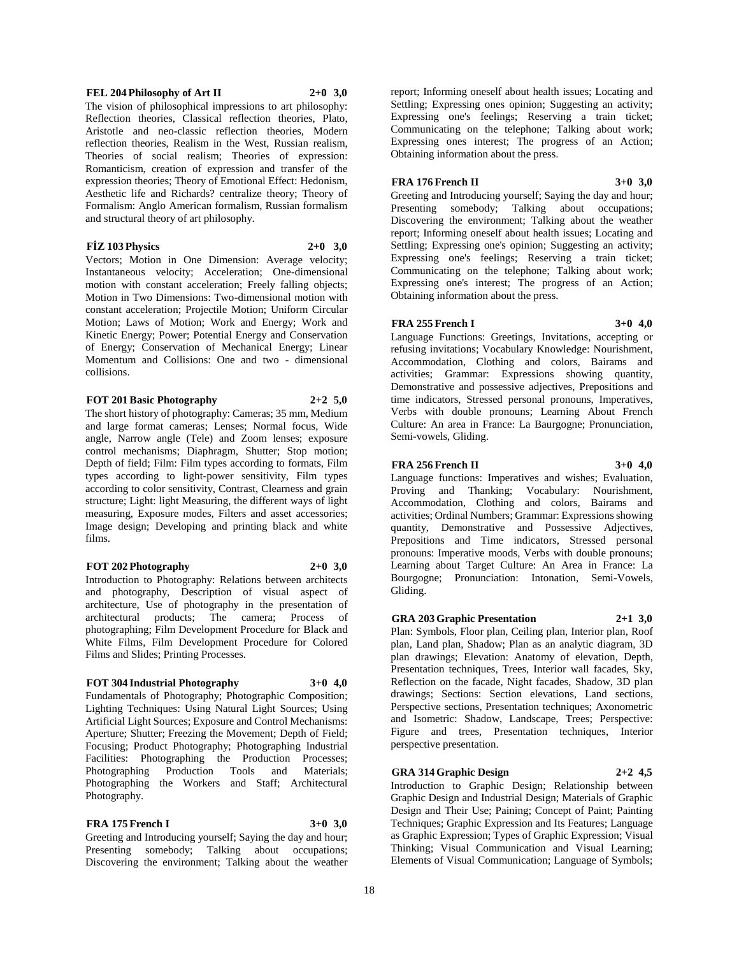## **FEL 204 Philosophy of Art II 2+0 3,0**

The vision of philosophical impressions to art philosophy: Reflection theories, Classical reflection theories, Plato, Aristotle and neo-classic reflection theories, Modern reflection theories, Realism in the West, Russian realism, Theories of social realism; Theories of expression: Romanticism, creation of expression and transfer of the expression theories; Theory of Emotional Effect: Hedonism, Aesthetic life and Richards? centralize theory; Theory of Formalism: Anglo American formalism, Russian formalism and structural theory of art philosophy.

#### **FİZ 103 Physics 2+0 3,0**

Vectors; Motion in One Dimension: Average velocity; Instantaneous velocity; Acceleration; One-dimensional motion with constant acceleration; Freely falling objects; Motion in Two Dimensions: Two-dimensional motion with constant acceleration; Projectile Motion; Uniform Circular Motion; Laws of Motion; Work and Energy; Work and Kinetic Energy; Power; Potential Energy and Conservation of Energy; Conservation of Mechanical Energy; Linear Momentum and Collisions: One and two - dimensional collisions.

#### **FOT 201 Basic Photography 2+2 5,0**

The short history of photography: Cameras; 35 mm, Medium and large format cameras; Lenses; Normal focus, Wide angle, Narrow angle (Tele) and Zoom lenses; exposure control mechanisms; Diaphragm, Shutter; Stop motion; Depth of field; Film: Film types according to formats, Film types according to light-power sensitivity, Film types according to color sensitivity, Contrast, Clearness and grain structure; Light: light Measuring, the different ways of light measuring, Exposure modes, Filters and asset accessories; Image design; Developing and printing black and white films.

#### **FOT 202 Photography 2+0 3,0**

Introduction to Photography: Relations between architects and photography, Description of visual aspect of architecture, Use of photography in the presentation of architectural products; The camera; Process of photographing; Film Development Procedure for Black and White Films, Film Development Procedure for Colored Films and Slides; Printing Processes.

#### **FOT 304 Industrial Photography 3+0 4,0**

Fundamentals of Photography; Photographic Composition; Lighting Techniques: Using Natural Light Sources; Using Artificial Light Sources; Exposure and Control Mechanisms: Aperture; Shutter; Freezing the Movement; Depth of Field; Focusing; Product Photography; Photographing Industrial Facilities: Photographing the Production Processes; Photographing Production Tools and Materials; Photographing the Workers and Staff; Architectural Photography.

## **FRA 175 French I 3+0 3,0**

Greeting and Introducing yourself; Saying the day and hour; Presenting somebody; Talking about occupations; Discovering the environment; Talking about the weather

report; Informing oneself about health issues; Locating and Settling; Expressing ones opinion; Suggesting an activity; Expressing one's feelings; Reserving a train ticket; Communicating on the telephone; Talking about work; Expressing ones interest; The progress of an Action; Obtaining information about the press.

#### **FRA 176 French II 3+0 3,0**

Greeting and Introducing yourself; Saying the day and hour; Presenting somebody; Talking about occupations; Discovering the environment; Talking about the weather report; Informing oneself about health issues; Locating and Settling; Expressing one's opinion; Suggesting an activity; Expressing one's feelings; Reserving a train ticket; Communicating on the telephone; Talking about work; Expressing one's interest; The progress of an Action; Obtaining information about the press.

#### **FRA 255 French I 3+0 4,0**

Language Functions: Greetings, Invitations, accepting or refusing invitations; Vocabulary Knowledge: Nourishment, Accommodation, Clothing and colors, Bairams and activities; Grammar: Expressions showing quantity, Demonstrative and possessive adjectives, Prepositions and time indicators, Stressed personal pronouns, Imperatives, Verbs with double pronouns; Learning About French Culture: An area in France: La Baurgogne; Pronunciation, Semi-vowels, Gliding.

## **FRA 256 French II 3+0 4,0**

Language functions: Imperatives and wishes; Evaluation, Proving and Thanking; Vocabulary: Nourishment, Accommodation, Clothing and colors, Bairams and activities; Ordinal Numbers; Grammar: Expressions showing quantity, Demonstrative and Possessive Adjectives, Prepositions and Time indicators, Stressed personal pronouns: Imperative moods, Verbs with double pronouns; Learning about Target Culture: An Area in France: La Bourgogne; Pronunciation: Intonation, Semi-Vowels, Gliding.

## **GRA 203 Graphic Presentation 2+1 3,0**

Plan: Symbols, Floor plan, Ceiling plan, Interior plan, Roof plan, Land plan, Shadow; Plan as an analytic diagram, 3D plan drawings; Elevation: Anatomy of elevation, Depth, Presentation techniques, Trees, Interior wall facades, Sky, Reflection on the facade, Night facades, Shadow, 3D plan drawings; Sections: Section elevations, Land sections, Perspective sections, Presentation techniques; Axonometric and Isometric: Shadow, Landscape, Trees; Perspective: Figure and trees, Presentation techniques, Interior perspective presentation.

## **GRA 314 Graphic Design 2+2 4,5**

Introduction to Graphic Design; Relationship between Graphic Design and Industrial Design; Materials of Graphic Design and Their Use; Paining; Concept of Paint; Painting Techniques; Graphic Expression and Its Features; Language as Graphic Expression; Types of Graphic Expression; Visual Thinking; Visual Communication and Visual Learning; Elements of Visual Communication; Language of Symbols;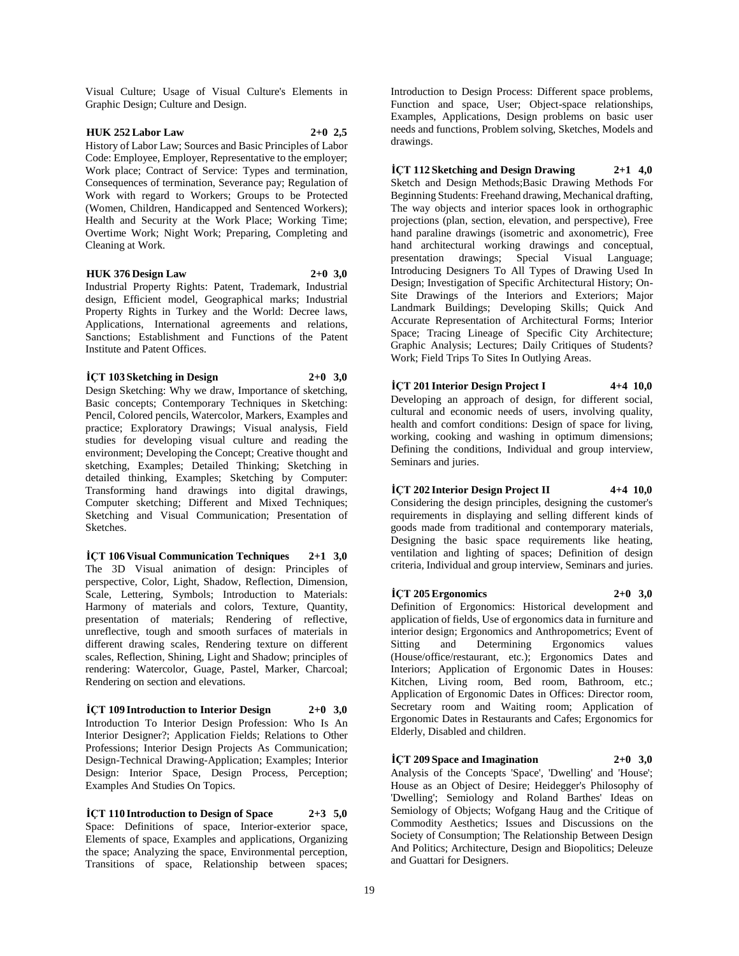Visual Culture; Usage of Visual Culture's Elements in Graphic Design; Culture and Design.

#### **HUK 252 Labor Law 2+0 2,5**

History of Labor Law; Sources and Basic Principles of Labor Code: Employee, Employer, Representative to the employer; Work place; Contract of Service: Types and termination, Consequences of termination, Severance pay; Regulation of Work with regard to Workers; Groups to be Protected (Women, Children, Handicapped and Sentenced Workers); Health and Security at the Work Place; Working Time; Overtime Work; Night Work; Preparing, Completing and Cleaning at Work.

#### **HUK 376 Design Law 2+0 3,0**

Industrial Property Rights: Patent, Trademark, Industrial design, Efficient model, Geographical marks; Industrial Property Rights in Turkey and the World: Decree laws, Applications, International agreements and relations, Sanctions; Establishment and Functions of the Patent Institute and Patent Offices.

#### **İÇT 103 Sketching in Design 2+0 3,0**

Design Sketching: Why we draw, Importance of sketching, Basic concepts; Contemporary Techniques in Sketching: Pencil, Colored pencils, Watercolor, Markers, Examples and practice; Exploratory Drawings; Visual analysis, Field studies for developing visual culture and reading the environment; Developing the Concept; Creative thought and sketching, Examples; Detailed Thinking; Sketching in detailed thinking, Examples; Sketching by Computer: Transforming hand drawings into digital drawings, Computer sketching; Different and Mixed Techniques; Sketching and Visual Communication; Presentation of Sketches.

**İÇT 106 Visual Communication Techniques 2+1 3,0** The 3D Visual animation of design: Principles of perspective, Color, Light, Shadow, Reflection, Dimension, Scale, Lettering, Symbols; Introduction to Materials: Harmony of materials and colors, Texture, Quantity, presentation of materials; Rendering of reflective, unreflective, tough and smooth surfaces of materials in different drawing scales, Rendering texture on different scales, Reflection, Shining, Light and Shadow; principles of rendering: Watercolor, Guage, Pastel, Marker, Charcoal; Rendering on section and elevations.

**İÇT 109 Introduction to Interior Design 2+0 3,0** Introduction To Interior Design Profession: Who Is An Interior Designer?; Application Fields; Relations to Other Professions; Interior Design Projects As Communication; Design-Technical Drawing-Application; Examples; Interior Design: Interior Space, Design Process, Perception; Examples And Studies On Topics.

**İÇT 110 Introduction to Design of Space 2+3 5,0** Space: Definitions of space, Interior-exterior space, Elements of space, Examples and applications, Organizing the space; Analyzing the space, Environmental perception, Transitions of space, Relationship between spaces;

Introduction to Design Process: Different space problems, Function and space, User; Object-space relationships, Examples, Applications, Design problems on basic user needs and functions, Problem solving, Sketches, Models and drawings.

**İÇT 112 Sketching and Design Drawing 2+1 4,0** Sketch and Design Methods;Basic Drawing Methods For Beginning Students: Freehand drawing, Mechanical drafting, The way objects and interior spaces look in orthographic projections (plan, section, elevation, and perspective), Free hand paraline drawings (isometric and axonometric), Free hand architectural working drawings and conceptual, presentation drawings; Special Visual Language; Introducing Designers To All Types of Drawing Used In Design; Investigation of Specific Architectural History; On-Site Drawings of the Interiors and Exteriors; Major Landmark Buildings; Developing Skills; Quick And Accurate Representation of Architectural Forms; Interior Space; Tracing Lineage of Specific City Architecture; Graphic Analysis; Lectures; Daily Critiques of Students? Work; Field Trips To Sites In Outlying Areas.

## **İÇT 201 Interior Design Project I 4+4 10,0**

Developing an approach of design, for different social, cultural and economic needs of users, involving quality, health and comfort conditions: Design of space for living, working, cooking and washing in optimum dimensions; Defining the conditions, Individual and group interview, Seminars and juries.

### **İÇT 202 Interior Design Project II 4+4 10,0**

Considering the design principles, designing the customer's requirements in displaying and selling different kinds of goods made from traditional and contemporary materials, Designing the basic space requirements like heating, ventilation and lighting of spaces; Definition of design criteria, Individual and group interview, Seminars and juries.

#### **İÇT 205 Ergonomics 2+0 3,0**

Definition of Ergonomics: Historical development and application of fields, Use of ergonomics data in furniture and interior design; Ergonomics and Anthropometrics; Event of<br>Sitting and Determining Ergonomics values Sitting and Determining Ergonomics values (House/office/restaurant, etc.); Ergonomics Dates and Interiors; Application of Ergonomic Dates in Houses: Kitchen, Living room, Bed room, Bathroom, etc.; Application of Ergonomic Dates in Offices: Director room, Secretary room and Waiting room; Application of Ergonomic Dates in Restaurants and Cafes; Ergonomics for Elderly, Disabled and children.

 $\text{ICT } 209$  Space and Imagination  $2+0$  **3,0** Analysis of the Concepts 'Space', 'Dwelling' and 'House'; House as an Object of Desire; Heidegger's Philosophy of 'Dwelling'; Semiology and Roland Barthes' Ideas on Semiology of Objects; Wofgang Haug and the Critique of Commodity Aesthetics; Issues and Discussions on the Society of Consumption; The Relationship Between Design And Politics; Architecture, Design and Biopolitics; Deleuze

and Guattari for Designers.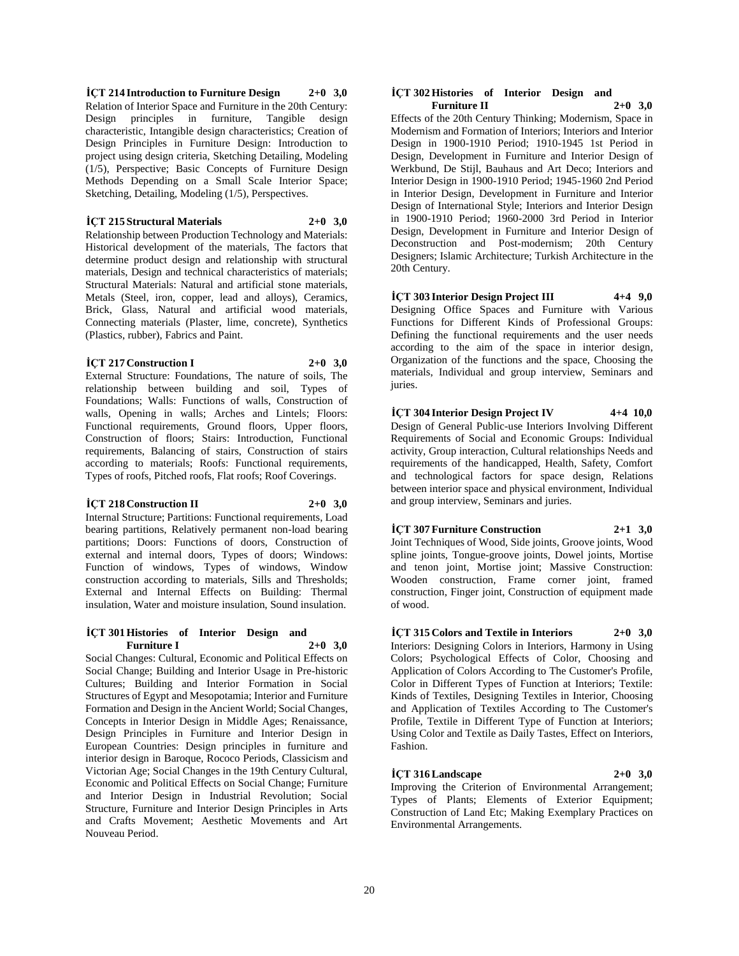**İÇT 214 Introduction to Furniture Design 2+0 3,0** Relation of Interior Space and Furniture in the 20th Century: Design principles in furniture, Tangible design characteristic, Intangible design characteristics; Creation of Design Principles in Furniture Design: Introduction to project using design criteria, Sketching Detailing, Modeling (1/5), Perspective; Basic Concepts of Furniture Design Methods Depending on a Small Scale Interior Space; Sketching, Detailing, Modeling (1/5), Perspectives.

#### **İÇT 215 Structural Materials 2+0 3,0**

Relationship between Production Technology and Materials: Historical development of the materials, The factors that determine product design and relationship with structural materials, Design and technical characteristics of materials; Structural Materials: Natural and artificial stone materials, Metals (Steel, iron, copper, lead and alloys), Ceramics, Brick, Glass, Natural and artificial wood materials, Connecting materials (Plaster, lime, concrete), Synthetics (Plastics, rubber), Fabrics and Paint.

#### **İÇT 217 Construction I 2+0 3,0**

External Structure: Foundations, The nature of soils, The relationship between building and soil, Types of Foundations; Walls: Functions of walls, Construction of walls, Opening in walls; Arches and Lintels; Floors: Functional requirements, Ground floors, Upper floors, Construction of floors; Stairs: Introduction, Functional requirements, Balancing of stairs, Construction of stairs according to materials; Roofs: Functional requirements, Types of roofs, Pitched roofs, Flat roofs; Roof Coverings.

## **İÇT 218 Construction II 2+0 3,0**

Internal Structure; Partitions: Functional requirements, Load bearing partitions, Relatively permanent non-load bearing partitions; Doors: Functions of doors, Construction of external and internal doors, Types of doors; Windows: Function of windows, Types of windows, Window construction according to materials, Sills and Thresholds; External and Internal Effects on Building: Thermal insulation, Water and moisture insulation, Sound insulation.

#### **İÇT 301 Histories of Interior Design and Furniture I 2+0 3,0**

Social Changes: Cultural, Economic and Political Effects on Social Change; Building and Interior Usage in Pre-historic Cultures; Building and Interior Formation in Social Structures of Egypt and Mesopotamia; Interior and Furniture Formation and Design in the Ancient World; Social Changes, Concepts in Interior Design in Middle Ages; Renaissance, Design Principles in Furniture and Interior Design in European Countries: Design principles in furniture and interior design in Baroque, Rococo Periods, Classicism and Victorian Age; Social Changes in the 19th Century Cultural, Economic and Political Effects on Social Change; Furniture and Interior Design in Industrial Revolution; Social Structure, Furniture and Interior Design Principles in Arts and Crafts Movement; Aesthetic Movements and Art Nouveau Period.

#### **İÇT 302 Histories of Interior Design and Furniture II 2+0 3,0**

Effects of the 20th Century Thinking; Modernism, Space in Modernism and Formation of Interiors; Interiors and Interior Design in 1900-1910 Period; 1910-1945 1st Period in Design, Development in Furniture and Interior Design of Werkbund, De Stijl, Bauhaus and Art Deco; Interiors and Interior Design in 1900-1910 Period; 1945-1960 2nd Period in Interior Design, Development in Furniture and Interior Design of International Style; Interiors and Interior Design in 1900-1910 Period; 1960-2000 3rd Period in Interior Design, Development in Furniture and Interior Design of Deconstruction and Post-modernism; 20th Century Designers; Islamic Architecture; Turkish Architecture in the 20th Century.

**İÇT 303 Interior Design Project III 4+4 9,0** Designing Office Spaces and Furniture with Various Functions for Different Kinds of Professional Groups: Defining the functional requirements and the user needs according to the aim of the space in interior design, Organization of the functions and the space, Choosing the materials, Individual and group interview, Seminars and juries.

#### **İÇT 304 Interior Design Project IV 4+4 10,0** Design of General Public-use Interiors Involving Different Requirements of Social and Economic Groups: Individual activity, Group interaction, Cultural relationships Needs and requirements of the handicapped, Health, Safety, Comfort and technological factors for space design, Relations between interior space and physical environment, Individual

**İÇT 307 Furniture Construction 2+1 3,0**

and group interview, Seminars and juries.

Joint Techniques of Wood, Side joints, Groove joints, Wood spline joints, Tongue-groove joints, Dowel joints, Mortise and tenon joint, Mortise joint; Massive Construction: Wooden construction, Frame corner joint, framed construction, Finger joint, Construction of equipment made of wood.

## **İÇT 315 Colors and Textile in Interiors 2+0 3,0** Interiors: Designing Colors in Interiors, Harmony in Using

Colors; Psychological Effects of Color, Choosing and Application of Colors According to The Customer's Profile, Color in Different Types of Function at Interiors; Textile: Kinds of Textiles, Designing Textiles in Interior, Choosing and Application of Textiles According to The Customer's Profile, Textile in Different Type of Function at Interiors; Using Color and Textile as Daily Tastes, Effect on Interiors, Fashion.

## **İÇT 316 Landscape 2+0 3,0**

Improving the Criterion of Environmental Arrangement; Types of Plants; Elements of Exterior Equipment; Construction of Land Etc; Making Exemplary Practices on Environmental Arrangements.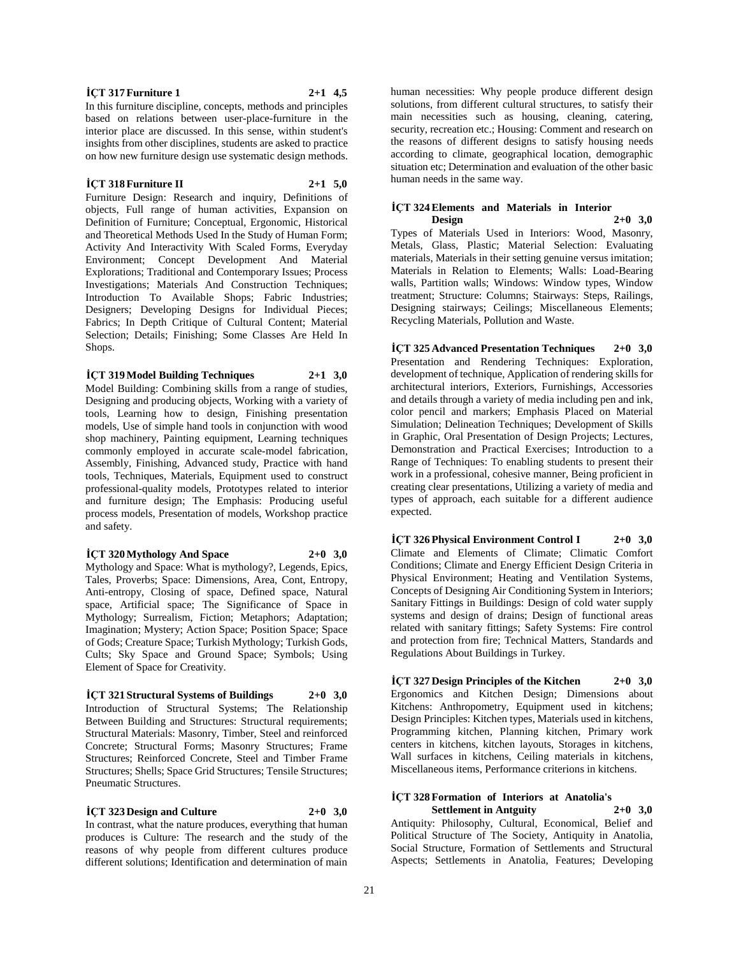#### **İÇT 317 Furniture 1 2+1 4,5**

In this furniture discipline, concepts, methods and principles based on relations between user-place-furniture in the interior place are discussed. In this sense, within student's insights from other disciplines, students are asked to practice on how new furniture design use systematic design methods.

#### **İÇT 318 Furniture II 2+1 5,0**

Furniture Design: Research and inquiry, Definitions of objects, Full range of human activities, Expansion on Definition of Furniture; Conceptual, Ergonomic, Historical and Theoretical Methods Used In the Study of Human Form; Activity And Interactivity With Scaled Forms, Everyday Environment; Concept Development And Material Explorations; Traditional and Contemporary Issues; Process Investigations; Materials And Construction Techniques; Introduction To Available Shops; Fabric Industries; Designers; Developing Designs for Individual Pieces; Fabrics; In Depth Critique of Cultural Content; Material Selection; Details; Finishing; Some Classes Are Held In Shops.

**İÇT 319 Model Building Techniques 2+1 3,0** Model Building: Combining skills from a range of studies, Designing and producing objects, Working with a variety of tools, Learning how to design, Finishing presentation models, Use of simple hand tools in conjunction with wood shop machinery, Painting equipment, Learning techniques commonly employed in accurate scale-model fabrication, Assembly, Finishing, Advanced study, Practice with hand tools, Techniques, Materials, Equipment used to construct professional-quality models, Prototypes related to interior and furniture design; The Emphasis: Producing useful process models, Presentation of models, Workshop practice and safety.

#### **İÇT 320 Mythology And Space 2+0 3,0**

Mythology and Space: What is mythology?, Legends, Epics, Tales, Proverbs; Space: Dimensions, Area, Cont, Entropy, Anti-entropy, Closing of space, Defined space, Natural space, Artificial space; The Significance of Space in Mythology; Surrealism, Fiction; Metaphors; Adaptation; Imagination; Mystery; Action Space; Position Space; Space of Gods; Creature Space; Turkish Mythology; Turkish Gods, Cults; Sky Space and Ground Space; Symbols; Using Element of Space for Creativity.

#### **İÇT 321 Structural Systems of Buildings 2+0 3,0**

Introduction of Structural Systems; The Relationship Between Building and Structures: Structural requirements; Structural Materials: Masonry, Timber, Steel and reinforced Concrete; Structural Forms; Masonry Structures; Frame Structures; Reinforced Concrete, Steel and Timber Frame Structures; Shells; Space Grid Structures; Tensile Structures; Pneumatic Structures.

**İÇT 323 Design and Culture 2+0 3,0**

In contrast, what the nature produces, everything that human produces is Culture: The research and the study of the reasons of why people from different cultures produce different solutions; Identification and determination of main

human necessities: Why people produce different design solutions, from different cultural structures, to satisfy their main necessities such as housing, cleaning, catering, security, recreation etc.; Housing: Comment and research on the reasons of different designs to satisfy housing needs according to climate, geographical location, demographic situation etc; Determination and evaluation of the other basic human needs in the same way.

### **İÇT 324 Elements and Materials in Interior Design 2+0 3,0**

Types of Materials Used in Interiors: Wood, Masonry, Metals, Glass, Plastic; Material Selection: Evaluating materials, Materials in their setting genuine versus imitation; Materials in Relation to Elements; Walls: Load-Bearing walls, Partition walls; Windows: Window types, Window treatment; Structure: Columns; Stairways: Steps, Railings, Designing stairways; Ceilings; Miscellaneous Elements; Recycling Materials, Pollution and Waste.

**İÇT 325 Advanced Presentation Techniques 2+0 3,0** Presentation and Rendering Techniques: Exploration, development of technique, Application of rendering skills for architectural interiors, Exteriors, Furnishings, Accessories and details through a variety of media including pen and ink, color pencil and markers; Emphasis Placed on Material Simulation; Delineation Techniques; Development of Skills in Graphic, Oral Presentation of Design Projects; Lectures, Demonstration and Practical Exercises; Introduction to a Range of Techniques: To enabling students to present their work in a professional, cohesive manner, Being proficient in creating clear presentations, Utilizing a variety of media and types of approach, each suitable for a different audience expected.

**İÇT 326 Physical Environment Control I 2+0 3,0** Climate and Elements of Climate; Climatic Comfort Conditions; Climate and Energy Efficient Design Criteria in Physical Environment; Heating and Ventilation Systems, Concepts of Designing Air Conditioning System in Interiors; Sanitary Fittings in Buildings: Design of cold water supply systems and design of drains; Design of functional areas related with sanitary fittings; Safety Systems: Fire control and protection from fire; Technical Matters, Standards and Regulations About Buildings in Turkey.

**İÇT 327 Design Principles of the Kitchen 2+0 3,0** Ergonomics and Kitchen Design; Dimensions about Kitchens: Anthropometry, Equipment used in kitchens; Design Principles: Kitchen types, Materials used in kitchens, Programming kitchen, Planning kitchen, Primary work centers in kitchens, kitchen layouts, Storages in kitchens, Wall surfaces in kitchens, Ceiling materials in kitchens, Miscellaneous items, Performance criterions in kitchens.

#### **İÇT 328 Formation of Interiors at Anatolia's Settlement in Antguity 2+0 3,0**

Antiquity: Philosophy, Cultural, Economical, Belief and Political Structure of The Society, Antiquity in Anatolia, Social Structure, Formation of Settlements and Structural Aspects; Settlements in Anatolia, Features; Developing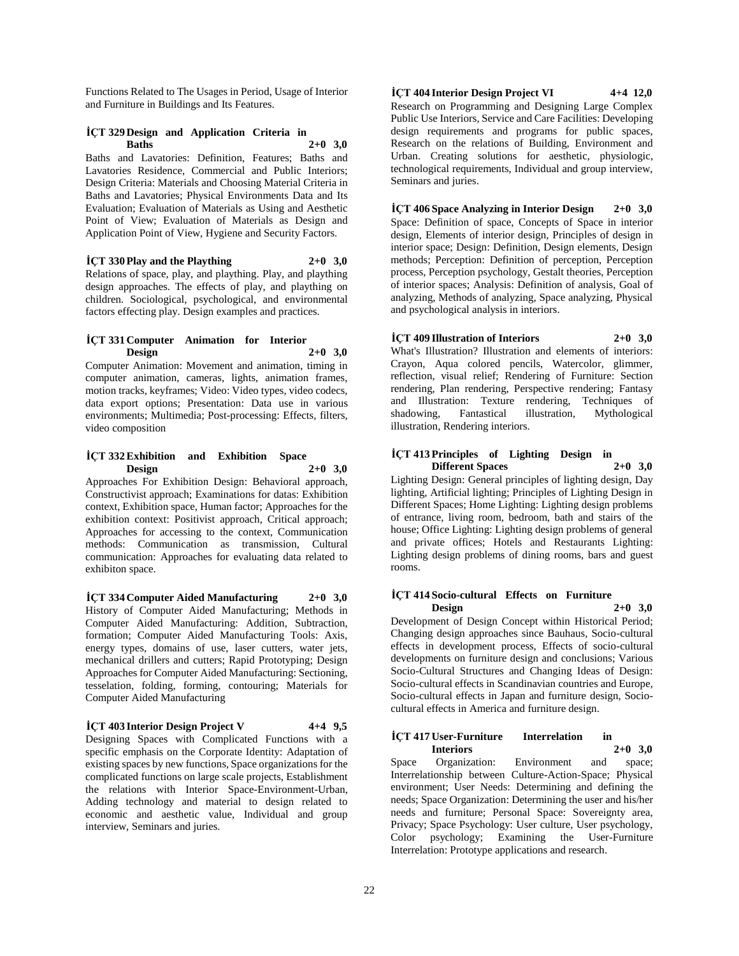Functions Related to The Usages in Period, Usage of Interior and Furniture in Buildings and Its Features.

#### **İÇT 329 Design and Application Criteria in Baths 2+0 3,0**

Baths and Lavatories: Definition, Features; Baths and Lavatories Residence, Commercial and Public Interiors; Design Criteria: Materials and Choosing Material Criteria in Baths and Lavatories; Physical Environments Data and Its Evaluation; Evaluation of Materials as Using and Aesthetic Point of View; Evaluation of Materials as Design and Application Point of View, Hygiene and Security Factors.

 $\text{ICT } 330 \text{ Play}$  and the Plaything  $2+0.3,0$ Relations of space, play, and plaything. Play, and plaything design approaches. The effects of play, and plaything on children. Sociological, psychological, and environmental factors effecting play. Design examples and practices.

#### **İÇT 331 Computer Animation for Interior Design 2+0 3,0**

Computer Animation: Movement and animation, timing in computer animation, cameras, lights, animation frames, motion tracks, keyframes; Video: Video types, video codecs, data export options; Presentation: Data use in various environments; Multimedia; Post-processing: Effects, filters, video composition

#### **İÇT 332 Exhibition and Exhibition Space Design 2+0 3,0**

Approaches For Exhibition Design: Behavioral approach, Constructivist approach; Examinations for datas: Exhibition context, Exhibition space, Human factor; Approaches for the exhibition context: Positivist approach, Critical approach; Approaches for accessing to the context, Communication methods: Communication as transmission, Cultural communication: Approaches for evaluating data related to exhibiton space.

**İÇT 334 Computer Aided Manufacturing 2+0 3,0** History of Computer Aided Manufacturing; Methods in Computer Aided Manufacturing: Addition, Subtraction, formation; Computer Aided Manufacturing Tools: Axis, energy types, domains of use, laser cutters, water jets, mechanical drillers and cutters; Rapid Prototyping; Design Approaches for Computer Aided Manufacturing: Sectioning, tesselation, folding, forming, contouring; Materials for Computer Aided Manufacturing

#### **İÇT 403 Interior Design Project V 4+4 9,5**

Designing Spaces with Complicated Functions with a specific emphasis on the Corporate Identity: Adaptation of existing spaces by new functions, Space organizations for the complicated functions on large scale projects, Establishment the relations with Interior Space-Environment-Urban, Adding technology and material to design related to economic and aesthetic value, Individual and group interview, Seminars and juries.

**İÇT 404 Interior Design Project VI 4+4 12,0** Research on Programming and Designing Large Complex Public Use Interiors, Service and Care Facilities: Developing design requirements and programs for public spaces, Research on the relations of Building, Environment and Urban. Creating solutions for aesthetic, physiologic, technological requirements, Individual and group interview, Seminars and juries.

**İÇT 406 Space Analyzing in Interior Design 2+0 3,0** Space: Definition of space, Concepts of Space in interior design, Elements of interior design, Principles of design in interior space; Design: Definition, Design elements, Design methods; Perception: Definition of perception, Perception process, Perception psychology, Gestalt theories, Perception of interior spaces; Analysis: Definition of analysis, Goal of analyzing, Methods of analyzing, Space analyzing, Physical and psychological analysis in interiors.

## **İÇT 409 Illustration of Interiors 2+0 3,0**

What's Illustration? Illustration and elements of interiors: Crayon, Aqua colored pencils, Watercolor, glimmer, reflection, visual relief; Rendering of Furniture: Section rendering, Plan rendering, Perspective rendering; Fantasy and Illustration: Texture rendering, Techniques of shadowing, Fantastical illustration, Mythological illustration, Rendering interiors.

#### **İÇT 413 Principles of Lighting Design in Different Spaces**

Lighting Design: General principles of lighting design, Day lighting, Artificial lighting; Principles of Lighting Design in Different Spaces; Home Lighting: Lighting design problems of entrance, living room, bedroom, bath and stairs of the house; Office Lighting: Lighting design problems of general and private offices; Hotels and Restaurants Lighting: Lighting design problems of dining rooms, bars and guest rooms.

#### **İÇT 414 Socio-cultural Effects on Furniture Design 2+0 3,0**

Development of Design Concept within Historical Period; Changing design approaches since Bauhaus, Socio-cultural effects in development process, Effects of socio-cultural developments on furniture design and conclusions; Various Socio-Cultural Structures and Changing Ideas of Design: Socio-cultural effects in Scandinavian countries and Europe, Socio-cultural effects in Japan and furniture design, Sociocultural effects in America and furniture design.

#### **İÇT 417 User-Furniture Interrelation in Interiors**

Space Organization: Environment and space; Interrelationship between Culture-Action-Space; Physical environment; User Needs: Determining and defining the needs; Space Organization: Determining the user and his/her needs and furniture; Personal Space: Sovereignty area, Privacy; Space Psychology: User culture, User psychology, Color psychology; Examining the User-Furniture Interrelation: Prototype applications and research.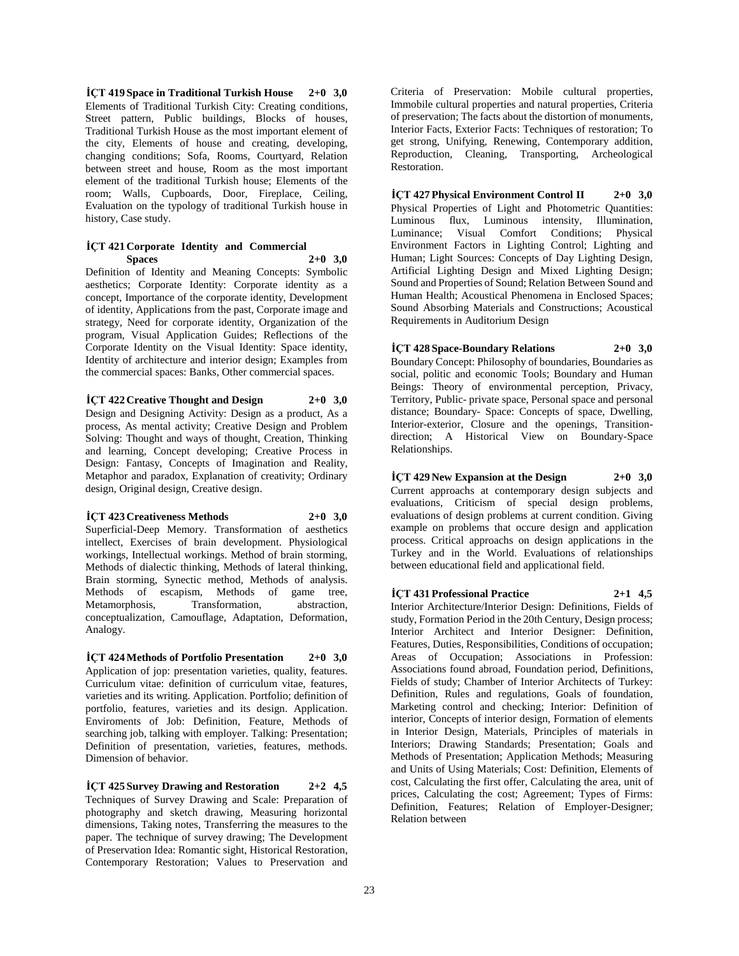**İÇT 419 Space in Traditional Turkish House 2+0 3,0** Elements of Traditional Turkish City: Creating conditions, Street pattern, Public buildings, Blocks of houses, Traditional Turkish House as the most important element of the city, Elements of house and creating, developing, changing conditions; Sofa, Rooms, Courtyard, Relation between street and house, Room as the most important element of the traditional Turkish house; Elements of the room; Walls, Cupboards, Door, Fireplace, Ceiling, Evaluation on the typology of traditional Turkish house in history, Case study.

#### **İÇT 421 Corporate Identity and Commercial Spaces 2+0 3,0**

Definition of Identity and Meaning Concepts: Symbolic aesthetics; Corporate Identity: Corporate identity as a concept, Importance of the corporate identity, Development of identity, Applications from the past, Corporate image and strategy, Need for corporate identity, Organization of the program, Visual Application Guides; Reflections of the Corporate Identity on the Visual Identity: Space identity, Identity of architecture and interior design; Examples from the commercial spaces: Banks, Other commercial spaces.

## **İÇT 422 Creative Thought and Design 2+0 3,0**

Design and Designing Activity: Design as a product, As a process, As mental activity; Creative Design and Problem Solving: Thought and ways of thought, Creation, Thinking and learning, Concept developing; Creative Process in Design: Fantasy, Concepts of Imagination and Reality, Metaphor and paradox, Explanation of creativity; Ordinary design, Original design, Creative design.

## **İÇT 423 Creativeness Methods 2+0 3,0**

Superficial-Deep Memory. Transformation of aesthetics intellect, Exercises of brain development. Physiological workings, Intellectual workings. Method of brain storming, Methods of dialectic thinking, Methods of lateral thinking, Brain storming, Synectic method, Methods of analysis. Methods of escapism, Methods of game tree, Metamorphosis, Transformation, abstraction, conceptualization, Camouflage, Adaptation, Deformation, Analogy.

**İÇT 424 Methods of Portfolio Presentation 2+0 3,0** Application of jop: presentation varieties, quality, features. Curriculum vitae: definition of curriculum vitae, features, varieties and its writing. Application. Portfolio; definition of portfolio, features, varieties and its design. Application. Enviroments of Job: Definition, Feature, Methods of searching job, talking with employer. Talking: Presentation; Definition of presentation, varieties, features, methods. Dimension of behavior.

**İÇT 425 Survey Drawing and Restoration 2+2 4,5** Techniques of Survey Drawing and Scale: Preparation of photography and sketch drawing, Measuring horizontal dimensions, Taking notes, Transferring the measures to the paper. The technique of survey drawing; The Development of Preservation Idea: Romantic sight, Historical Restoration, Contemporary Restoration; Values to Preservation and

Criteria of Preservation: Mobile cultural properties, Immobile cultural properties and natural properties, Criteria of preservation; The facts about the distortion of monuments, Interior Facts, Exterior Facts: Techniques of restoration; To get strong, Unifying, Renewing, Contemporary addition, Reproduction, Cleaning, Transporting, Archeological Restoration.

**İÇT 427 Physical Environment Control II 2+0 3,0** Physical Properties of Light and Photometric Quantities: Luminous flux, Luminous intensity, Illumination, Luminance; Visual Comfort Conditions; Physical Environment Factors in Lighting Control; Lighting and Human; Light Sources: Concepts of Day Lighting Design, Artificial Lighting Design and Mixed Lighting Design; Sound and Properties of Sound; Relation Between Sound and Human Health; Acoustical Phenomena in Enclosed Spaces; Sound Absorbing Materials and Constructions; Acoustical Requirements in Auditorium Design

## **İÇT 428 Space-Boundary Relations 2+0 3,0**

Boundary Concept: Philosophy of boundaries, Boundaries as social, politic and economic Tools; Boundary and Human Beings: Theory of environmental perception, Privacy, Territory, Public- private space, Personal space and personal distance; Boundary- Space: Concepts of space, Dwelling, Interior-exterior, Closure and the openings, Transitiondirection; A Historical View on Boundary-Space Relationships.

## **İÇT 429 New Expansion at the Design 2+0 3,0**

Current approachs at contemporary design subjects and evaluations, Criticism of special design problems, evaluations of design problems at current condition. Giving example on problems that occure design and application process. Critical approachs on design applications in the Turkey and in the World. Evaluations of relationships between educational field and applicational field.

**İÇT 431 Professional Practice 2+1 4,5** Interior Architecture/Interior Design: Definitions, Fields of study, Formation Period in the 20th Century, Design process; Interior Architect and Interior Designer: Definition, Features, Duties, Responsibilities, Conditions of occupation; Areas of Occupation; Associations in Profession: Associations found abroad, Foundation period, Definitions, Fields of study; Chamber of Interior Architects of Turkey: Definition, Rules and regulations, Goals of foundation, Marketing control and checking; Interior: Definition of interior, Concepts of interior design, Formation of elements in Interior Design, Materials, Principles of materials in Interiors; Drawing Standards; Presentation; Goals and Methods of Presentation; Application Methods; Measuring and Units of Using Materials; Cost: Definition, Elements of cost, Calculating the first offer, Calculating the area, unit of prices, Calculating the cost; Agreement; Types of Firms: Definition, Features; Relation of Employer-Designer; Relation between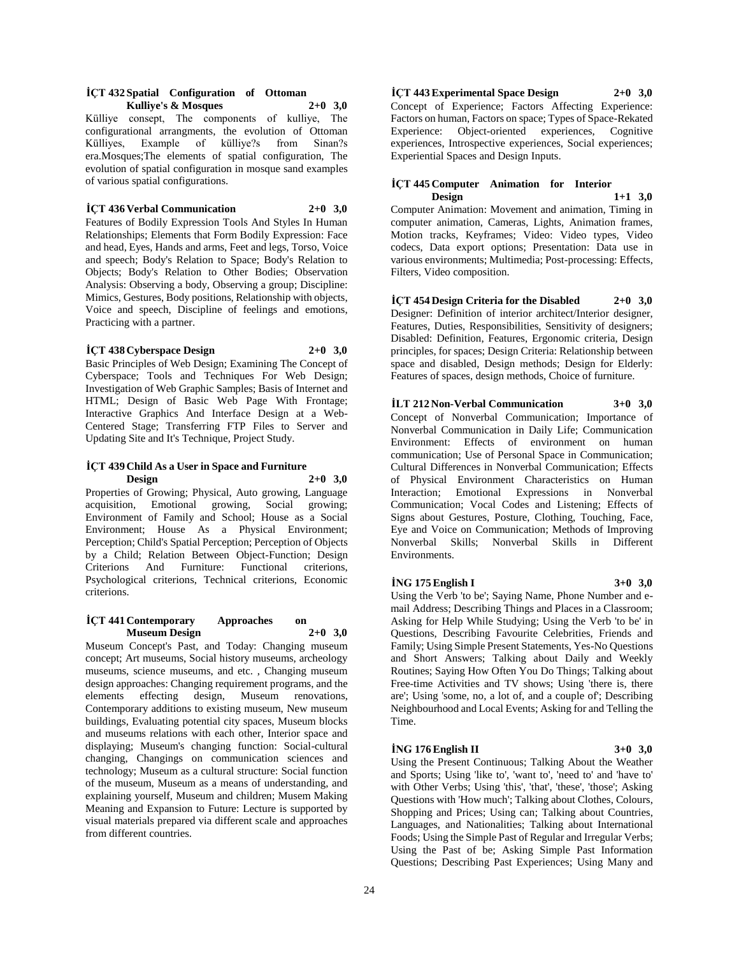## **İÇT 432 Spatial Configuration of Ottoman**

**Kulliye's & Mosques 2+0 3,0** Külliye consept, The components of kulliye, The configurational arrangments, the evolution of Ottoman Külliyes, Example of külliye?s from Sinan?s era.Mosques;The elements of spatial configuration, The evolution of spatial configuration in mosque sand examples of various spatial configurations.

#### **İÇT 436 Verbal Communication 2+0 3,0**

Features of Bodily Expression Tools And Styles In Human Relationships; Elements that Form Bodily Expression: Face and head, Eyes, Hands and arms, Feet and legs, Torso, Voice and speech; Body's Relation to Space; Body's Relation to Objects; Body's Relation to Other Bodies; Observation Analysis: Observing a body, Observing a group; Discipline: Mimics, Gestures, Body positions, Relationship with objects, Voice and speech, Discipline of feelings and emotions, Practicing with a partner.

#### **İÇT 438 Cyberspace Design 2+0 3,0**

Basic Principles of Web Design; Examining The Concept of Cyberspace; Tools and Techniques For Web Design; Investigation of Web Graphic Samples; Basis of Internet and HTML; Design of Basic Web Page With Frontage; Interactive Graphics And Interface Design at a Web-Centered Stage; Transferring FTP Files to Server and Updating Site and It's Technique, Project Study.

#### **İÇT 439 Child As a User in Space and Furniture Design 2+0 3,0**

Properties of Growing; Physical, Auto growing, Language acquisition, Emotional growing, Social growing; Environment of Family and School; House as a Social Environment; House As a Physical Environment; Perception; Child's Spatial Perception; Perception of Objects by a Child; Relation Between Object-Function; Design Criterions And Furniture: Functional criterions, Psychological criterions, Technical criterions, Economic criterions.

#### **İÇT 441 Contemporary Approaches on Museum Design 2+0 3,0**

Museum Concept's Past, and Today: Changing museum concept; Art museums, Social history museums, archeology museums, science museums, and etc. , Changing museum design approaches: Changing requirement programs, and the elements effecting design, Museum renovations, elements effecting design, Museum renovations, Contemporary additions to existing museum, New museum buildings, Evaluating potential city spaces, Museum blocks and museums relations with each other, Interior space and displaying; Museum's changing function: Social-cultural changing, Changings on communication sciences and technology; Museum as a cultural structure: Social function of the museum, Museum as a means of understanding, and explaining yourself, Museum and children; Musem Making Meaning and Expansion to Future: Lecture is supported by visual materials prepared via different scale and approaches from different countries.

## **İÇT 443 Experimental Space Design 2+0 3,0**

Concept of Experience; Factors Affecting Experience: Factors on human, Factors on space; Types of Space-Rekated Experience: Object-oriented experiences, Cognitive experiences, Introspective experiences, Social experiences; Experiential Spaces and Design Inputs.

## **İÇT 445 Computer Animation for Interior Design 1+1 3,0**

Computer Animation: Movement and animation, Timing in computer animation, Cameras, Lights, Animation frames, Motion tracks, Keyframes; Video: Video types, Video codecs, Data export options; Presentation: Data use in various environments; Multimedia; Post-processing: Effects, Filters, Video composition.

**İÇT 454 Design Criteria for the Disabled 2+0 3,0** Designer: Definition of interior architect/Interior designer, Features, Duties, Responsibilities, Sensitivity of designers; Disabled: Definition, Features, Ergonomic criteria, Design principles, for spaces; Design Criteria: Relationship between space and disabled, Design methods; Design for Elderly: Features of spaces, design methods, Choice of furniture.

## **İLT 212 Non-Verbal Communication 3+0 3,0**

Concept of Nonverbal Communication; Importance of Nonverbal Communication in Daily Life; Communication Environment: Effects of environment on human communication; Use of Personal Space in Communication; Cultural Differences in Nonverbal Communication; Effects of Physical Environment Characteristics on Human Interaction; Emotional Expressions in Nonverbal Communication; Vocal Codes and Listening; Effects of Signs about Gestures, Posture, Clothing, Touching, Face, Eye and Voice on Communication; Methods of Improving Nonverbal Skills; Nonverbal Skills in Different Environments.

#### **İNG 175 English I 3+0 3,0**

Using the Verb 'to be'; Saying Name, Phone Number and email Address; Describing Things and Places in a Classroom; Asking for Help While Studying; Using the Verb 'to be' in Questions, Describing Favourite Celebrities, Friends and Family; Using Simple Present Statements, Yes-No Questions and Short Answers; Talking about Daily and Weekly Routines; Saying How Often You Do Things; Talking about Free-time Activities and TV shows; Using 'there is, there are'; Using 'some, no, a lot of, and a couple of'; Describing Neighbourhood and Local Events; Asking for and Telling the Time.

#### **İNG 176 English II 3+0 3,0**

Using the Present Continuous; Talking About the Weather and Sports; Using 'like to', 'want to', 'need to' and 'have to' with Other Verbs; Using 'this', 'that', 'these', 'those'; Asking Questions with 'How much'; Talking about Clothes, Colours, Shopping and Prices; Using can; Talking about Countries, Languages, and Nationalities; Talking about International Foods; Using the Simple Past of Regular and Irregular Verbs; Using the Past of be; Asking Simple Past Information Questions; Describing Past Experiences; Using Many and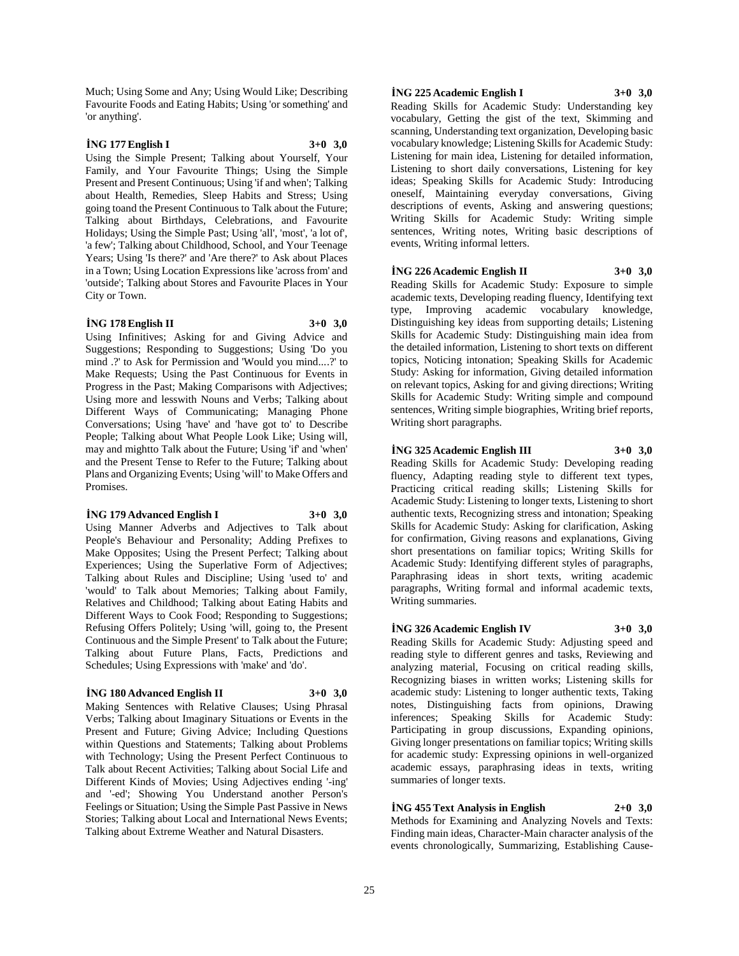Much; Using Some and Any; Using Would Like; Describing Favourite Foods and Eating Habits; Using 'or something' and 'or anything'.

## **İNG 177 English I 3+0 3,0**

Using the Simple Present; Talking about Yourself, Your Family, and Your Favourite Things; Using the Simple Present and Present Continuous; Using 'if and when'; Talking about Health, Remedies, Sleep Habits and Stress; Using going toand the Present Continuous to Talk about the Future; Talking about Birthdays, Celebrations, and Favourite Holidays; Using the Simple Past; Using 'all', 'most', 'a lot of', 'a few'; Talking about Childhood, School, and Your Teenage Years; Using 'Is there?' and 'Are there?' to Ask about Places in a Town; Using Location Expressions like 'across from' and 'outside'; Talking about Stores and Favourite Places in Your City or Town.

#### **İNG 178 English II 3+0 3,0**

Using Infinitives; Asking for and Giving Advice and Suggestions; Responding to Suggestions; Using 'Do you mind .?' to Ask for Permission and 'Would you mind....?' to Make Requests; Using the Past Continuous for Events in Progress in the Past; Making Comparisons with Adjectives; Using more and lesswith Nouns and Verbs; Talking about Different Ways of Communicating; Managing Phone Conversations; Using 'have' and 'have got to' to Describe People; Talking about What People Look Like; Using will, may and mightto Talk about the Future; Using 'if' and 'when' and the Present Tense to Refer to the Future; Talking about Plans and Organizing Events; Using 'will' to Make Offers and Promises.

#### **İNG 179 Advanced English I 3+0 3,0**

Using Manner Adverbs and Adjectives to Talk about People's Behaviour and Personality; Adding Prefixes to Make Opposites; Using the Present Perfect; Talking about Experiences; Using the Superlative Form of Adjectives; Talking about Rules and Discipline; Using 'used to' and 'would' to Talk about Memories; Talking about Family, Relatives and Childhood; Talking about Eating Habits and Different Ways to Cook Food; Responding to Suggestions; Refusing Offers Politely; Using 'will, going to, the Present Continuous and the Simple Present' to Talk about the Future; Talking about Future Plans, Facts, Predictions and Schedules; Using Expressions with 'make' and 'do'.

#### **İNG 180 Advanced English II 3+0 3,0**

Making Sentences with Relative Clauses; Using Phrasal Verbs; Talking about Imaginary Situations or Events in the Present and Future; Giving Advice; Including Questions within Questions and Statements; Talking about Problems with Technology; Using the Present Perfect Continuous to Talk about Recent Activities; Talking about Social Life and Different Kinds of Movies; Using Adjectives ending '-ing' and '-ed'; Showing You Understand another Person's Feelings or Situation; Using the Simple Past Passive in News Stories; Talking about Local and International News Events; Talking about Extreme Weather and Natural Disasters.

## **İNG 225 Academic English I 3+0 3,0**

Reading Skills for Academic Study: Understanding key vocabulary, Getting the gist of the text, Skimming and scanning, Understanding text organization, Developing basic vocabulary knowledge; Listening Skills for Academic Study: Listening for main idea, Listening for detailed information, Listening to short daily conversations, Listening for key ideas; Speaking Skills for Academic Study: Introducing oneself, Maintaining everyday conversations, Giving descriptions of events, Asking and answering questions; Writing Skills for Academic Study: Writing simple sentences, Writing notes, Writing basic descriptions of events, Writing informal letters.

#### **İNG 226 Academic English II 3+0 3,0**

Reading Skills for Academic Study: Exposure to simple academic texts, Developing reading fluency, Identifying text type, Improving academic vocabulary knowledge, Distinguishing key ideas from supporting details; Listening Skills for Academic Study: Distinguishing main idea from the detailed information, Listening to short texts on different topics, Noticing intonation; Speaking Skills for Academic Study: Asking for information, Giving detailed information on relevant topics, Asking for and giving directions; Writing Skills for Academic Study: Writing simple and compound sentences, Writing simple biographies, Writing brief reports, Writing short paragraphs.

### **İNG 325 Academic English III 3+0 3,0**

Reading Skills for Academic Study: Developing reading fluency, Adapting reading style to different text types, Practicing critical reading skills; Listening Skills for Academic Study: Listening to longer texts, Listening to short authentic texts, Recognizing stress and intonation; Speaking Skills for Academic Study: Asking for clarification, Asking for confirmation, Giving reasons and explanations, Giving short presentations on familiar topics; Writing Skills for Academic Study: Identifying different styles of paragraphs, Paraphrasing ideas in short texts, writing academic paragraphs, Writing formal and informal academic texts, Writing summaries.

## **İNG 326 Academic English IV 3+0 3,0**

Reading Skills for Academic Study: Adjusting speed and reading style to different genres and tasks, Reviewing and analyzing material, Focusing on critical reading skills, Recognizing biases in written works; Listening skills for academic study: Listening to longer authentic texts, Taking notes, Distinguishing facts from opinions, Drawing inferences; Speaking Skills for Academic Study: Participating in group discussions, Expanding opinions, Giving longer presentations on familiar topics; Writing skills for academic study: Expressing opinions in well-organized academic essays, paraphrasing ideas in texts, writing summaries of longer texts.

## **İNG 455 Text Analysis in English 2+0 3,0**

Methods for Examining and Analyzing Novels and Texts: Finding main ideas, Character-Main character analysis of the events chronologically, Summarizing, Establishing Cause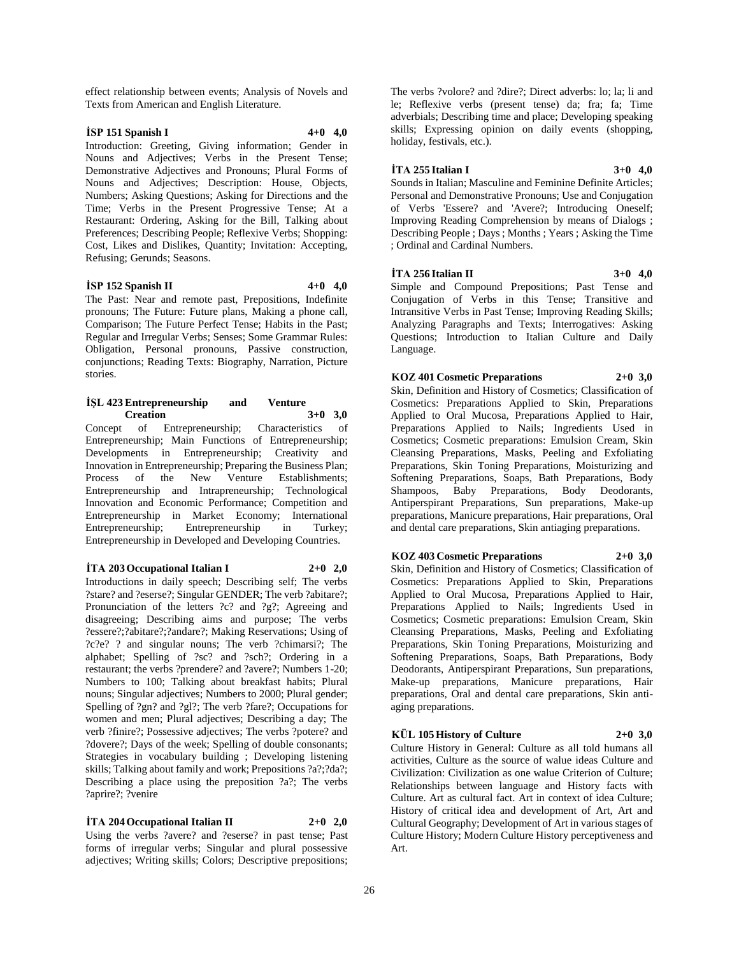effect relationship between events; Analysis of Novels and Texts from American and English Literature.

## **İSP 151 Spanish I 4+0 4,0**

Introduction: Greeting, Giving information; Gender in Nouns and Adjectives; Verbs in the Present Tense; Demonstrative Adjectives and Pronouns; Plural Forms of Nouns and Adjectives; Description: House, Objects, Numbers; Asking Questions; Asking for Directions and the Time; Verbs in the Present Progressive Tense; At a Restaurant: Ordering, Asking for the Bill, Talking about Preferences; Describing People; Reflexive Verbs; Shopping: Cost, Likes and Dislikes, Quantity; Invitation: Accepting, Refusing; Gerunds; Seasons.

#### **İSP 152 Spanish II 4+0 4,0**

The Past: Near and remote past, Prepositions, Indefinite pronouns; The Future: Future plans, Making a phone call, Comparison; The Future Perfect Tense; Habits in the Past; Regular and Irregular Verbs; Senses; Some Grammar Rules: Obligation, Personal pronouns, Passive construction, conjunctions; Reading Texts: Biography, Narration, Picture stories.

#### **İŞL 423 Entrepreneurship and Venture Creation 3+0 3,0**

Concept of Entrepreneurship; Characteristics of Entrepreneurship; Main Functions of Entrepreneurship; Developments in Entrepreneurship; Creativity and Innovation in Entrepreneurship; Preparing the Business Plan; Process of the New Venture Establishments; Entrepreneurship and Intrapreneurship; Technological Innovation and Economic Performance; Competition and Entrepreneurship in Market Economy; International Entrepreneurship; Entrepreneurship in Turkey; Entrepreneurship in Developed and Developing Countries.

## $\dot{T}A$  **203 Occupational Italian I 2+0 2,0**

Introductions in daily speech; Describing self; The verbs ?stare? and ?eserse?; Singular GENDER; The verb ?abitare?; Pronunciation of the letters ?c? and ?g?; Agreeing and disagreeing; Describing aims and purpose; The verbs ?essere?;?abitare?;?andare?; Making Reservations; Using of ?c?e? ? and singular nouns; The verb ?chimarsi?; The alphabet; Spelling of ?sc? and ?sch?; Ordering in a restaurant; the verbs ?prendere? and ?avere?; Numbers 1-20; Numbers to 100; Talking about breakfast habits; Plural nouns; Singular adjectives; Numbers to 2000; Plural gender; Spelling of ?gn? and ?gl?; The verb ?fare?; Occupations for women and men; Plural adjectives; Describing a day; The verb ?finire?; Possessive adjectives; The verbs ?potere? and ?dovere?; Days of the week; Spelling of double consonants; Strategies in vocabulary building ; Developing listening skills; Talking about family and work; Prepositions ?a?;?da?; Describing a place using the preposition ?a?; The verbs ?aprire?; ?venire

## $\dot{T}A$  **204 Occupational Italian II 2+0 2,0**

Using the verbs ?avere? and ?eserse? in past tense; Past forms of irregular verbs; Singular and plural possessive adjectives; Writing skills; Colors; Descriptive prepositions; The verbs ?volore? and ?dire?; Direct adverbs: lo; la; li and le; Reflexive verbs (present tense) da; fra; fa; Time adverbials; Describing time and place; Developing speaking skills; Expressing opinion on daily events (shopping, holiday, festivals, etc.).

## **İTA 255 Italian I 3+0 4,0**

Sounds in Italian; Masculine and Feminine Definite Articles; Personal and Demonstrative Pronouns; Use and Conjugation of Verbs 'Essere? and 'Avere?; Introducing Oneself; Improving Reading Comprehension by means of Dialogs ; Describing People ; Days ; Months ; Years ; Asking the Time ; Ordinal and Cardinal Numbers.

#### **İTA 256 Italian II 3+0 4,0**

Simple and Compound Prepositions; Past Tense and Conjugation of Verbs in this Tense; Transitive and Intransitive Verbs in Past Tense; Improving Reading Skills; Analyzing Paragraphs and Texts; Interrogatives: Asking Questions; Introduction to Italian Culture and Daily Language.

## **KOZ 401 Cosmetic Preparations 2+0 3,0**

Skin, Definition and History of Cosmetics; Classification of Cosmetics: Preparations Applied to Skin, Preparations Applied to Oral Mucosa, Preparations Applied to Hair, Preparations Applied to Nails; Ingredients Used in Cosmetics; Cosmetic preparations: Emulsion Cream, Skin Cleansing Preparations, Masks, Peeling and Exfoliating Preparations, Skin Toning Preparations, Moisturizing and Softening Preparations, Soaps, Bath Preparations, Body Shampoos, Baby Preparations, Body Deodorants, Antiperspirant Preparations, Sun preparations, Make-up preparations, Manicure preparations, Hair preparations, Oral and dental care preparations, Skin antiaging preparations.

## **KOZ 403 Cosmetic Preparations 2+0 3,0**

Skin, Definition and History of Cosmetics; Classification of Cosmetics: Preparations Applied to Skin, Preparations Applied to Oral Mucosa, Preparations Applied to Hair, Preparations Applied to Nails; Ingredients Used in Cosmetics; Cosmetic preparations: Emulsion Cream, Skin Cleansing Preparations, Masks, Peeling and Exfoliating Preparations, Skin Toning Preparations, Moisturizing and Softening Preparations, Soaps, Bath Preparations, Body Deodorants, Antiperspirant Preparations, Sun preparations, Make-up preparations, Manicure preparations, Hair preparations, Oral and dental care preparations, Skin antiaging preparations.

## **KÜL 105 History of Culture 2+0 3,0**

Culture History in General: Culture as all told humans all activities, Culture as the source of walue ideas Culture and Civilization: Civilization as one walue Criterion of Culture; Relationships between language and History facts with Culture. Art as cultural fact. Art in context of idea Culture; History of critical idea and development of Art, Art and Cultural Geography; Development of Art in various stages of Culture History; Modern Culture History perceptiveness and Art.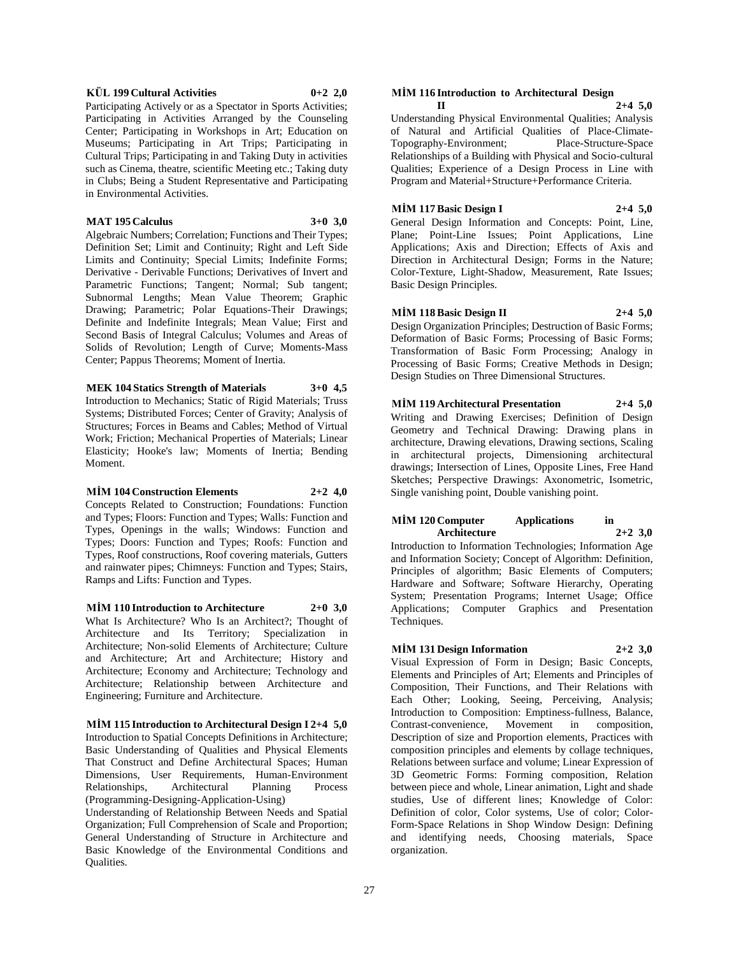#### **KÜL 199 Cultural Activities 0+2 2,0**

Participating Actively or as a Spectator in Sports Activities; Participating in Activities Arranged by the Counseling Center; Participating in Workshops in Art; Education on Museums; Participating in Art Trips; Participating in Cultural Trips; Participating in and Taking Duty in activities such as Cinema, theatre, scientific Meeting etc.; Taking duty in Clubs; Being a Student Representative and Participating in Environmental Activities.

#### **MAT 195 Calculus 3+0 3,0**

Algebraic Numbers; Correlation; Functions and Their Types; Definition Set; Limit and Continuity; Right and Left Side Limits and Continuity; Special Limits; Indefinite Forms; Derivative - Derivable Functions; Derivatives of Invert and Parametric Functions; Tangent; Normal; Sub tangent; Subnormal Lengths; Mean Value Theorem; Graphic Drawing; Parametric; Polar Equations-Their Drawings; Definite and Indefinite Integrals; Mean Value; First and Second Basis of Integral Calculus; Volumes and Areas of Solids of Revolution; Length of Curve; Moments-Mass Center; Pappus Theorems; Moment of Inertia.

#### **MEK 104 Statics Strength of Materials 3+0 4,5**

Introduction to Mechanics; Static of Rigid Materials; Truss Systems; Distributed Forces; Center of Gravity; Analysis of Structures; Forces in Beams and Cables; Method of Virtual Work; Friction; Mechanical Properties of Materials; Linear Elasticity; Hooke's law; Moments of Inertia; Bending Moment.

#### **MİM 104 Construction Elements 2+2 4,0**

Concepts Related to Construction; Foundations: Function and Types; Floors: Function and Types; Walls: Function and Types, Openings in the walls; Windows: Function and Types; Doors: Function and Types; Roofs: Function and Types, Roof constructions, Roof covering materials, Gutters and rainwater pipes; Chimneys: Function and Types; Stairs, Ramps and Lifts: Function and Types.

## **MİM 110 Introduction to Architecture 2+0 3,0**

What Is Architecture? Who Is an Architect?; Thought of Architecture and Its Territory; Specialization in Architecture; Non-solid Elements of Architecture; Culture and Architecture; Art and Architecture; History and Architecture; Economy and Architecture; Technology and Architecture; Relationship between Architecture and Engineering; Furniture and Architecture.

## **MİM 115 Introduction to Architectural Design I 2+4 5,0**

Introduction to Spatial Concepts Definitions in Architecture; Basic Understanding of Qualities and Physical Elements That Construct and Define Architectural Spaces; Human Dimensions, User Requirements, Human-Environment Relationships, Architectural Planning Process (Programming-Designing-Application-Using)

Understanding of Relationship Between Needs and Spatial Organization; Full Comprehension of Scale and Proportion; General Understanding of Structure in Architecture and Basic Knowledge of the Environmental Conditions and Qualities.

## **MİM 116 Introduction to Architectural Design**

**II 2+4 5,0** Understanding Physical Environmental Qualities; Analysis of Natural and Artificial Qualities of Place-Climate-Topography-Environment; Place-Structure-Space Relationships of a Building with Physical and Socio-cultural Qualities; Experience of a Design Process in Line with Program and Material+Structure+Performance Criteria.

## **MİM 117 Basic Design I 2+4 5,0**

General Design Information and Concepts: Point, Line, Plane; Point-Line Issues; Point Applications, Line Applications; Axis and Direction; Effects of Axis and Direction in Architectural Design; Forms in the Nature; Color-Texture, Light-Shadow, Measurement, Rate Issues; Basic Design Principles.

## **MİM 118 Basic Design II 2+4 5,0**

Design Organization Principles; Destruction of Basic Forms; Deformation of Basic Forms; Processing of Basic Forms; Transformation of Basic Form Processing; Analogy in Processing of Basic Forms; Creative Methods in Design; Design Studies on Three Dimensional Structures.

## **MİM 119 Architectural Presentation 2+4 5,0**

Writing and Drawing Exercises; Definition of Design Geometry and Technical Drawing: Drawing plans in architecture, Drawing elevations, Drawing sections, Scaling in architectural projects, Dimensioning architectural drawings; Intersection of Lines, Opposite Lines, Free Hand Sketches; Perspective Drawings: Axonometric, Isometric, Single vanishing point, Double vanishing point.

#### **MİM 120 Computer Applications in Architecture 2+2 3,0**

Introduction to Information Technologies; Information Age and Information Society; Concept of Algorithm: Definition, Principles of algorithm; Basic Elements of Computers; Hardware and Software; Software Hierarchy, Operating System; Presentation Programs; Internet Usage; Office Applications; Computer Graphics and Presentation Techniques.

## **MİM 131 Design Information 2+2 3,0**

Visual Expression of Form in Design; Basic Concepts, Elements and Principles of Art; Elements and Principles of Composition, Their Functions, and Their Relations with Each Other; Looking, Seeing, Perceiving, Analysis; Introduction to Composition: Emptiness-fullness, Balance, Contrast-convenience, Movement in composition, Description of size and Proportion elements, Practices with composition principles and elements by collage techniques, Relations between surface and volume; Linear Expression of 3D Geometric Forms: Forming composition, Relation between piece and whole, Linear animation, Light and shade studies, Use of different lines; Knowledge of Color: Definition of color, Color systems, Use of color; Color-Form-Space Relations in Shop Window Design: Defining and identifying needs, Choosing materials, Space organization.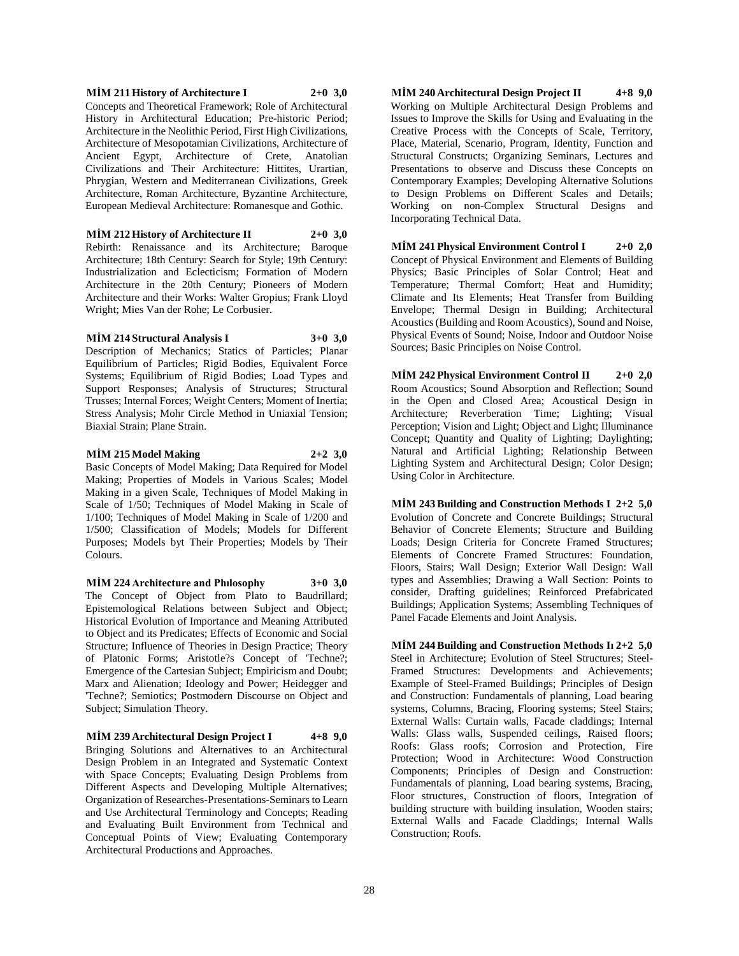#### **MİM 211 History of Architecture I 2+0 3,0** Concepts and Theoretical Framework; Role of Architectural History in Architectural Education; Pre-historic Period; Architecture in the Neolithic Period, First High Civilizations, Architecture of Mesopotamian Civilizations, Architecture of Ancient Egypt, Architecture of Crete, Anatolian Civilizations and Their Architecture: Hittites, Urartian, Phrygian, Western and Mediterranean Civilizations, Greek Architecture, Roman Architecture, Byzantine Architecture, European Medieval Architecture: Romanesque and Gothic.

**MİM 212 History of Architecture II 2+0 3,0** Rebirth: Renaissance and its Architecture; Baroque Architecture; 18th Century: Search for Style; 19th Century: Industrialization and Eclecticism; Formation of Modern Architecture in the 20th Century; Pioneers of Modern Architecture and their Works: Walter Gropius; Frank Lloyd Wright; Mies Van der Rohe; Le Corbusier.

#### **MİM 214 Structural Analysis I 3+0 3,0**

Description of Mechanics; Statics of Particles; Planar Equilibrium of Particles; Rigid Bodies, Equivalent Force Systems; Equilibrium of Rigid Bodies; Load Types and Support Responses; Analysis of Structures; Structural Trusses; Internal Forces; Weight Centers; Moment of Inertia; Stress Analysis; Mohr Circle Method in Uniaxial Tension; Biaxial Strain; Plane Strain.

#### **MİM 215 Model Making 2+2 3,0**

Basic Concepts of Model Making; Data Required for Model Making; Properties of Models in Various Scales; Model Making in a given Scale, Techniques of Model Making in Scale of 1/50; Techniques of Model Making in Scale of 1/100; Techniques of Model Making in Scale of 1/200 and 1/500; Classification of Models; Models for Different Purposes; Models byt Their Properties; Models by Their Colours.

**MİM 224 Architecture and Phılosophy 3+0 3,0** The Concept of Object from Plato to Baudrillard; Epistemological Relations between Subject and Object; Historical Evolution of Importance and Meaning Attributed to Object and its Predicates; Effects of Economic and Social Structure; Influence of Theories in Design Practice; Theory of Platonic Forms; Aristotle?s Concept of 'Techne?; Emergence of the Cartesian Subject; Empiricism and Doubt; Marx and Alienation; Ideology and Power; Heidegger and 'Techne?; Semiotics; Postmodern Discourse on Object and Subject; Simulation Theory.

**MİM 239 Architectural Design Project I 4+8 9,0** Bringing Solutions and Alternatives to an Architectural Design Problem in an Integrated and Systematic Context with Space Concepts; Evaluating Design Problems from Different Aspects and Developing Multiple Alternatives; Organization of Researches-Presentations-Seminars to Learn and Use Architectural Terminology and Concepts; Reading and Evaluating Built Environment from Technical and Conceptual Points of View; Evaluating Contemporary Architectural Productions and Approaches.

**MİM 240 Architectural Design Project II 4+8 9,0** Working on Multiple Architectural Design Problems and Issues to Improve the Skills for Using and Evaluating in the Creative Process with the Concepts of Scale, Territory, Place, Material, Scenario, Program, Identity, Function and Structural Constructs; Organizing Seminars, Lectures and Presentations to observe and Discuss these Concepts on Contemporary Examples; Developing Alternative Solutions to Design Problems on Different Scales and Details; Working on non-Complex Structural Designs and Incorporating Technical Data.

**MİM 241 Physical Environment Control I 2+0 2,0** Concept of Physical Environment and Elements of Building Physics; Basic Principles of Solar Control; Heat and Temperature; Thermal Comfort; Heat and Humidity; Climate and Its Elements; Heat Transfer from Building Envelope; Thermal Design in Building; Architectural Acoustics (Building and Room Acoustics), Sound and Noise, Physical Events of Sound; Noise, Indoor and Outdoor Noise Sources; Basic Principles on Noise Control.

**MİM 242 Physical Environment Control II 2+0 2,0** Room Acoustics; Sound Absorption and Reflection; Sound in the Open and Closed Area; Acoustical Design in Architecture; Reverberation Time; Lighting; Visual Perception; Vision and Light; Object and Light; Illuminance Concept; Quantity and Quality of Lighting; Daylighting; Natural and Artificial Lighting; Relationship Between Lighting System and Architectural Design; Color Design; Using Color in Architecture.

**MİM 243 Building and Construction Methods I 2+2 5,0** Evolution of Concrete and Concrete Buildings; Structural Behavior of Concrete Elements; Structure and Building Loads; Design Criteria for Concrete Framed Structures; Elements of Concrete Framed Structures: Foundation, Floors, Stairs; Wall Design; Exterior Wall Design: Wall types and Assemblies; Drawing a Wall Section: Points to consider, Drafting guidelines; Reinforced Prefabricated Buildings; Application Systems; Assembling Techniques of Panel Facade Elements and Joint Analysis.

**MİM 244 Building and Construction Methods Iı 2+2 5,0** Steel in Architecture; Evolution of Steel Structures; Steel-Framed Structures: Developments and Achievements; Example of Steel-Framed Buildings; Principles of Design and Construction: Fundamentals of planning, Load bearing systems, Columns, Bracing, Flooring systems; Steel Stairs; External Walls: Curtain walls, Facade claddings; Internal Walls: Glass walls, Suspended ceilings, Raised floors; Roofs: Glass roofs; Corrosion and Protection, Fire Protection; Wood in Architecture: Wood Construction Components; Principles of Design and Construction: Fundamentals of planning, Load bearing systems, Bracing, Floor structures, Construction of floors, Integration of building structure with building insulation, Wooden stairs; External Walls and Facade Claddings; Internal Walls Construction; Roofs.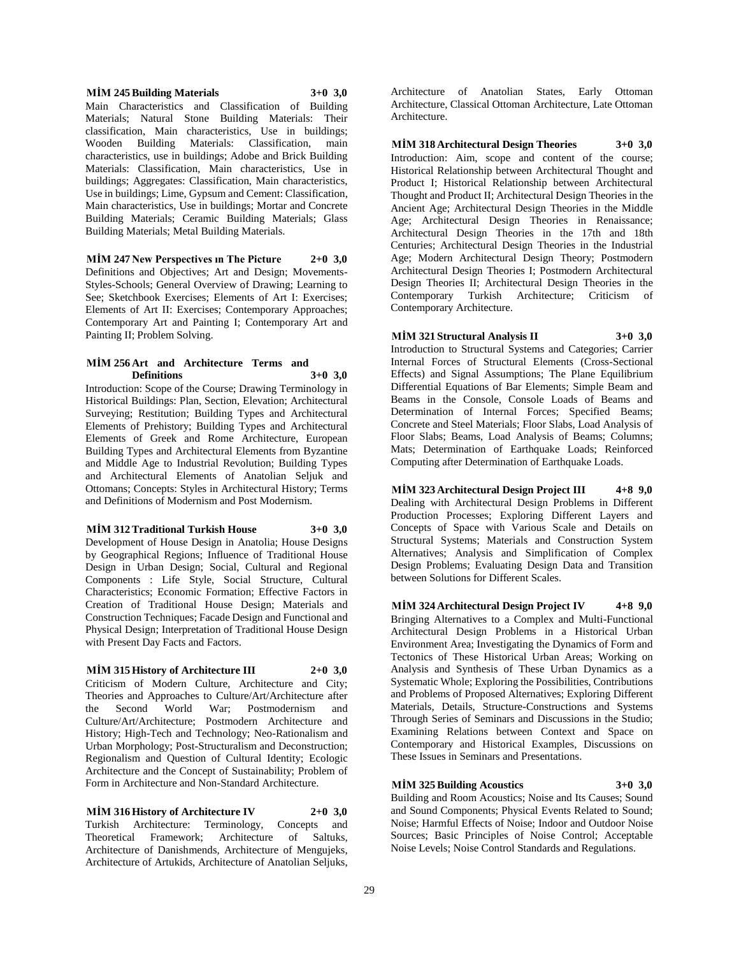#### **MİM 245 Building Materials 3+0 3,0** Main Characteristics and Classification of Building Materials; Natural Stone Building Materials: Their classification, Main characteristics, Use in buildings; Wooden Building Materials: Classification, main characteristics, use in buildings; Adobe and Brick Building Materials: Classification, Main characteristics, Use in buildings; Aggregates: Classification, Main characteristics, Use in buildings; Lime, Gypsum and Cement: Classification, Main characteristics, Use in buildings; Mortar and Concrete Building Materials; Ceramic Building Materials; Glass Building Materials; Metal Building Materials.

**MİM 247 New Perspectives ın The Picture 2+0 3,0** Definitions and Objectives; Art and Design; Movements-Styles-Schools; General Overview of Drawing; Learning to See; Sketchbook Exercises; Elements of Art I: Exercises; Elements of Art II: Exercises; Contemporary Approaches; Contemporary Art and Painting I; Contemporary Art and Painting II; Problem Solving.

#### **MİM 256 Art and Architecture Terms and Definitions 3+0 3,0**

Introduction: Scope of the Course; Drawing Terminology in Historical Buildings: Plan, Section, Elevation; Architectural Surveying; Restitution; Building Types and Architectural Elements of Prehistory; Building Types and Architectural Elements of Greek and Rome Architecture, European Building Types and Architectural Elements from Byzantine and Middle Age to Industrial Revolution; Building Types and Architectural Elements of Anatolian Seljuk and Ottomans; Concepts: Styles in Architectural History; Terms and Definitions of Modernism and Post Modernism.

#### **MİM 312 Traditional Turkish House 3+0 3,0**

Development of House Design in Anatolia; House Designs by Geographical Regions; Influence of Traditional House Design in Urban Design; Social, Cultural and Regional Components : Life Style, Social Structure, Cultural Characteristics; Economic Formation; Effective Factors in Creation of Traditional House Design; Materials and Construction Techniques; Facade Design and Functional and Physical Design; Interpretation of Traditional House Design with Present Day Facts and Factors.

## **MİM 315 History of Architecture III 2+0 3,0**

Criticism of Modern Culture, Architecture and City; Theories and Approaches to Culture/Art/Architecture after the Second World War; Postmodernism and Culture/Art/Architecture; Postmodern Architecture and History; High-Tech and Technology; Neo-Rationalism and Urban Morphology; Post-Structuralism and Deconstruction; Regionalism and Question of Cultural Identity; Ecologic Architecture and the Concept of Sustainability; Problem of Form in Architecture and Non-Standard Architecture.

**MİM 316 History of Architecture IV 2+0 3,0** Turkish Architecture: Terminology, Concepts and Theoretical Framework; Architecture of Saltuks, Architecture of Danishmends, Architecture of Mengujeks, Architecture of Artukids, Architecture of Anatolian Seljuks,

Architecture of Anatolian States, Early Ottoman Architecture, Classical Ottoman Architecture, Late Ottoman Architecture.

**MİM 318 Architectural Design Theories 3+0 3,0** Introduction: Aim, scope and content of the course; Historical Relationship between Architectural Thought and Product I; Historical Relationship between Architectural Thought and Product II; Architectural Design Theories in the Ancient Age; Architectural Design Theories in the Middle Age; Architectural Design Theories in Renaissance; Architectural Design Theories in the 17th and 18th Centuries; Architectural Design Theories in the Industrial Age; Modern Architectural Design Theory; Postmodern Architectural Design Theories I; Postmodern Architectural Design Theories II; Architectural Design Theories in the Contemporary Turkish Architecture; Criticism of Contemporary Architecture.

## **MİM 321 Structural Analysis II 3+0 3,0**

Introduction to Structural Systems and Categories; Carrier Internal Forces of Structural Elements (Cross-Sectional Effects) and Signal Assumptions; The Plane Equilibrium Differential Equations of Bar Elements; Simple Beam and Beams in the Console, Console Loads of Beams and Determination of Internal Forces; Specified Beams; Concrete and Steel Materials; Floor Slabs, Load Analysis of Floor Slabs; Beams, Load Analysis of Beams; Columns; Mats; Determination of Earthquake Loads; Reinforced Computing after Determination of Earthquake Loads.

**MİM 323 Architectural Design Project III 4+8 9,0** Dealing with Architectural Design Problems in Different Production Processes; Exploring Different Layers and Concepts of Space with Various Scale and Details on Structural Systems; Materials and Construction System Alternatives; Analysis and Simplification of Complex Design Problems; Evaluating Design Data and Transition between Solutions for Different Scales.

**MİM 324 Architectural Design Project IV 4+8 9,0** Bringing Alternatives to a Complex and Multi-Functional Architectural Design Problems in a Historical Urban Environment Area; Investigating the Dynamics of Form and Tectonics of These Historical Urban Areas; Working on Analysis and Synthesis of These Urban Dynamics as a Systematic Whole; Exploring the Possibilities, Contributions and Problems of Proposed Alternatives; Exploring Different Materials, Details, Structure-Constructions and Systems Through Series of Seminars and Discussions in the Studio; Examining Relations between Context and Space on Contemporary and Historical Examples, Discussions on These Issues in Seminars and Presentations.

## **MİM 325 Building Acoustics 3+0 3,0**

Building and Room Acoustics; Noise and Its Causes; Sound and Sound Components; Physical Events Related to Sound; Noise; Harmful Effects of Noise; Indoor and Outdoor Noise Sources; Basic Principles of Noise Control; Acceptable Noise Levels; Noise Control Standards and Regulations.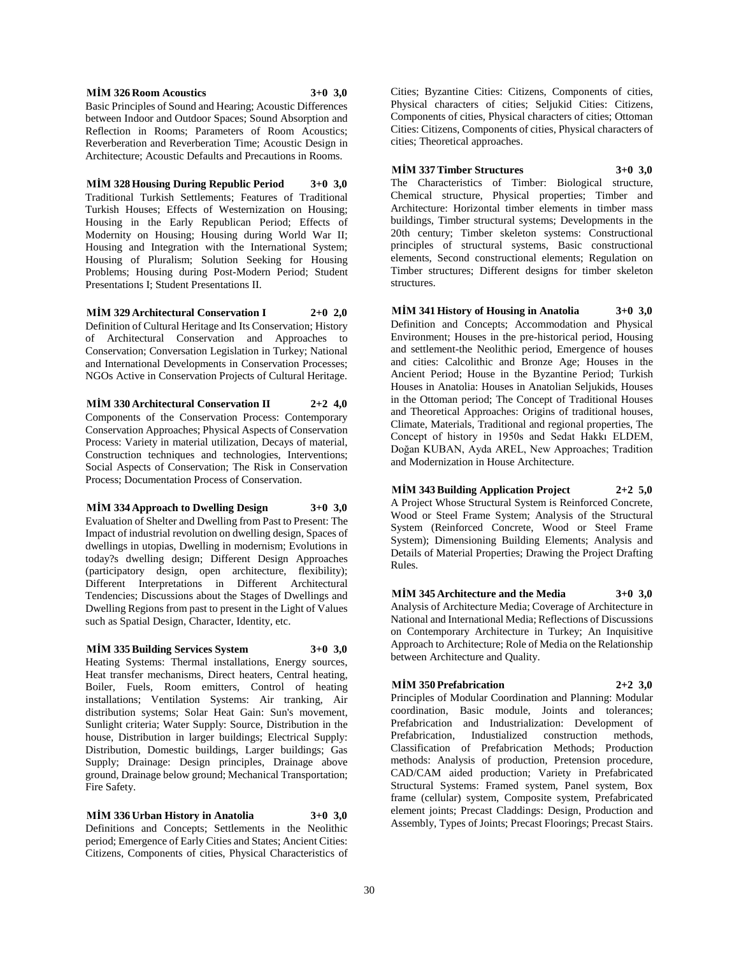**MİM 326 Room Acoustics 3+0 3,0**

Basic Principles of Sound and Hearing; Acoustic Differences between Indoor and Outdoor Spaces; Sound Absorption and Reflection in Rooms; Parameters of Room Acoustics; Reverberation and Reverberation Time; Acoustic Design in Architecture; Acoustic Defaults and Precautions in Rooms.

**MİM 328 Housing During Republic Period 3+0 3,0** Traditional Turkish Settlements; Features of Traditional Turkish Houses; Effects of Westernization on Housing; Housing in the Early Republican Period; Effects of Modernity on Housing; Housing during World War II; Housing and Integration with the International System; Housing of Pluralism; Solution Seeking for Housing Problems; Housing during Post-Modern Period; Student Presentations I; Student Presentations II.

**MİM 329 Architectural Conservation I 2+0 2,0** Definition of Cultural Heritage and Its Conservation; History of Architectural Conservation and Approaches to Conservation; Conversation Legislation in Turkey; National and International Developments in Conservation Processes; NGOs Active in Conservation Projects of Cultural Heritage.

## **MİM 330 Architectural Conservation II 2+2 4,0**

Components of the Conservation Process: Contemporary Conservation Approaches; Physical Aspects of Conservation Process: Variety in material utilization, Decays of material, Construction techniques and technologies, Interventions; Social Aspects of Conservation; The Risk in Conservation Process; Documentation Process of Conservation.

## **MİM 334 Approach to Dwelling Design 3+0 3,0**

Evaluation of Shelter and Dwelling from Past to Present: The Impact of industrial revolution on dwelling design, Spaces of dwellings in utopias, Dwelling in modernism; Evolutions in today?s dwelling design; Different Design Approaches (participatory design, open architecture, flexibility); Different Interpretations in Different Architectural Tendencies; Discussions about the Stages of Dwellings and Dwelling Regions from past to present in the Light of Values such as Spatial Design, Character, Identity, etc.

## **MİM 335 Building Services System 3+0 3,0**

Heating Systems: Thermal installations, Energy sources, Heat transfer mechanisms, Direct heaters, Central heating, Boiler, Fuels, Room emitters, Control of heating installations; Ventilation Systems: Air tranking, Air distribution systems; Solar Heat Gain: Sun's movement, Sunlight criteria; Water Supply: Source, Distribution in the house, Distribution in larger buildings; Electrical Supply: Distribution, Domestic buildings, Larger buildings; Gas Supply; Drainage: Design principles, Drainage above ground, Drainage below ground; Mechanical Transportation; Fire Safety.

**MİM 336 Urban History in Anatolia 3+0 3,0** Definitions and Concepts; Settlements in the Neolithic period; Emergence of Early Cities and States; Ancient Cities: Citizens, Components of cities, Physical Characteristics of

Cities; Byzantine Cities: Citizens, Components of cities, Physical characters of cities; Seljukid Cities: Citizens, Components of cities, Physical characters of cities; Ottoman Cities: Citizens, Components of cities, Physical characters of cities; Theoretical approaches.

**MİM 337 Timber Structures 3+0 3,0** The Characteristics of Timber: Biological structure,

Chemical structure, Physical properties; Timber and Architecture: Horizontal timber elements in timber mass buildings, Timber structural systems; Developments in the 20th century; Timber skeleton systems: Constructional principles of structural systems, Basic constructional elements, Second constructional elements; Regulation on Timber structures; Different designs for timber skeleton structures.

**MİM 341 History of Housing in Anatolia 3+0 3,0** Definition and Concepts; Accommodation and Physical Environment; Houses in the pre-historical period, Housing and settlement-the Neolithic period, Emergence of houses and cities: Calcolithic and Bronze Age; Houses in the Ancient Period; House in the Byzantine Period; Turkish Houses in Anatolia: Houses in Anatolian Seljukids, Houses in the Ottoman period; The Concept of Traditional Houses and Theoretical Approaches: Origins of traditional houses, Climate, Materials, Traditional and regional properties, The Concept of history in 1950s and Sedat Hakkı ELDEM, Doğan KUBAN, Ayda AREL, New Approaches; Tradition and Modernization in House Architecture.

**MİM 343 Building Application Project 2+2 5,0** A Project Whose Structural System is Reinforced Concrete, Wood or Steel Frame System; Analysis of the Structural System (Reinforced Concrete, Wood or Steel Frame System); Dimensioning Building Elements; Analysis and Details of Material Properties; Drawing the Project Drafting Rules.

**MİM 345 Architecture and the Media 3+0 3,0** Analysis of Architecture Media; Coverage of Architecture in National and International Media; Reflections of Discussions on Contemporary Architecture in Turkey; An Inquisitive Approach to Architecture; Role of Media on the Relationship between Architecture and Quality.

## **MİM 350 Prefabrication 2+2 3,0**

Principles of Modular Coordination and Planning: Modular coordination, Basic module, Joints and tolerances; Prefabrication and Industrialization: Development of Prefabrication, Industialized construction methods, Classification of Prefabrication Methods; Production methods: Analysis of production, Pretension procedure, CAD/CAM aided production; Variety in Prefabricated Structural Systems: Framed system, Panel system, Box frame (cellular) system, Composite system, Prefabricated element joints; Precast Claddings: Design, Production and Assembly, Types of Joints; Precast Floorings; Precast Stairs.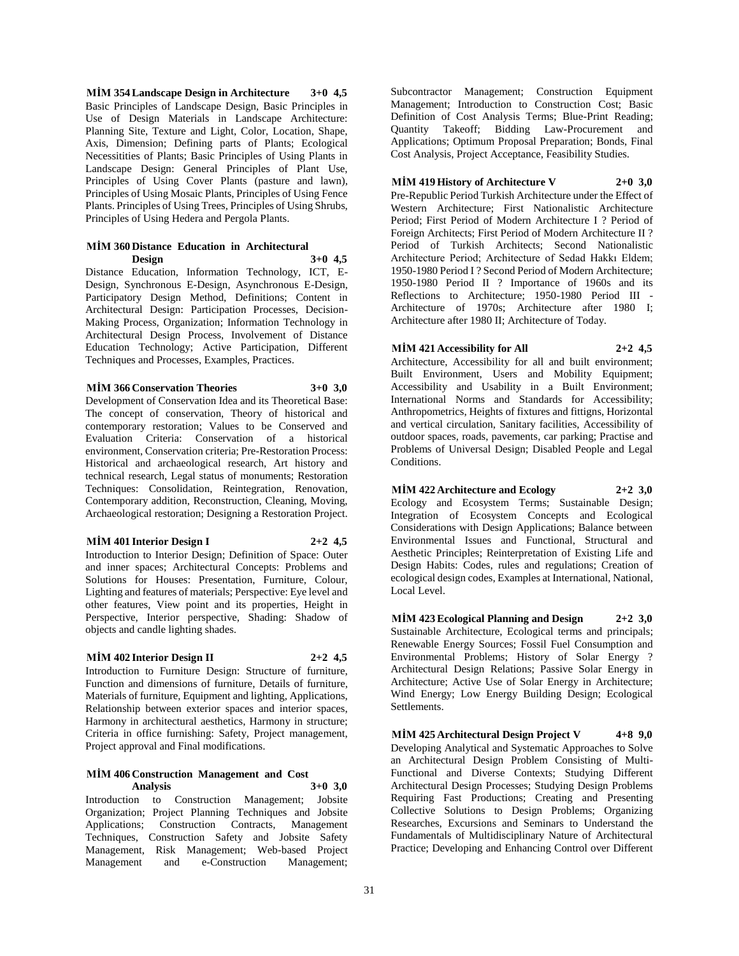**MİM 354 Landscape Design in Architecture 3+0 4,5** Basic Principles of Landscape Design, Basic Principles in Use of Design Materials in Landscape Architecture: Planning Site, Texture and Light, Color, Location, Shape, Axis, Dimension; Defining parts of Plants; Ecological Necessitities of Plants; Basic Principles of Using Plants in Landscape Design: General Principles of Plant Use, Principles of Using Cover Plants (pasture and lawn), Principles of Using Mosaic Plants, Principles of Using Fence Plants. Principles of Using Trees, Principles of Using Shrubs, Principles of Using Hedera and Pergola Plants.

#### **MİM 360 Distance Education in Architectural Design 3+0 4,5**

Distance Education, Information Technology, ICT, E-Design, Synchronous E-Design, Asynchronous E-Design, Participatory Design Method, Definitions; Content in Architectural Design: Participation Processes, Decision-Making Process, Organization; Information Technology in Architectural Design Process, Involvement of Distance Education Technology; Active Participation, Different Techniques and Processes, Examples, Practices.

#### **MİM 366 Conservation Theories 3+0 3,0**

Development of Conservation Idea and its Theoretical Base: The concept of conservation, Theory of historical and contemporary restoration; Values to be Conserved and Evaluation Criteria: Conservation of a historical environment, Conservation criteria; Pre-Restoration Process: Historical and archaeological research, Art history and technical research, Legal status of monuments; Restoration Techniques: Consolidation, Reintegration, Renovation, Contemporary addition, Reconstruction, Cleaning, Moving, Archaeological restoration; Designing a Restoration Project.

## **MİM 401 Interior Design I 2+2 4,5**

Introduction to Interior Design; Definition of Space: Outer and inner spaces; Architectural Concepts: Problems and Solutions for Houses: Presentation, Furniture, Colour, Lighting and features of materials; Perspective: Eye level and other features, View point and its properties, Height in Perspective, Interior perspective, Shading: Shadow of objects and candle lighting shades.

## **MİM 402 Interior Design II 2+2 4,5**

Introduction to Furniture Design: Structure of furniture, Function and dimensions of furniture, Details of furniture, Materials of furniture, Equipment and lighting, Applications, Relationship between exterior spaces and interior spaces, Harmony in architectural aesthetics, Harmony in structure; Criteria in office furnishing: Safety, Project management, Project approval and Final modifications.

#### **MİM 406 Construction Management and Cost Analysis 3+0 3,0**

Introduction to Construction Management; Jobsite Organization; Project Planning Techniques and Jobsite Applications; Construction Contracts, Management Techniques, Construction Safety and Jobsite Safety Management, Risk Management; Web-based Project Management;

Subcontractor Management; Construction Equipment Management; Introduction to Construction Cost; Basic Definition of Cost Analysis Terms; Blue-Print Reading; Quantity Takeoff; Bidding Law-Procurement and Applications; Optimum Proposal Preparation; Bonds, Final Cost Analysis, Project Acceptance, Feasibility Studies.

## **MİM 419 History of Architecture V 2+0 3,0**

Pre-Republic Period Turkish Architecture under the Effect of Western Architecture; First Nationalistic Architecture Period; First Period of Modern Architecture I ? Period of Foreign Architects; First Period of Modern Architecture II ? Period of Turkish Architects; Second Nationalistic Architecture Period; Architecture of Sedad Hakkı Eldem; 1950-1980 Period I ? Second Period of Modern Architecture; 1950-1980 Period II ? Importance of 1960s and its Reflections to Architecture; 1950-1980 Period III - Architecture of 1970s; Architecture after 1980 I; Architecture after 1980 II; Architecture of Today.

## **MİM 421 Accessibility for All 2+2 4,5**

Architecture, Accessibility for all and built environment; Built Environment, Users and Mobility Equipment; Accessibility and Usability in a Built Environment; International Norms and Standards for Accessibility; Anthropometrics, Heights of fixtures and fittigns, Horizontal and vertical circulation, Sanitary facilities, Accessibility of outdoor spaces, roads, pavements, car parking; Practise and Problems of Universal Design; Disabled People and Legal Conditions.

**MİM 422 Architecture and Ecology 2+2 3,0** Ecology and Ecosystem Terms; Sustainable Design; Integration of Ecosystem Concepts and Ecological Considerations with Design Applications; Balance between Environmental Issues and Functional, Structural and Aesthetic Principles; Reinterpretation of Existing Life and Design Habits: Codes, rules and regulations; Creation of ecological design codes, Examples at International, National, Local Level.

**MİM 423 Ecological Planning and Design 2+2 3,0** Sustainable Architecture, Ecological terms and principals; Renewable Energy Sources; Fossil Fuel Consumption and Environmental Problems; History of Solar Energy ? Architectural Design Relations; Passive Solar Energy in Architecture; Active Use of Solar Energy in Architecture; Wind Energy; Low Energy Building Design; Ecological Settlements.

**MİM 425 Architectural Design Project V 4+8 9,0** Developing Analytical and Systematic Approaches to Solve an Architectural Design Problem Consisting of Multi-Functional and Diverse Contexts; Studying Different Architectural Design Processes; Studying Design Problems Requiring Fast Productions; Creating and Presenting Collective Solutions to Design Problems; Organizing Researches, Excursions and Seminars to Understand the Fundamentals of Multidisciplinary Nature of Architectural Practice; Developing and Enhancing Control over Different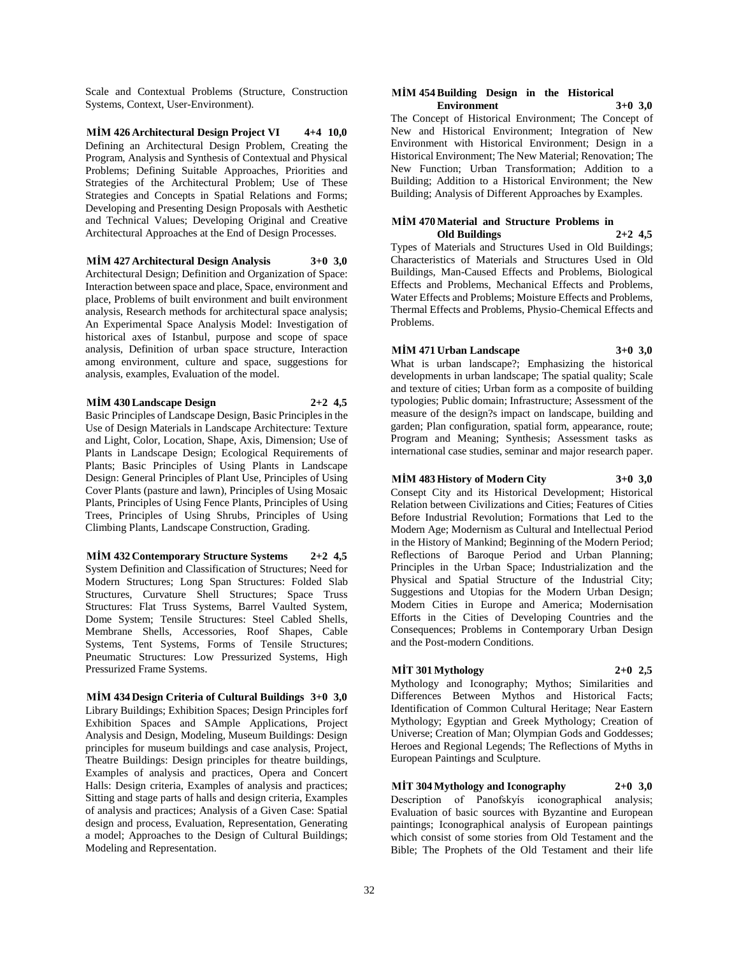Scale and Contextual Problems (Structure, Construction Systems, Context, User-Environment).

**MİM 426 Architectural Design Project VI 4+4 10,0** Defining an Architectural Design Problem, Creating the Program, Analysis and Synthesis of Contextual and Physical Problems; Defining Suitable Approaches, Priorities and Strategies of the Architectural Problem; Use of These Strategies and Concepts in Spatial Relations and Forms; Developing and Presenting Design Proposals with Aesthetic and Technical Values; Developing Original and Creative Architectural Approaches at the End of Design Processes.

#### **MİM 427 Architectural Design Analysis 3+0 3,0**

Architectural Design; Definition and Organization of Space: Interaction between space and place, Space, environment and place, Problems of built environment and built environment analysis, Research methods for architectural space analysis; An Experimental Space Analysis Model: Investigation of historical axes of Istanbul, purpose and scope of space analysis, Definition of urban space structure, Interaction among environment, culture and space, suggestions for analysis, examples, Evaluation of the model.

#### **MİM 430 Landscape Design 2+2 4,5**

Basic Principles of Landscape Design, Basic Principles in the Use of Design Materials in Landscape Architecture: Texture and Light, Color, Location, Shape, Axis, Dimension; Use of Plants in Landscape Design; Ecological Requirements of Plants; Basic Principles of Using Plants in Landscape Design: General Principles of Plant Use, Principles of Using Cover Plants (pasture and lawn), Principles of Using Mosaic Plants, Principles of Using Fence Plants, Principles of Using Trees, Principles of Using Shrubs, Principles of Using Climbing Plants, Landscape Construction, Grading.

**MİM 432 Contemporary Structure Systems 2+2 4,5** System Definition and Classification of Structures; Need for Modern Structures; Long Span Structures: Folded Slab Structures, Curvature Shell Structures; Space Truss Structures: Flat Truss Systems, Barrel Vaulted System, Dome System; Tensile Structures: Steel Cabled Shells, Membrane Shells, Accessories, Roof Shapes, Cable Systems, Tent Systems, Forms of Tensile Structures; Pneumatic Structures: Low Pressurized Systems, High Pressurized Frame Systems.

**MİM 434 Design Criteria of Cultural Buildings 3+0 3,0** Library Buildings; Exhibition Spaces; Design Principles forf Exhibition Spaces and SAmple Applications, Project Analysis and Design, Modeling, Museum Buildings: Design principles for museum buildings and case analysis, Project, Theatre Buildings: Design principles for theatre buildings, Examples of analysis and practices, Opera and Concert Halls: Design criteria, Examples of analysis and practices; Sitting and stage parts of halls and design criteria, Examples of analysis and practices; Analysis of a Given Case: Spatial design and process, Evaluation, Representation, Generating a model; Approaches to the Design of Cultural Buildings; Modeling and Representation.

#### **MİM 454 Building Design in the Historical Environment 3+0 3,0**

The Concept of Historical Environment; The Concept of New and Historical Environment; Integration of New Environment with Historical Environment; Design in a Historical Environment; The New Material; Renovation; The New Function; Urban Transformation; Addition to a Building; Addition to a Historical Environment; the New Building; Analysis of Different Approaches by Examples.

#### **MİM 470 Material and Structure Problems in Old Buildings 2+2 4,5**

Types of Materials and Structures Used in Old Buildings; Characteristics of Materials and Structures Used in Old Buildings, Man-Caused Effects and Problems, Biological Effects and Problems, Mechanical Effects and Problems, Water Effects and Problems; Moisture Effects and Problems, Thermal Effects and Problems, Physio-Chemical Effects and Problems.

#### **MİM 471 Urban Landscape 3+0 3,0**

What is urban landscape?; Emphasizing the historical developments in urban landscape; The spatial quality; Scale and texture of cities; Urban form as a composite of building typologies; Public domain; Infrastructure; Assessment of the measure of the design?s impact on landscape, building and garden; Plan configuration, spatial form, appearance, route; Program and Meaning; Synthesis; Assessment tasks as international case studies, seminar and major research paper.

## **MİM 483 History of Modern City 3+0 3,0**

Consept City and its Historical Development; Historical Relation between Civilizations and Cities; Features of Cities Before Industrial Revolution; Formations that Led to the Modern Age; Modernism as Cultural and Intellectual Period in the History of Mankind; Beginning of the Modern Period; Reflections of Baroque Period and Urban Planning; Principles in the Urban Space; Industrialization and the Physical and Spatial Structure of the Industrial City; Suggestions and Utopias for the Modern Urban Design; Modern Cities in Europe and America; Modernisation Efforts in the Cities of Developing Countries and the Consequences; Problems in Contemporary Urban Design and the Post-modern Conditions.

## **MİT 301 Mythology 2+0 2,5**

Mythology and Iconography; Mythos; Similarities and Differences Between Mythos and Historical Facts; Identification of Common Cultural Heritage; Near Eastern Mythology; Egyptian and Greek Mythology; Creation of Universe; Creation of Man; Olympian Gods and Goddesses; Heroes and Regional Legends; The Reflections of Myths in European Paintings and Sculpture.

**MİT 304 Mythology and Iconography 2+0 3,0** Description of Panofskyís iconographical analysis; Evaluation of basic sources with Byzantine and European paintings; Iconographical analysis of European paintings which consist of some stories from Old Testament and the Bible; The Prophets of the Old Testament and their life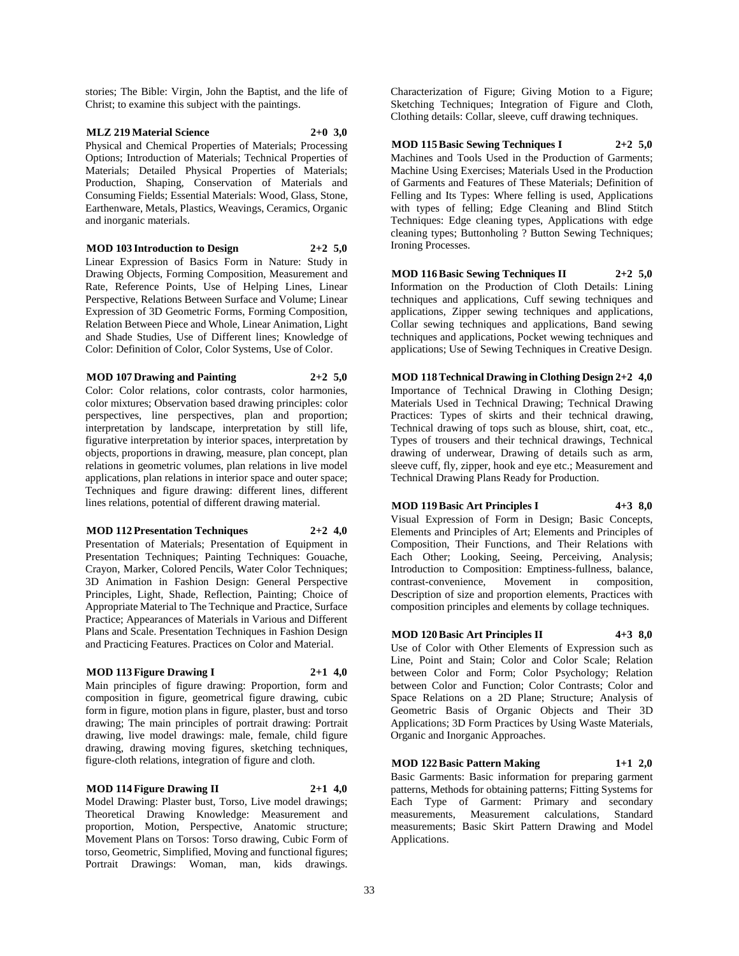stories; The Bible: Virgin, John the Baptist, and the life of Christ; to examine this subject with the paintings.

## **MLZ 219 Material Science 2+0 3,0**

Physical and Chemical Properties of Materials; Processing Options; Introduction of Materials; Technical Properties of Materials; Detailed Physical Properties of Materials; Production, Shaping, Conservation of Materials and Consuming Fields; Essential Materials: Wood, Glass, Stone, Earthenware, Metals, Plastics, Weavings, Ceramics, Organic and inorganic materials.

**MOD 103 Introduction to Design 2+2 5,0** Linear Expression of Basics Form in Nature: Study in Drawing Objects, Forming Composition, Measurement and Rate, Reference Points, Use of Helping Lines, Linear Perspective, Relations Between Surface and Volume; Linear Expression of 3D Geometric Forms, Forming Composition, Relation Between Piece and Whole, Linear Animation, Light and Shade Studies, Use of Different lines; Knowledge of Color: Definition of Color, Color Systems, Use of Color.

**MOD 107 Drawing and Painting 2+2 5,0**

Color: Color relations, color contrasts, color harmonies, color mixtures; Observation based drawing principles: color perspectives, line perspectives, plan and proportion; interpretation by landscape, interpretation by still life, figurative interpretation by interior spaces, interpretation by objects, proportions in drawing, measure, plan concept, plan relations in geometric volumes, plan relations in live model applications, plan relations in interior space and outer space; Techniques and figure drawing: different lines, different lines relations, potential of different drawing material.

#### **MOD 112 Presentation Techniques 2+2 4,0**

Presentation of Materials; Presentation of Equipment in Presentation Techniques; Painting Techniques: Gouache, Crayon, Marker, Colored Pencils, Water Color Techniques; 3D Animation in Fashion Design: General Perspective Principles, Light, Shade, Reflection, Painting; Choice of Appropriate Material to The Technique and Practice, Surface Practice; Appearances of Materials in Various and Different Plans and Scale. Presentation Techniques in Fashion Design and Practicing Features. Practices on Color and Material.

#### **MOD 113 Figure Drawing I 2+1 4,0**

Main principles of figure drawing: Proportion, form and composition in figure, geometrical figure drawing, cubic form in figure, motion plans in figure, plaster, bust and torso drawing; The main principles of portrait drawing: Portrait drawing, live model drawings: male, female, child figure drawing, drawing moving figures, sketching techniques, figure-cloth relations, integration of figure and cloth.

### **MOD 114 Figure Drawing II 2+1 4,0**

Model Drawing: Plaster bust, Torso, Live model drawings; Theoretical Drawing Knowledge: Measurement and proportion, Motion, Perspective, Anatomic structure; Movement Plans on Torsos: Torso drawing, Cubic Form of torso, Geometric, Simplified, Moving and functional figures; Portrait Drawings: Woman, man, kids drawings.

Characterization of Figure; Giving Motion to a Figure; Sketching Techniques; Integration of Figure and Cloth, Clothing details: Collar, sleeve, cuff drawing techniques.

## **MOD 115 Basic Sewing Techniques I 2+2 5,0**

Machines and Tools Used in the Production of Garments; Machine Using Exercises; Materials Used in the Production of Garments and Features of These Materials; Definition of Felling and Its Types: Where felling is used, Applications with types of felling; Edge Cleaning and Blind Stitch Techniques: Edge cleaning types, Applications with edge cleaning types; Buttonholing ? Button Sewing Techniques; Ironing Processes.

**MOD 116 Basic Sewing Techniques II 2+2 5,0** Information on the Production of Cloth Details: Lining

techniques and applications, Cuff sewing techniques and applications, Zipper sewing techniques and applications, Collar sewing techniques and applications, Band sewing techniques and applications, Pocket wewing techniques and applications; Use of Sewing Techniques in Creative Design.

**MOD 118 Technical Drawing in Clothing Design 2+2 4,0** Importance of Technical Drawing in Clothing Design; Materials Used in Technical Drawing; Technical Drawing Practices: Types of skirts and their technical drawing, Technical drawing of tops such as blouse, shirt, coat, etc., Types of trousers and their technical drawings, Technical drawing of underwear, Drawing of details such as arm, sleeve cuff, fly, zipper, hook and eye etc.; Measurement and Technical Drawing Plans Ready for Production.

#### **MOD 119 Basic Art Principles I 4+3 8,0**

Visual Expression of Form in Design; Basic Concepts, Elements and Principles of Art; Elements and Principles of Composition, Their Functions, and Their Relations with Each Other; Looking, Seeing, Perceiving, Analysis; Introduction to Composition: Emptiness-fullness, balance, contrast-convenience, Movement in composition, Description of size and proportion elements, Practices with composition principles and elements by collage techniques.

#### **MOD 120 Basic Art Principles II 4+3 8,0**

Use of Color with Other Elements of Expression such as Line, Point and Stain; Color and Color Scale; Relation between Color and Form; Color Psychology; Relation between Color and Function; Color Contrasts; Color and Space Relations on a 2D Plane; Structure; Analysis of Geometric Basis of Organic Objects and Their 3D Applications; 3D Form Practices by Using Waste Materials, Organic and Inorganic Approaches.

## **MOD 122 Basic Pattern Making 1+1 2,0**

Basic Garments: Basic information for preparing garment patterns, Methods for obtaining patterns; Fitting Systems for Each Type of Garment: Primary and secondary measurements, Measurement calculations, Standard measurements; Basic Skirt Pattern Drawing and Model Applications.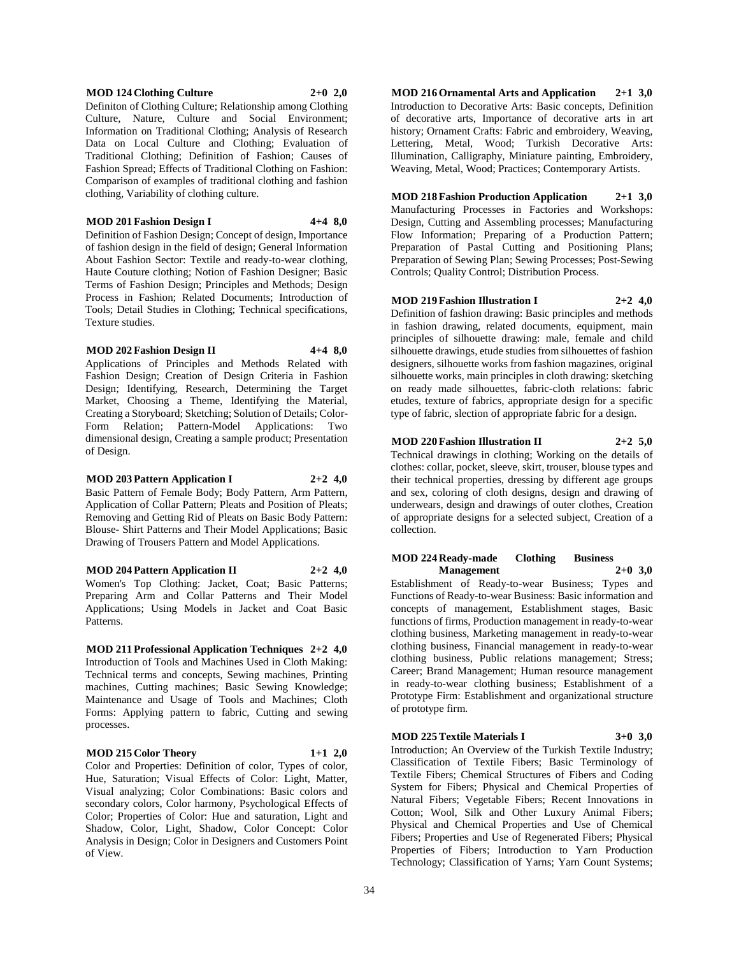#### **MOD 124 Clothing Culture 2+0 2,0**

Definiton of Clothing Culture; Relationship among Clothing Culture, Nature, Culture and Social Environment; Information on Traditional Clothing; Analysis of Research Data on Local Culture and Clothing; Evaluation of Traditional Clothing; Definition of Fashion; Causes of Fashion Spread; Effects of Traditional Clothing on Fashion: Comparison of examples of traditional clothing and fashion clothing, Variability of clothing culture.

#### **MOD 201 Fashion Design I 4+4 8,0**

Definition of Fashion Design; Concept of design, Importance of fashion design in the field of design; General Information About Fashion Sector: Textile and ready-to-wear clothing, Haute Couture clothing; Notion of Fashion Designer; Basic Terms of Fashion Design; Principles and Methods; Design Process in Fashion; Related Documents; Introduction of Tools; Detail Studies in Clothing; Technical specifications, Texture studies.

#### **MOD 202 Fashion Design II 4+4 8,0**

Applications of Principles and Methods Related with Fashion Design; Creation of Design Criteria in Fashion Design; Identifying, Research, Determining the Target Market, Choosing a Theme, Identifying the Material, Creating a Storyboard; Sketching; Solution of Details; Color-Form Relation; Pattern-Model Applications: Two dimensional design, Creating a sample product; Presentation of Design.

#### **MOD 203 Pattern Application I 2+2 4,0**

Basic Pattern of Female Body; Body Pattern, Arm Pattern, Application of Collar Pattern; Pleats and Position of Pleats; Removing and Getting Rid of Pleats on Basic Body Pattern: Blouse- Shirt Patterns and Their Model Applications; Basic Drawing of Trousers Pattern and Model Applications.

**MOD 204 Pattern Application II 2+2 4,0** Women's Top Clothing: Jacket, Coat; Basic Patterns; Preparing Arm and Collar Patterns and Their Model Applications; Using Models in Jacket and Coat Basic Patterns.

#### **MOD 211 Professional Application Techniques 2+2 4,0** Introduction of Tools and Machines Used in Cloth Making: Technical terms and concepts, Sewing machines, Printing machines, Cutting machines; Basic Sewing Knowledge; Maintenance and Usage of Tools and Machines; Cloth Forms: Applying pattern to fabric, Cutting and sewing processes.

#### **MOD 215 Color Theory 1+1 2,0**

Color and Properties: Definition of color, Types of color, Hue, Saturation; Visual Effects of Color: Light, Matter, Visual analyzing; Color Combinations: Basic colors and secondary colors, Color harmony, Psychological Effects of Color; Properties of Color: Hue and saturation, Light and Shadow, Color, Light, Shadow, Color Concept: Color Analysis in Design; Color in Designers and Customers Point of View.

**MOD 216 Ornamental Arts and Application 2+1 3,0** Introduction to Decorative Arts: Basic concepts, Definition of decorative arts, Importance of decorative arts in art history; Ornament Crafts: Fabric and embroidery, Weaving, Lettering, Metal, Wood; Turkish Decorative Arts: Illumination, Calligraphy, Miniature painting, Embroidery, Weaving, Metal, Wood; Practices; Contemporary Artists.

**MOD 218 Fashion Production Application 2+1 3,0** Manufacturing Processes in Factories and Workshops: Design, Cutting and Assembling processes; Manufacturing Flow Information; Preparing of a Production Pattern; Preparation of Pastal Cutting and Positioning Plans; Preparation of Sewing Plan; Sewing Processes; Post-Sewing Controls; Quality Control; Distribution Process.

#### **MOD 219 Fashion Illustration I 2+2 4,0**

Definition of fashion drawing: Basic principles and methods in fashion drawing, related documents, equipment, main principles of silhouette drawing: male, female and child silhouette drawings, etude studies from silhouettes of fashion designers, silhouette works from fashion magazines, original silhouette works, main principles in cloth drawing: sketching on ready made silhouettes, fabric-cloth relations: fabric etudes, texture of fabrics, appropriate design for a specific type of fabric, slection of appropriate fabric for a design.

#### **MOD 220 Fashion Illustration II 2+2 5,0**

Technical drawings in clothing; Working on the details of clothes: collar, pocket, sleeve, skirt, trouser, blouse types and their technical properties, dressing by different age groups and sex, coloring of cloth designs, design and drawing of underwears, design and drawings of outer clothes, Creation of appropriate designs for a selected subject, Creation of a collection.

#### **MOD 224 Ready-made Clothing Business Management 2+0 3,0**

Establishment of Ready-to-wear Business; Types and Functions of Ready-to-wear Business: Basic information and concepts of management, Establishment stages, Basic functions of firms, Production management in ready-to-wear clothing business, Marketing management in ready-to-wear clothing business, Financial management in ready-to-wear clothing business, Public relations management; Stress; Career; Brand Management; Human resource management in ready-to-wear clothing business; Establishment of a Prototype Firm: Establishment and organizational structure of prototype firm.

**MOD 225 Textile Materials I 3+0 3,0**

Introduction; An Overview of the Turkish Textile Industry; Classification of Textile Fibers; Basic Terminology of Textile Fibers; Chemical Structures of Fibers and Coding System for Fibers; Physical and Chemical Properties of Natural Fibers; Vegetable Fibers; Recent Innovations in Cotton; Wool, Silk and Other Luxury Animal Fibers; Physical and Chemical Properties and Use of Chemical Fibers; Properties and Use of Regenerated Fibers; Physical Properties of Fibers; Introduction to Yarn Production Technology; Classification of Yarns; Yarn Count Systems;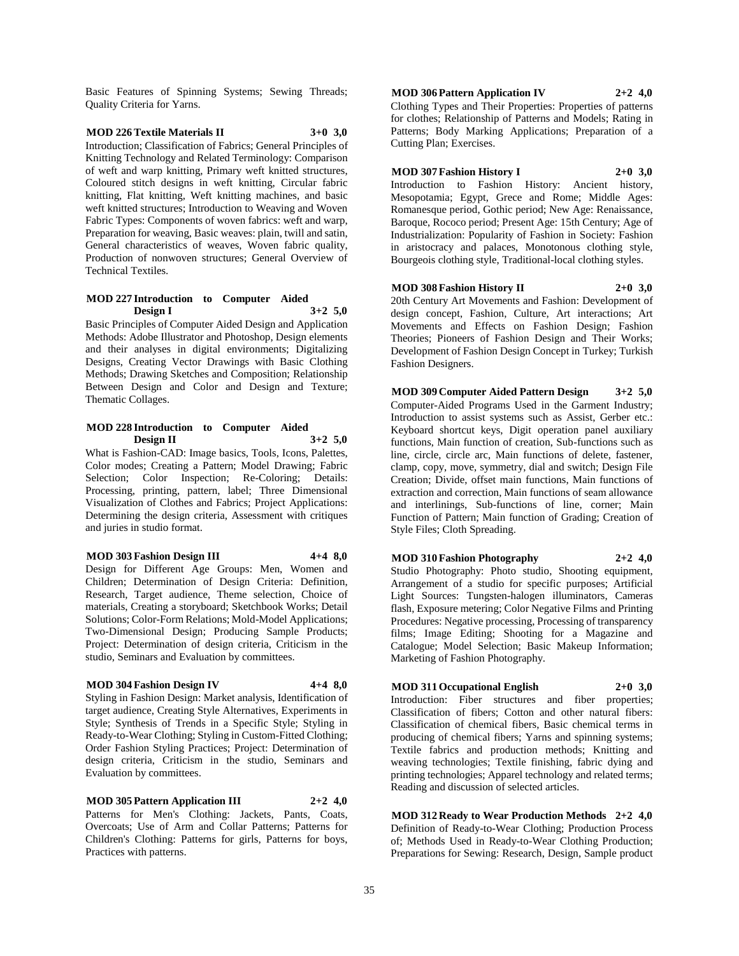Basic Features of Spinning Systems; Sewing Threads; Quality Criteria for Yarns.

## **MOD 226 Textile Materials II 3+0 3,0**

Introduction; Classification of Fabrics; General Principles of Knitting Technology and Related Terminology: Comparison of weft and warp knitting, Primary weft knitted structures, Coloured stitch designs in weft knitting, Circular fabric knitting, Flat knitting, Weft knitting machines, and basic weft knitted structures; Introduction to Weaving and Woven Fabric Types: Components of woven fabrics: weft and warp, Preparation for weaving, Basic weaves: plain, twill and satin, General characteristics of weaves, Woven fabric quality, Production of nonwoven structures; General Overview of Technical Textiles.

#### **MOD 227 Introduction to Computer Aided Design I 3+2 5,0**

Basic Principles of Computer Aided Design and Application Methods: Adobe Illustrator and Photoshop, Design elements and their analyses in digital environments; Digitalizing Designs, Creating Vector Drawings with Basic Clothing Methods; Drawing Sketches and Composition; Relationship Between Design and Color and Design and Texture; Thematic Collages.

#### **MOD 228 Introduction to Computer Aided Design II 3+2 5,0**

What is Fashion-CAD: Image basics, Tools, Icons, Palettes, Color modes; Creating a Pattern; Model Drawing; Fabric Selection; Color Inspection; Re-Coloring; Details: Processing, printing, pattern, label; Three Dimensional Visualization of Clothes and Fabrics; Project Applications: Determining the design criteria, Assessment with critiques and juries in studio format.

#### **MOD 303 Fashion Design III 4+4 8,0**

Design for Different Age Groups: Men, Women and Children; Determination of Design Criteria: Definition, Research, Target audience, Theme selection, Choice of materials, Creating a storyboard; Sketchbook Works; Detail Solutions; Color-Form Relations; Mold-Model Applications; Two-Dimensional Design; Producing Sample Products; Project: Determination of design criteria, Criticism in the studio, Seminars and Evaluation by committees.

#### **MOD 304 Fashion Design IV 4+4 8,0**

Styling in Fashion Design: Market analysis, Identification of target audience, Creating Style Alternatives, Experiments in Style; Synthesis of Trends in a Specific Style; Styling in Ready-to-Wear Clothing; Styling in Custom-Fitted Clothing; Order Fashion Styling Practices; Project: Determination of design criteria, Criticism in the studio, Seminars and Evaluation by committees.

**MOD 305 Pattern Application III 2+2 4,0** Patterns for Men's Clothing: Jackets, Pants, Coats, Overcoats; Use of Arm and Collar Patterns; Patterns for Children's Clothing: Patterns for girls, Patterns for boys, Practices with patterns.

**MOD 306 Pattern Application IV 2+2 4,0** Clothing Types and Their Properties: Properties of patterns for clothes; Relationship of Patterns and Models; Rating in Patterns; Body Marking Applications; Preparation of a Cutting Plan; Exercises.

## **MOD 307 Fashion History I 2+0 3,0**

Introduction to Fashion History: Ancient history, Mesopotamia; Egypt, Grece and Rome; Middle Ages: Romanesque period, Gothic period; New Age: Renaissance, Baroque, Rococo period; Present Age: 15th Century; Age of Industrialization: Popularity of Fashion in Society: Fashion in aristocracy and palaces, Monotonous clothing style, Bourgeois clothing style, Traditional-local clothing styles.

**MOD 308 Fashion History II 2+0 3,0**

20th Century Art Movements and Fashion: Development of design concept, Fashion, Culture, Art interactions; Art Movements and Effects on Fashion Design; Fashion Theories; Pioneers of Fashion Design and Their Works; Development of Fashion Design Concept in Turkey; Turkish Fashion Designers.

**MOD 309 Computer Aided Pattern Design 3+2 5,0** Computer-Aided Programs Used in the Garment Industry; Introduction to assist systems such as Assist, Gerber etc.: Keyboard shortcut keys, Digit operation panel auxiliary functions, Main function of creation, Sub-functions such as line, circle, circle arc, Main functions of delete, fastener, clamp, copy, move, symmetry, dial and switch; Design File Creation; Divide, offset main functions, Main functions of extraction and correction, Main functions of seam allowance and interlinings, Sub-functions of line, corner; Main Function of Pattern; Main function of Grading; Creation of Style Files; Cloth Spreading.

## **MOD 310 Fashion Photography 2+2 4,0**

Studio Photography: Photo studio, Shooting equipment, Arrangement of a studio for specific purposes; Artificial Light Sources: Tungsten-halogen illuminators, Cameras flash, Exposure metering; Color Negative Films and Printing Procedures: Negative processing, Processing of transparency films; Image Editing; Shooting for a Magazine and Catalogue; Model Selection; Basic Makeup Information; Marketing of Fashion Photography.

#### **MOD 311 Occupational English 2+0 3,0**

Introduction: Fiber structures and fiber properties; Classification of fibers; Cotton and other natural fibers: Classification of chemical fibers, Basic chemical terms in producing of chemical fibers; Yarns and spinning systems; Textile fabrics and production methods; Knitting and weaving technologies; Textile finishing, fabric dying and printing technologies; Apparel technology and related terms; Reading and discussion of selected articles.

**MOD 312 Ready to Wear Production Methods 2+2 4,0** Definition of Ready-to-Wear Clothing; Production Process of; Methods Used in Ready-to-Wear Clothing Production; Preparations for Sewing: Research, Design, Sample product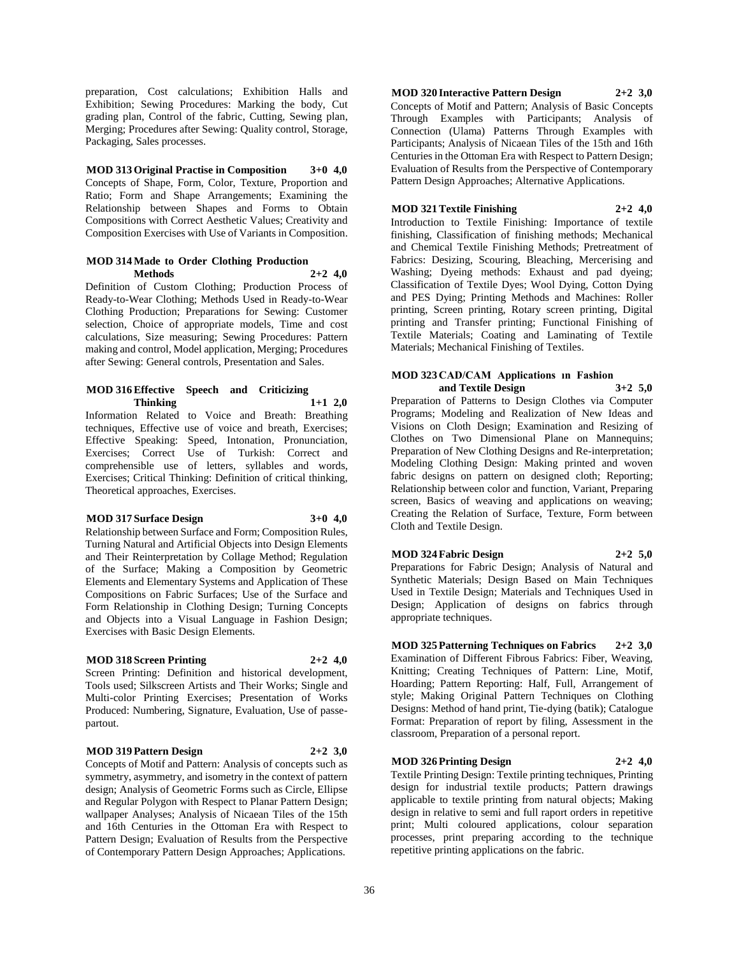preparation, Cost calculations; Exhibition Halls and Exhibition; Sewing Procedures: Marking the body, Cut grading plan, Control of the fabric, Cutting, Sewing plan, Merging; Procedures after Sewing: Quality control, Storage, Packaging, Sales processes.

**MOD 313 Original Practise in Composition 3+0 4,0** Concepts of Shape, Form, Color, Texture, Proportion and Ratio; Form and Shape Arrangements; Examining the Relationship between Shapes and Forms to Obtain Compositions with Correct Aesthetic Values; Creativity and Composition Exercises with Use of Variants in Composition.

#### **MOD 314 Made to Order Clothing Production Methods 2+2 4,0**

Definition of Custom Clothing; Production Process of Ready-to-Wear Clothing; Methods Used in Ready-to-Wear Clothing Production; Preparations for Sewing: Customer selection, Choice of appropriate models, Time and cost calculations, Size measuring; Sewing Procedures: Pattern making and control, Model application, Merging; Procedures after Sewing: General controls, Presentation and Sales.

#### **MOD 316 Effective Speech and Criticizing Thinking 1+1 2,0**

Information Related to Voice and Breath: Breathing techniques, Effective use of voice and breath, Exercises; Effective Speaking: Speed, Intonation, Pronunciation, Exercises; Correct Use of Turkish: Correct and comprehensible use of letters, syllables and words, Exercises; Critical Thinking: Definition of critical thinking, Theoretical approaches, Exercises.

### **MOD 317 Surface Design 3+0 4,0**

Relationship between Surface and Form; Composition Rules, Turning Natural and Artificial Objects into Design Elements and Their Reinterpretation by Collage Method; Regulation of the Surface; Making a Composition by Geometric Elements and Elementary Systems and Application of These Compositions on Fabric Surfaces; Use of the Surface and Form Relationship in Clothing Design; Turning Concepts and Objects into a Visual Language in Fashion Design; Exercises with Basic Design Elements.

## **MOD 318 Screen Printing 2+2 4,0**

Screen Printing: Definition and historical development, Tools used; Silkscreen Artists and Their Works; Single and Multi-color Printing Exercises; Presentation of Works Produced: Numbering, Signature, Evaluation, Use of passepartout.

#### **MOD 319 Pattern Design 2+2 3,0**

Concepts of Motif and Pattern: Analysis of concepts such as symmetry, asymmetry, and isometry in the context of pattern design; Analysis of Geometric Forms such as Circle, Ellipse and Regular Polygon with Respect to Planar Pattern Design; wallpaper Analyses; Analysis of Nicaean Tiles of the 15th and 16th Centuries in the Ottoman Era with Respect to Pattern Design; Evaluation of Results from the Perspective of Contemporary Pattern Design Approaches; Applications.

## **MOD 320 Interactive Pattern Design 2+2 3,0**

Concepts of Motif and Pattern; Analysis of Basic Concepts Through Examples with Participants; Analysis of Connection (Ulama) Patterns Through Examples with Participants; Analysis of Nicaean Tiles of the 15th and 16th Centuries in the Ottoman Era with Respect to Pattern Design; Evaluation of Results from the Perspective of Contemporary Pattern Design Approaches; Alternative Applications.

## **MOD 321 Textile Finishing 2+2 4,0**

Introduction to Textile Finishing: Importance of textile finishing, Classification of finishing methods; Mechanical and Chemical Textile Finishing Methods; Pretreatment of Fabrics: Desizing, Scouring, Bleaching, Mercerising and Washing; Dyeing methods: Exhaust and pad dyeing; Classification of Textile Dyes; Wool Dying, Cotton Dying and PES Dying; Printing Methods and Machines: Roller printing, Screen printing, Rotary screen printing, Digital printing and Transfer printing; Functional Finishing of Textile Materials; Coating and Laminating of Textile Materials; Mechanical Finishing of Textiles.

#### **MOD 323 CAD/CAM Applications ın Fashion and Textile Design 3+2 5,0**

Preparation of Patterns to Design Clothes via Computer Programs; Modeling and Realization of New Ideas and Visions on Cloth Design; Examination and Resizing of Clothes on Two Dimensional Plane on Mannequins; Preparation of New Clothing Designs and Re-interpretation; Modeling Clothing Design: Making printed and woven fabric designs on pattern on designed cloth; Reporting; Relationship between color and function, Variant, Preparing screen, Basics of weaving and applications on weaving; Creating the Relation of Surface, Texture, Form between Cloth and Textile Design.

**MOD 324 Fabric Design 2+2 5,0**

Preparations for Fabric Design; Analysis of Natural and Synthetic Materials; Design Based on Main Techniques Used in Textile Design; Materials and Techniques Used in Design; Application of designs on fabrics through appropriate techniques.

**MOD 325 Patterning Techniques on Fabrics 2+2 3,0** Examination of Different Fibrous Fabrics: Fiber, Weaving, Knitting; Creating Techniques of Pattern: Line, Motif, Hoarding; Pattern Reporting: Half, Full, Arrangement of style; Making Original Pattern Techniques on Clothing Designs: Method of hand print, Tie-dying (batik); Catalogue Format: Preparation of report by filing, Assessment in the classroom, Preparation of a personal report.

## **MOD 326 Printing Design 2+2 4,0**

Textile Printing Design: Textile printing techniques, Printing design for industrial textile products; Pattern drawings applicable to textile printing from natural objects; Making design in relative to semi and full raport orders in repetitive print; Multi coloured applications, colour separation processes, print preparing according to the technique repetitive printing applications on the fabric.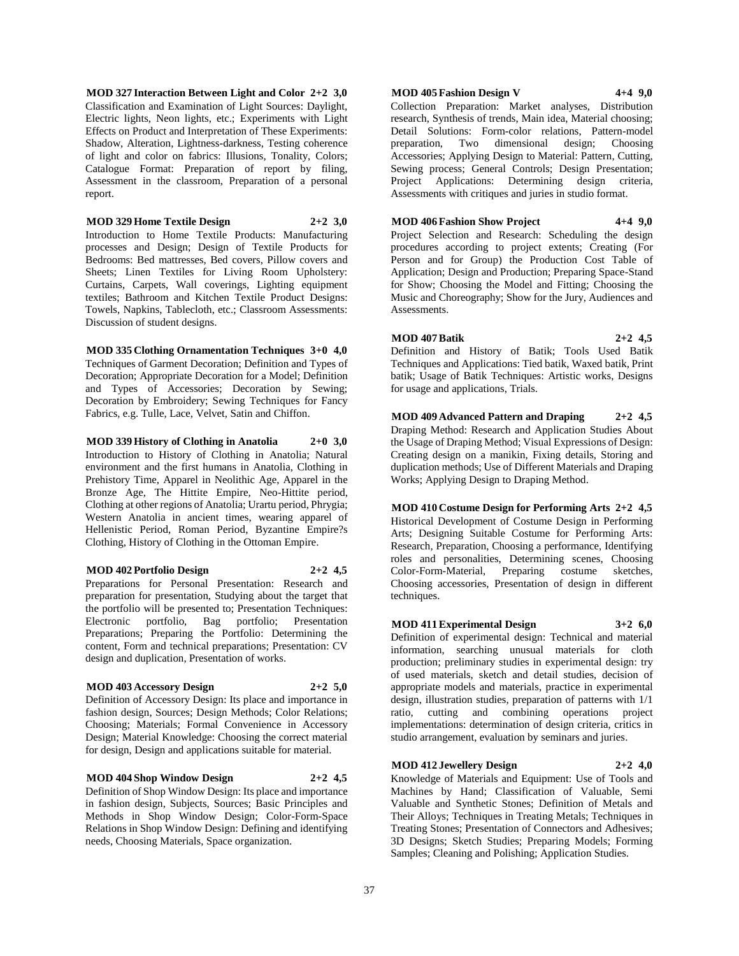**MOD 327 Interaction Between Light and Color 2+2 3,0** Classification and Examination of Light Sources: Daylight, Electric lights, Neon lights, etc.; Experiments with Light Effects on Product and Interpretation of These Experiments: Shadow, Alteration, Lightness-darkness, Testing coherence of light and color on fabrics: Illusions, Tonality, Colors; Catalogue Format: Preparation of report by filing, Assessment in the classroom, Preparation of a personal report.

**MOD 329 Home Textile Design 2+2 3,0** Introduction to Home Textile Products: Manufacturing processes and Design; Design of Textile Products for Bedrooms: Bed mattresses, Bed covers, Pillow covers and Sheets; Linen Textiles for Living Room Upholstery: Curtains, Carpets, Wall coverings, Lighting equipment textiles; Bathroom and Kitchen Textile Product Designs: Towels, Napkins, Tablecloth, etc.; Classroom Assessments: Discussion of student designs.

#### **MOD 335 Clothing Ornamentation Techniques 3+0 4,0**

Techniques of Garment Decoration; Definition and Types of Decoration; Appropriate Decoration for a Model; Definition and Types of Accessories; Decoration by Sewing; Decoration by Embroidery; Sewing Techniques for Fancy Fabrics, e.g. Tulle, Lace, Velvet, Satin and Chiffon.

**MOD 339 History of Clothing in Anatolia 2+0 3,0** Introduction to History of Clothing in Anatolia; Natural environment and the first humans in Anatolia, Clothing in Prehistory Time, Apparel in Neolithic Age, Apparel in the Bronze Age, The Hittite Empire, Neo-Hittite period, Clothing at other regions of Anatolia; Urartu period, Phrygia; Western Anatolia in ancient times, wearing apparel of Hellenistic Period, Roman Period, Byzantine Empire?s Clothing, History of Clothing in the Ottoman Empire.

#### **MOD 402 Portfolio Design 2+2 4,5**

Preparations for Personal Presentation: Research and preparation for presentation, Studying about the target that the portfolio will be presented to; Presentation Techniques: Electronic portfolio, Bag portfolio; Presentation Preparations; Preparing the Portfolio: Determining the content, Form and technical preparations; Presentation: CV design and duplication, Presentation of works.

#### **MOD 403 Accessory Design 2+2 5,0**

Definition of Accessory Design: Its place and importance in fashion design, Sources; Design Methods; Color Relations; Choosing; Materials; Formal Convenience in Accessory Design; Material Knowledge: Choosing the correct material for design, Design and applications suitable for material.

## **MOD 404 Shop Window Design 2+2 4,5**

Definition of Shop Window Design: Its place and importance in fashion design, Subjects, Sources; Basic Principles and Methods in Shop Window Design; Color-Form-Space Relations in Shop Window Design: Defining and identifying needs, Choosing Materials, Space organization.

#### **MOD 405 Fashion Design V 4+4 9,0**

Collection Preparation: Market analyses, Distribution research, Synthesis of trends, Main idea, Material choosing; Detail Solutions: Form-color relations, Pattern-model preparation, Two dimensional design; Choosing Accessories; Applying Design to Material: Pattern, Cutting, Sewing process; General Controls; Design Presentation; Project Applications: Determining design criteria, Assessments with critiques and juries in studio format.

**MOD 406 Fashion Show Project 4+4 9,0**

Project Selection and Research: Scheduling the design procedures according to project extents; Creating (For Person and for Group) the Production Cost Table of Application; Design and Production; Preparing Space-Stand for Show; Choosing the Model and Fitting; Choosing the Music and Choreography; Show for the Jury, Audiences and Assessments.

#### **MOD 407 Batik 2+2 4,5** Definition and History of Batik; Tools Used Batik Techniques and Applications: Tied batik, Waxed batik, Print batik; Usage of Batik Techniques: Artistic works, Designs

for usage and applications, Trials.

**MOD 409 Advanced Pattern and Draping 2+2 4,5** Draping Method: Research and Application Studies About the Usage of Draping Method; Visual Expressions of Design: Creating design on a manikin, Fixing details, Storing and duplication methods; Use of Different Materials and Draping Works; Applying Design to Draping Method.

**MOD 410 Costume Design for Performing Arts 2+2 4,5** Historical Development of Costume Design in Performing Arts; Designing Suitable Costume for Performing Arts: Research, Preparation, Choosing a performance, Identifying roles and personalities, Determining scenes, Choosing Color-Form-Material, Preparing costume sketches, Choosing accessories, Presentation of design in different techniques.

## **MOD 411 Experimental Design 3+2 6,0**

Definition of experimental design: Technical and material information, searching unusual materials for cloth production; preliminary studies in experimental design: try of used materials, sketch and detail studies, decision of appropriate models and materials, practice in experimental design, illustration studies, preparation of patterns with 1/1 ratio, cutting and combining operations project implementations: determination of design criteria, critics in studio arrangement, evaluation by seminars and juries.

## **MOD 412 Jewellery Design 2+2 4,0**

Knowledge of Materials and Equipment: Use of Tools and Machines by Hand; Classification of Valuable, Semi Valuable and Synthetic Stones; Definition of Metals and Their Alloys; Techniques in Treating Metals; Techniques in Treating Stones; Presentation of Connectors and Adhesives; 3D Designs; Sketch Studies; Preparing Models; Forming Samples; Cleaning and Polishing; Application Studies.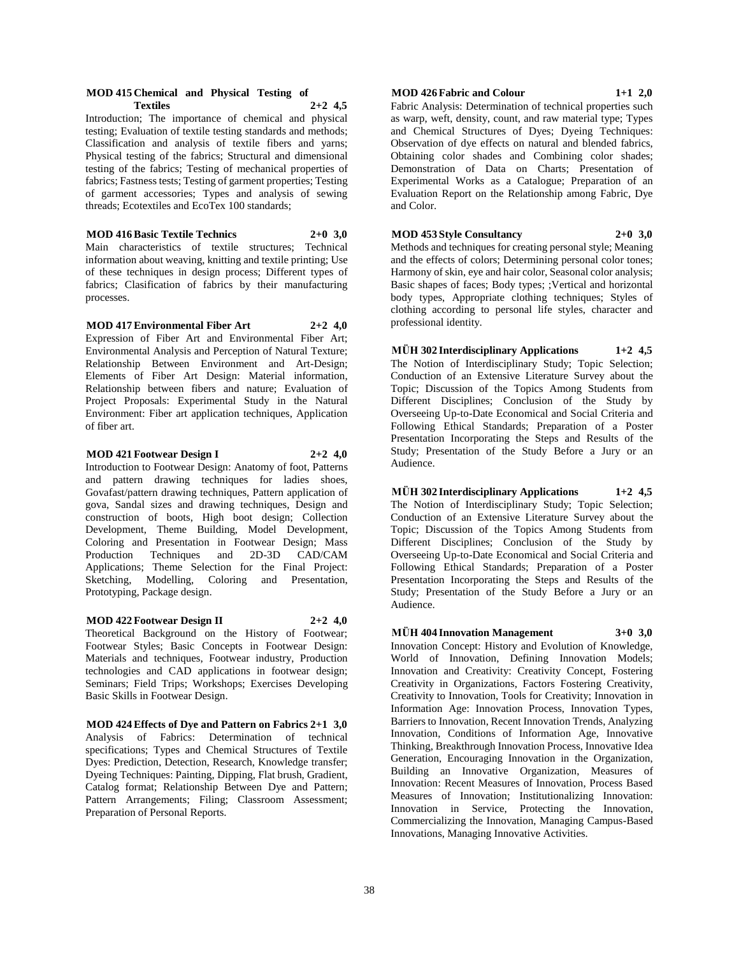#### **MOD 415 Chemical and Physical Testing of Textiles 2+2 4,5**

Introduction; The importance of chemical and physical testing; Evaluation of textile testing standards and methods; Classification and analysis of textile fibers and yarns; Physical testing of the fabrics; Structural and dimensional testing of the fabrics; Testing of mechanical properties of fabrics; Fastness tests; Testing of garment properties; Testing of garment accessories; Types and analysis of sewing threads; Ecotextiles and EcoTex 100 standards;

**MOD 416 Basic Textile Technics 2+0 3,0** Main characteristics of textile structures; Technical information about weaving, knitting and textile printing; Use of these techniques in design process; Different types of fabrics; Clasification of fabrics by their manufacturing processes.

**MOD 417 Environmental Fiber Art 2+2 4,0** Expression of Fiber Art and Environmental Fiber Art; Environmental Analysis and Perception of Natural Texture; Relationship Between Environment and Art-Design; Elements of Fiber Art Design: Material information, Relationship between fibers and nature; Evaluation of Project Proposals: Experimental Study in the Natural Environment: Fiber art application techniques, Application of fiber art.

**MOD 421 Footwear Design I 2+2 4,0**

Introduction to Footwear Design: Anatomy of foot, Patterns and pattern drawing techniques for ladies shoes, Govafast/pattern drawing techniques, Pattern application of gova, Sandal sizes and drawing techniques, Design and construction of boots, High boot design; Collection Development, Theme Building, Model Development, Coloring and Presentation in Footwear Design; Mass Production Techniques and 2D-3D CAD/CAM Applications; Theme Selection for the Final Project: Sketching, Modelling, Coloring and Presentation, Prototyping, Package design.

#### **MOD 422 Footwear Design II 2+2 4,0**

Theoretical Background on the History of Footwear; Footwear Styles; Basic Concepts in Footwear Design: Materials and techniques, Footwear industry, Production technologies and CAD applications in footwear design; Seminars; Field Trips; Workshops; Exercises Developing Basic Skills in Footwear Design.

**MOD 424 Effects of Dye and Pattern on Fabrics 2+1 3,0** Analysis of Fabrics: Determination of technical specifications; Types and Chemical Structures of Textile Dyes: Prediction, Detection, Research, Knowledge transfer; Dyeing Techniques: Painting, Dipping, Flat brush, Gradient, Catalog format; Relationship Between Dye and Pattern; Pattern Arrangements; Filing; Classroom Assessment; Preparation of Personal Reports.

#### **MOD 426 Fabric and Colour 1+1 2,0**

Fabric Analysis: Determination of technical properties such as warp, weft, density, count, and raw material type; Types and Chemical Structures of Dyes; Dyeing Techniques: Observation of dye effects on natural and blended fabrics, Obtaining color shades and Combining color shades; Demonstration of Data on Charts; Presentation of Experimental Works as a Catalogue; Preparation of an Evaluation Report on the Relationship among Fabric, Dye and Color.

**MOD 453 Style Consultancy 2+0 3,0** Methods and techniques for creating personal style; Meaning and the effects of colors; Determining personal color tones; Harmony of skin, eye and hair color, Seasonal color analysis; Basic shapes of faces; Body types; ;Vertical and horizontal body types, Appropriate clothing techniques; Styles of clothing according to personal life styles, character and professional identity.

**MÜH 302 Interdisciplinary Applications 1+2 4,5** The Notion of Interdisciplinary Study; Topic Selection; Conduction of an Extensive Literature Survey about the Topic; Discussion of the Topics Among Students from Different Disciplines; Conclusion of the Study by Overseeing Up-to-Date Economical and Social Criteria and Following Ethical Standards; Preparation of a Poster Presentation Incorporating the Steps and Results of the Study; Presentation of the Study Before a Jury or an Audience.

**MÜH 302 Interdisciplinary Applications 1+2 4,5** The Notion of Interdisciplinary Study; Topic Selection; Conduction of an Extensive Literature Survey about the Topic; Discussion of the Topics Among Students from Different Disciplines; Conclusion of the Study by Overseeing Up-to-Date Economical and Social Criteria and Following Ethical Standards; Preparation of a Poster Presentation Incorporating the Steps and Results of the Study; Presentation of the Study Before a Jury or an Audience.

**MÜH 404 Innovation Management 3+0 3,0**

Innovation Concept: History and Evolution of Knowledge, World of Innovation, Defining Innovation Models; Innovation and Creativity: Creativity Concept, Fostering Creativity in Organizations, Factors Fostering Creativity, Creativity to Innovation, Tools for Creativity; Innovation in Information Age: Innovation Process, Innovation Types, Barriers to Innovation, Recent Innovation Trends, Analyzing Innovation, Conditions of Information Age, Innovative Thinking, Breakthrough Innovation Process, Innovative Idea Generation, Encouraging Innovation in the Organization, Building an Innovative Organization, Measures of Innovation: Recent Measures of Innovation, Process Based Measures of Innovation; Institutionalizing Innovation: Innovation in Service, Protecting the Innovation, Commercializing the Innovation, Managing Campus-Based Innovations, Managing Innovative Activities.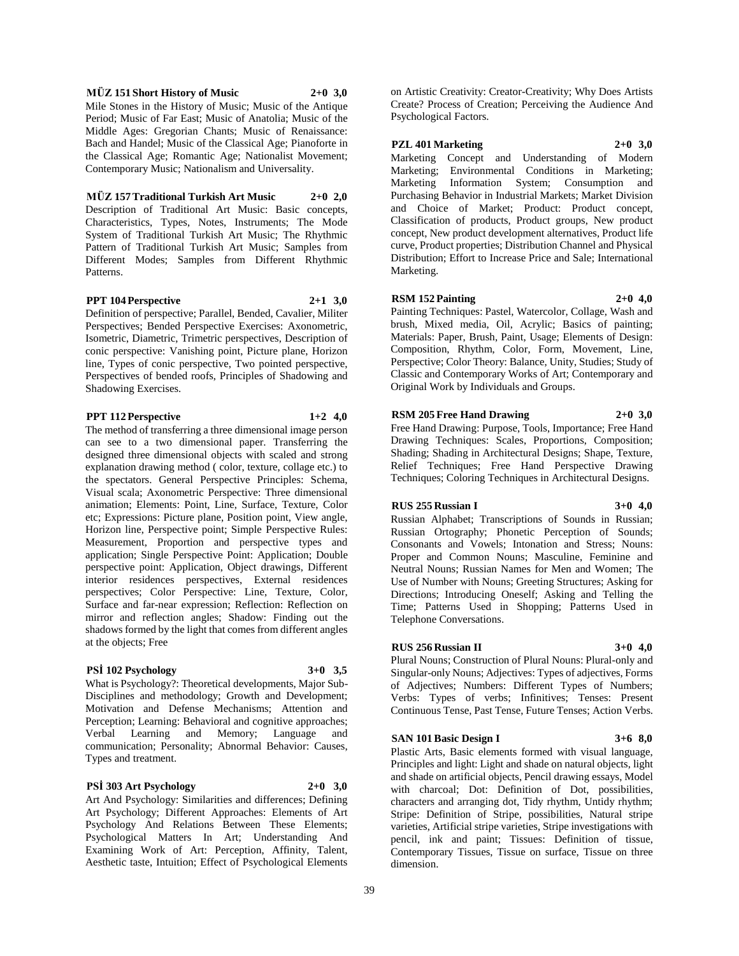#### **MÜZ 151 Short History of Music 2+0 3,0**

Mile Stones in the History of Music; Music of the Antique Period; Music of Far East; Music of Anatolia; Music of the Middle Ages: Gregorian Chants; Music of Renaissance: Bach and Handel; Music of the Classical Age; Pianoforte in the Classical Age; Romantic Age; Nationalist Movement; Contemporary Music; Nationalism and Universality.

#### **MÜZ 157 Traditional Turkish Art Music 2+0 2,0**

Description of Traditional Art Music: Basic concepts, Characteristics, Types, Notes, Instruments; The Mode System of Traditional Turkish Art Music; The Rhythmic Pattern of Traditional Turkish Art Music; Samples from Different Modes; Samples from Different Rhythmic Patterns.

#### **PPT 104 Perspective 2+1 3,0**

Definition of perspective; Parallel, Bended, Cavalier, Militer Perspectives; Bended Perspective Exercises: Axonometric, Isometric, Diametric, Trimetric perspectives, Description of conic perspective: Vanishing point, Picture plane, Horizon line, Types of conic perspective, Two pointed perspective, Perspectives of bended roofs, Principles of Shadowing and Shadowing Exercises.

## **PPT 112 Perspective 1+2 4,0**

The method of transferring a three dimensional image person can see to a two dimensional paper. Transferring the designed three dimensional objects with scaled and strong explanation drawing method ( color, texture, collage etc.) to the spectators. General Perspective Principles: Schema, Visual scala; Axonometric Perspective: Three dimensional animation; Elements: Point, Line, Surface, Texture, Color etc; Expressions: Picture plane, Position point, View angle, Horizon line, Perspective point; Simple Perspective Rules: Measurement, Proportion and perspective types and application; Single Perspective Point: Application; Double perspective point: Application, Object drawings, Different interior residences perspectives, External residences perspectives; Color Perspective: Line, Texture, Color, Surface and far-near expression; Reflection: Reflection on mirror and reflection angles; Shadow: Finding out the shadows formed by the light that comes from different angles at the objects; Free

### **PSİ 102 Psychology 3+0 3,5**

What is Psychology?: Theoretical developments, Major Sub-Disciplines and methodology; Growth and Development; Motivation and Defense Mechanisms; Attention and Perception; Learning: Behavioral and cognitive approaches; Verbal Learning and Memory; Language and communication; Personality; Abnormal Behavior: Causes, Types and treatment.

#### **PSİ 303 Art Psychology 2+0 3,0**

Art And Psychology: Similarities and differences; Defining Art Psychology; Different Approaches: Elements of Art Psychology And Relations Between These Elements; Psychological Matters In Art; Understanding And Examining Work of Art: Perception, Affinity, Talent, Aesthetic taste, Intuition; Effect of Psychological Elements

on Artistic Creativity: Creator-Creativity; Why Does Artists Create? Process of Creation; Perceiving the Audience And Psychological Factors.

**PZL 401 Marketing 2+0 3,0**

Marketing Concept and Understanding of Modern Marketing; Environmental Conditions in Marketing; Marketing Information System; Consumption and Purchasing Behavior in Industrial Markets; Market Division and Choice of Market; Product: Product concept, Classification of products, Product groups, New product concept, New product development alternatives, Product life curve, Product properties; Distribution Channel and Physical Distribution; Effort to Increase Price and Sale; International Marketing.

## **RSM 152 Painting 2+0 4,0**

Painting Techniques: Pastel, Watercolor, Collage, Wash and brush, Mixed media, Oil, Acrylic; Basics of painting; Materials: Paper, Brush, Paint, Usage; Elements of Design: Composition, Rhythm, Color, Form, Movement, Line, Perspective; Color Theory: Balance, Unity, Studies; Study of Classic and Contemporary Works of Art; Contemporary and Original Work by Individuals and Groups.

## **RSM 205 Free Hand Drawing 2+0 3,0**

Free Hand Drawing: Purpose, Tools, Importance; Free Hand Drawing Techniques: Scales, Proportions, Composition; Shading; Shading in Architectural Designs; Shape, Texture, Relief Techniques; Free Hand Perspective Drawing Techniques; Coloring Techniques in Architectural Designs.

## **RUS 255 Russian I 3+0 4,0**

Russian Alphabet; Transcriptions of Sounds in Russian; Russian Ortography; Phonetic Perception of Sounds; Consonants and Vowels; Intonation and Stress; Nouns: Proper and Common Nouns; Masculine, Feminine and Neutral Nouns; Russian Names for Men and Women; The Use of Number with Nouns; Greeting Structures; Asking for Directions; Introducing Oneself; Asking and Telling the Time; Patterns Used in Shopping; Patterns Used in Telephone Conversations.

#### **RUS 256 Russian II 3+0 4,0**

Plural Nouns; Construction of Plural Nouns: Plural-only and Singular-only Nouns; Adjectives: Types of adjectives, Forms of Adjectives; Numbers: Different Types of Numbers; Verbs: Types of verbs; Infinitives; Tenses: Present Continuous Tense, Past Tense, Future Tenses; Action Verbs.

#### **SAN 101 Basic Design I 3+6 8,0**

Plastic Arts, Basic elements formed with visual language, Principles and light: Light and shade on natural objects, light and shade on artificial objects, Pencil drawing essays, Model with charcoal; Dot: Definition of Dot, possibilities, characters and arranging dot, Tidy rhythm, Untidy rhythm; Stripe: Definition of Stripe, possibilities, Natural stripe varieties, Artificial stripe varieties, Stripe investigations with pencil, ink and paint; Tissues: Definition of tissue, Contemporary Tissues, Tissue on surface, Tissue on three dimension.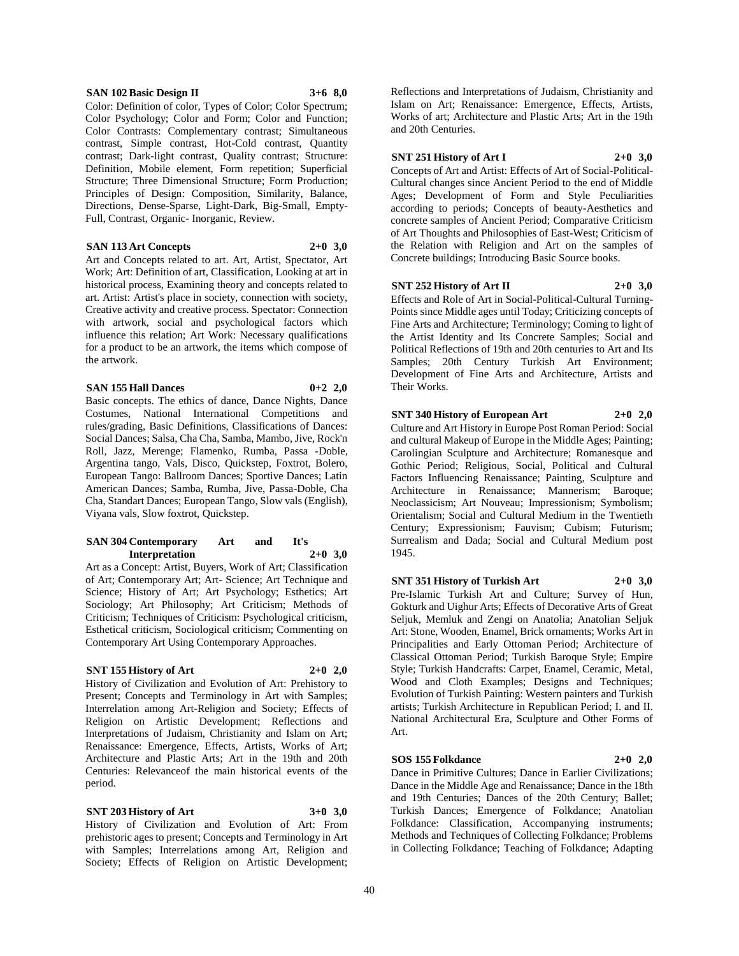#### **SAN 102 Basic Design II 3+6 8,0**

Color: Definition of color, Types of Color; Color Spectrum; Color Psychology; Color and Form; Color and Function; Color Contrasts: Complementary contrast; Simultaneous contrast, Simple contrast, Hot-Cold contrast, Quantity contrast; Dark-light contrast, Quality contrast; Structure: Definition, Mobile element, Form repetition; Superficial Structure; Three Dimensional Structure; Form Production; Principles of Design: Composition, Similarity, Balance, Directions, Dense-Sparse, Light-Dark, Big-Small, Empty-Full, Contrast, Organic- Inorganic, Review.

#### **SAN 113 Art Concepts 2+0 3,0**

Art and Concepts related to art. Art, Artist, Spectator, Art Work; Art: Definition of art, Classification, Looking at art in historical process, Examining theory and concepts related to art. Artist: Artist's place in society, connection with society, Creative activity and creative process. Spectator: Connection with artwork, social and psychological factors which influence this relation; Art Work: Necessary qualifications for a product to be an artwork, the items which compose of the artwork.

#### **SAN 155 Hall Dances 0+2 2,0**

Basic concepts. The ethics of dance, Dance Nights, Dance Costumes, National International Competitions and rules/grading, Basic Definitions, Classifications of Dances: Social Dances; Salsa, Cha Cha, Samba, Mambo, Jive, Rock'n Roll, Jazz, Merenge; Flamenko, Rumba, Passa -Doble, Argentina tango, Vals, Disco, Quickstep, Foxtrot, Bolero, European Tango: Ballroom Dances; Sportive Dances; Latin American Dances; Samba, Rumba, Jive, Passa-Doble, Cha Cha, Standart Dances; European Tango, Slow vals (English), Viyana vals, Slow foxtrot, Quickstep.

#### **SAN 304 Contemporary Art and It's Interpretation 2+0 3,0**

Art as a Concept: Artist, Buyers, Work of Art; Classification of Art; Contemporary Art; Art- Science; Art Technique and Science; History of Art; Art Psychology; Esthetics; Art Sociology; Art Philosophy; Art Criticism; Methods of Criticism; Techniques of Criticism: Psychological criticism, Esthetical criticism, Sociological criticism; Commenting on Contemporary Art Using Contemporary Approaches.

#### **SNT 155 History of Art 2+0 2,0**

History of Civilization and Evolution of Art: Prehistory to Present; Concepts and Terminology in Art with Samples; Interrelation among Art-Religion and Society; Effects of Religion on Artistic Development; Reflections and Interpretations of Judaism, Christianity and Islam on Art; Renaissance: Emergence, Effects, Artists, Works of Art; Architecture and Plastic Arts; Art in the 19th and 20th Centuries: Relevanceof the main historical events of the period.

#### **SNT 203 History of Art 3+0 3,0**

History of Civilization and Evolution of Art: From prehistoric ages to present; Concepts and Terminology in Art with Samples; Interrelations among Art, Religion and Society; Effects of Religion on Artistic Development;

Reflections and Interpretations of Judaism, Christianity and Islam on Art; Renaissance: Emergence, Effects, Artists, Works of art; Architecture and Plastic Arts; Art in the 19th and 20th Centuries.

#### **SNT 251 History of Art I 2+0 3,0**

Concepts of Art and Artist: Effects of Art of Social-Political-Cultural changes since Ancient Period to the end of Middle Ages; Development of Form and Style Peculiarities according to periods; Concepts of beauty-Aesthetics and concrete samples of Ancient Period; Comparative Criticism of Art Thoughts and Philosophies of East-West; Criticism of the Relation with Religion and Art on the samples of Concrete buildings; Introducing Basic Source books.

#### **SNT 252 History of Art II 2+0 3,0**

Effects and Role of Art in Social-Political-Cultural Turning-Points since Middle ages until Today; Criticizing concepts of Fine Arts and Architecture; Terminology; Coming to light of the Artist Identity and Its Concrete Samples; Social and Political Reflections of 19th and 20th centuries to Art and Its Samples; 20th Century Turkish Art Environment; Development of Fine Arts and Architecture, Artists and Their Works.

## **SNT 340 History of European Art 2+0 2,0**

Culture and Art History in Europe Post Roman Period: Social and cultural Makeup of Europe in the Middle Ages; Painting; Carolingian Sculpture and Architecture; Romanesque and Gothic Period; Religious, Social, Political and Cultural Factors Influencing Renaissance; Painting, Sculpture and Architecture in Renaissance; Mannerism; Baroque; Neoclassicism; Art Nouveau; Impressionism; Symbolism; Orientalism; Social and Cultural Medium in the Twentieth Century; Expressionism; Fauvism; Cubism; Futurism; Surrealism and Dada; Social and Cultural Medium post 1945.

**SNT 351 History of Turkish Art 2+0 3,0** Pre-Islamic Turkish Art and Culture; Survey of Hun,

Gokturk and Uighur Arts; Effects of Decorative Arts of Great Seljuk, Memluk and Zengi on Anatolia; Anatolian Seljuk Art: Stone, Wooden, Enamel, Brick ornaments; Works Art in Principalities and Early Ottoman Period; Architecture of Classical Ottoman Period; Turkish Baroque Style; Empire Style; Turkish Handcrafts: Carpet, Enamel, Ceramic, Metal, Wood and Cloth Examples; Designs and Techniques; Evolution of Turkish Painting: Western painters and Turkish artists; Turkish Architecture in Republican Period; I. and II. National Architectural Era, Sculpture and Other Forms of Art.

### **SOS 155 Folkdance 2+0 2,0**

Dance in Primitive Cultures; Dance in Earlier Civilizations; Dance in the Middle Age and Renaissance; Dance in the 18th and 19th Centuries; Dances of the 20th Century; Ballet; Turkish Dances; Emergence of Folkdance; Anatolian Folkdance: Classification, Accompanying instruments; Methods and Techniques of Collecting Folkdance; Problems in Collecting Folkdance; Teaching of Folkdance; Adapting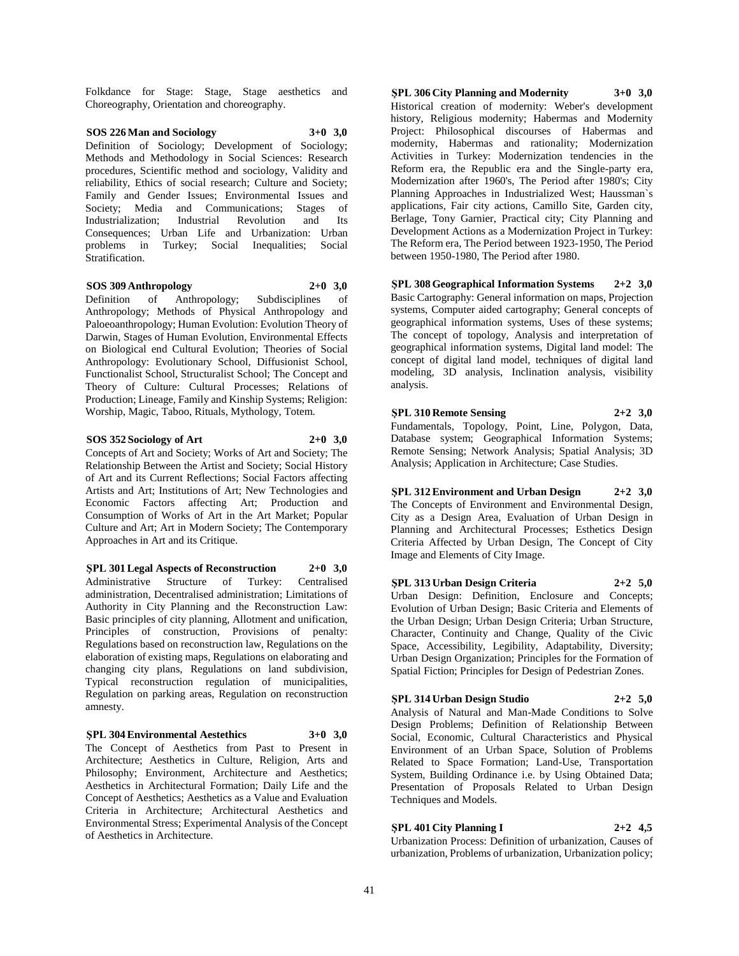Folkdance for Stage: Stage, Stage aesthetics and Choreography, Orientation and choreography.

**SOS 226 Man and Sociology 3+0 3,0** Definition of Sociology; Development of Sociology; Methods and Methodology in Social Sciences: Research procedures, Scientific method and sociology, Validity and reliability, Ethics of social research; Culture and Society; Family and Gender Issues; Environmental Issues and Society: Media and Communications: Stages of Industrialization; Industrial Revolution and Its Consequences; Urban Life and Urbanization: Urban problems in Turkey; Social Inequalities; Social Stratification.

#### **SOS 309 Anthropology 2+0 3,0**

Definition of Anthropology; Subdisciplines of Anthropology; Methods of Physical Anthropology and Paloeoanthropology; Human Evolution: Evolution Theory of Darwin, Stages of Human Evolution, Environmental Effects on Biological end Cultural Evolution; Theories of Social Anthropology: Evolutionary School, Diffusionist School, Functionalist School, Structuralist School; The Concept and Theory of Culture: Cultural Processes; Relations of Production; Lineage, Family and Kinship Systems; Religion: Worship, Magic, Taboo, Rituals, Mythology, Totem.

**SOS 352 Sociology of Art 2+0 3,0**

Concepts of Art and Society; Works of Art and Society; The Relationship Between the Artist and Society; Social History of Art and its Current Reflections; Social Factors affecting Artists and Art; Institutions of Art; New Technologies and Economic Factors affecting Art; Production and Consumption of Works of Art in the Art Market; Popular Culture and Art; Art in Modern Society; The Contemporary Approaches in Art and its Critique.

**ŞPL 301 Legal Aspects of Reconstruction 2+0 3,0** Administrative Structure of Turkey: Centralised administration, Decentralised administration; Limitations of Authority in City Planning and the Reconstruction Law: Basic principles of city planning, Allotment and unification, Principles of construction, Provisions of penalty: Regulations based on reconstruction law, Regulations on the elaboration of existing maps, Regulations on elaborating and changing city plans, Regulations on land subdivision, Typical reconstruction regulation of municipalities, Regulation on parking areas, Regulation on reconstruction amnesty.

**ŞPL 304 Environmental Aestethics 3+0 3,0** The Concept of Aesthetics from Past to Present in Architecture; Aesthetics in Culture, Religion, Arts and Philosophy; Environment, Architecture and Aesthetics; Aesthetics in Architectural Formation; Daily Life and the Concept of Aesthetics; Aesthetics as a Value and Evaluation Criteria in Architecture; Architectural Aesthetics and Environmental Stress; Experimental Analysis of the Concept of Aesthetics in Architecture.

**ŞPL 306 City Planning and Modernity 3+0 3,0** Historical creation of modernity: Weber's development history, Religious modernity; Habermas and Modernity Project: Philosophical discourses of Habermas and modernity, Habermas and rationality; Modernization Activities in Turkey: Modernization tendencies in the Reform era, the Republic era and the Single-party era, Modernization after 1960's, The Period after 1980's; City Planning Approaches in Industrialized West; Haussman`s applications, Fair city actions, Camillo Site, Garden city, Berlage, Tony Garnier, Practical city; City Planning and Development Actions as a Modernization Project in Turkey: The Reform era, The Period between 1923-1950, The Period between 1950-1980, The Period after 1980.

**ŞPL 308 Geographical Information Systems 2+2 3,0** Basic Cartography: General information on maps, Projection systems, Computer aided cartography; General concepts of geographical information systems, Uses of these systems; The concept of topology, Analysis and interpretation of geographical information systems, Digital land model: The concept of digital land model, techniques of digital land modeling, 3D analysis, Inclination analysis, visibility analysis.

**ŞPL 310 Remote Sensing 2+2 3,0** Fundamentals, Topology, Point, Line, Polygon, Data, Database system; Geographical Information Systems; Remote Sensing; Network Analysis; Spatial Analysis; 3D Analysis; Application in Architecture; Case Studies.

**ŞPL 312 Environment and Urban Design 2+2 3,0** The Concepts of Environment and Environmental Design, City as a Design Area, Evaluation of Urban Design in Planning and Architectural Processes; Esthetics Design Criteria Affected by Urban Design, The Concept of City Image and Elements of City Image.

**ŞPL 313 Urban Design Criteria 2+2 5,0**

Urban Design: Definition, Enclosure and Concepts; Evolution of Urban Design; Basic Criteria and Elements of the Urban Design; Urban Design Criteria; Urban Structure, Character, Continuity and Change, Quality of the Civic Space, Accessibility, Legibility, Adaptability, Diversity; Urban Design Organization; Principles for the Formation of Spatial Fiction; Principles for Design of Pedestrian Zones.

**ŞPL 314 Urban Design Studio 2+2 5,0**

Analysis of Natural and Man-Made Conditions to Solve

Design Problems; Definition of Relationship Between Social, Economic, Cultural Characteristics and Physical Environment of an Urban Space, Solution of Problems Related to Space Formation; Land-Use, Transportation System, Building Ordinance i.e. by Using Obtained Data; Presentation of Proposals Related to Urban Design Techniques and Models.

## **ŞPL 401 City Planning I 2+2 4,5**

Urbanization Process: Definition of urbanization, Causes of urbanization, Problems of urbanization, Urbanization policy;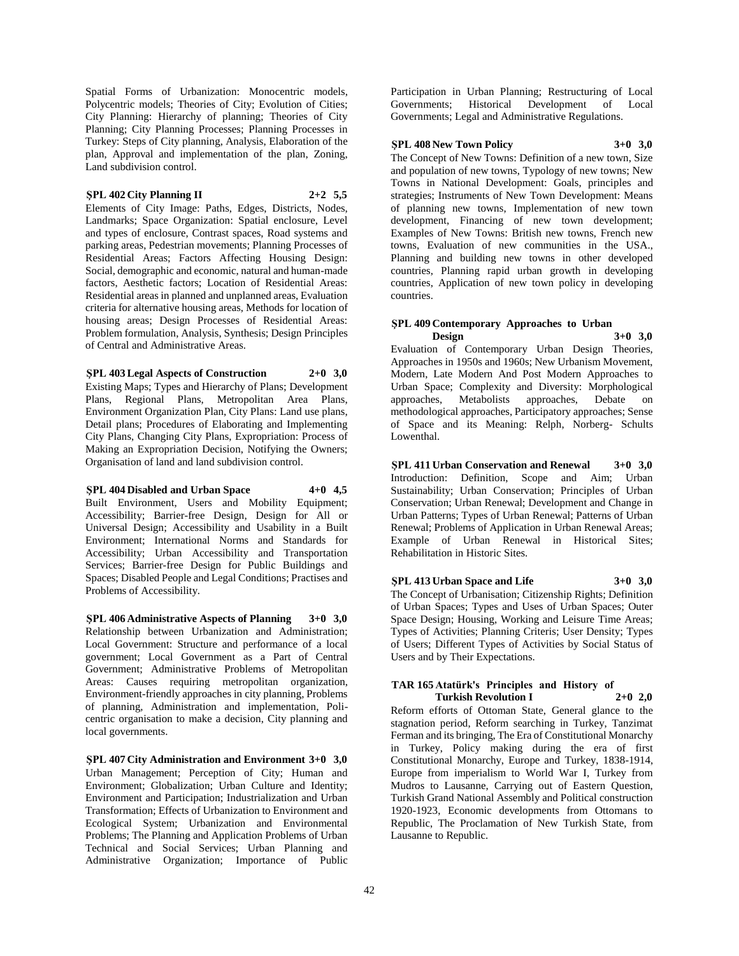Spatial Forms of Urbanization: Monocentric models, Polycentric models; Theories of City; Evolution of Cities; City Planning: Hierarchy of planning; Theories of City Planning; City Planning Processes; Planning Processes in Turkey: Steps of City planning, Analysis, Elaboration of the plan, Approval and implementation of the plan, Zoning, Land subdivision control.

#### **ŞPL 402 City Planning II 2+2 5,5**

Elements of City Image: Paths, Edges, Districts, Nodes, Landmarks; Space Organization: Spatial enclosure, Level and types of enclosure, Contrast spaces, Road systems and parking areas, Pedestrian movements; Planning Processes of Residential Areas; Factors Affecting Housing Design: Social, demographic and economic, natural and human-made factors, Aesthetic factors; Location of Residential Areas: Residential areas in planned and unplanned areas, Evaluation criteria for alternative housing areas, Methods for location of housing areas; Design Processes of Residential Areas: Problem formulation, Analysis, Synthesis; Design Principles of Central and Administrative Areas.

**ŞPL 403 Legal Aspects of Construction 2+0 3,0** Existing Maps; Types and Hierarchy of Plans; Development Plans, Regional Plans, Metropolitan Area Plans, Environment Organization Plan, City Plans: Land use plans, Detail plans; Procedures of Elaborating and Implementing City Plans, Changing City Plans, Expropriation: Process of Making an Expropriation Decision, Notifying the Owners; Organisation of land and land subdivision control.

**ŞPL 404 Disabled and Urban Space 4+0 4,5** Built Environment, Users and Mobility Equipment; Accessibility; Barrier-free Design, Design for All or Universal Design; Accessibility and Usability in a Built Environment; International Norms and Standards for Accessibility; Urban Accessibility and Transportation Services; Barrier-free Design for Public Buildings and Spaces; Disabled People and Legal Conditions; Practises and Problems of Accessibility.

**ŞPL 406 Administrative Aspects of Planning 3+0 3,0** Relationship between Urbanization and Administration; Local Government: Structure and performance of a local government; Local Government as a Part of Central Government; Administrative Problems of Metropolitan Areas: Causes requiring metropolitan organization, Environment-friendly approaches in city planning, Problems of planning, Administration and implementation, Policentric organisation to make a decision, City planning and local governments.

**ŞPL 407 City Administration and Environment 3+0 3,0** Urban Management; Perception of City; Human and Environment; Globalization; Urban Culture and Identity; Environment and Participation; Industrialization and Urban Transformation; Effects of Urbanization to Environment and Ecological System; Urbanization and Environmental Problems; The Planning and Application Problems of Urban Technical and Social Services; Urban Planning and Administrative Organization; Importance of Public

Participation in Urban Planning; Restructuring of Local Governments; Historical Development of Local Governments; Legal and Administrative Regulations.

#### **ŞPL 408 New Town Policy 3+0 3,0**

The Concept of New Towns: Definition of a new town, Size and population of new towns, Typology of new towns; New Towns in National Development: Goals, principles and strategies; Instruments of New Town Development: Means of planning new towns, Implementation of new town development, Financing of new town development; Examples of New Towns: British new towns, French new towns, Evaluation of new communities in the USA., Planning and building new towns in other developed countries, Planning rapid urban growth in developing countries, Application of new town policy in developing countries.

## **ŞPL 409 Contemporary Approaches to Urban Design 3+0 3,0**

Evaluation of Contemporary Urban Design Theories, Approaches in 1950s and 1960s; New Urbanism Movement, Modern, Late Modern And Post Modern Approaches to Urban Space; Complexity and Diversity: Morphological approaches, Metabolists approaches, Debate on methodological approaches, Participatory approaches; Sense of Space and its Meaning: Relph, Norberg- Schults Lowenthal.

**ŞPL 411 Urban Conservation and Renewal 3+0 3,0** Introduction: Definition, Scope and Aim; Urban Sustainability; Urban Conservation; Principles of Urban Conservation; Urban Renewal; Development and Change in Urban Patterns; Types of Urban Renewal; Patterns of Urban Renewal; Problems of Application in Urban Renewal Areas; Example of Urban Renewal in Historical Sites; Rehabilitation in Historic Sites.

**ŞPL 413 Urban Space and Life 3+0 3,0** The Concept of Urbanisation; Citizenship Rights; Definition of Urban Spaces; Types and Uses of Urban Spaces; Outer Space Design; Housing, Working and Leisure Time Areas; Types of Activities; Planning Criteris; User Density; Types of Users; Different Types of Activities by Social Status of Users and by Their Expectations.

#### **TAR 165 Atatürk's Principles and History of Turkish Revolution I 2+0 2,0**

Reform efforts of Ottoman State, General glance to the stagnation period, Reform searching in Turkey, Tanzimat Ferman and its bringing, The Era of Constitutional Monarchy in Turkey, Policy making during the era of first Constitutional Monarchy, Europe and Turkey, 1838-1914, Europe from imperialism to World War I, Turkey from Mudros to Lausanne, Carrying out of Eastern Question, Turkish Grand National Assembly and Political construction 1920-1923, Economic developments from Ottomans to Republic, The Proclamation of New Turkish State, from Lausanne to Republic.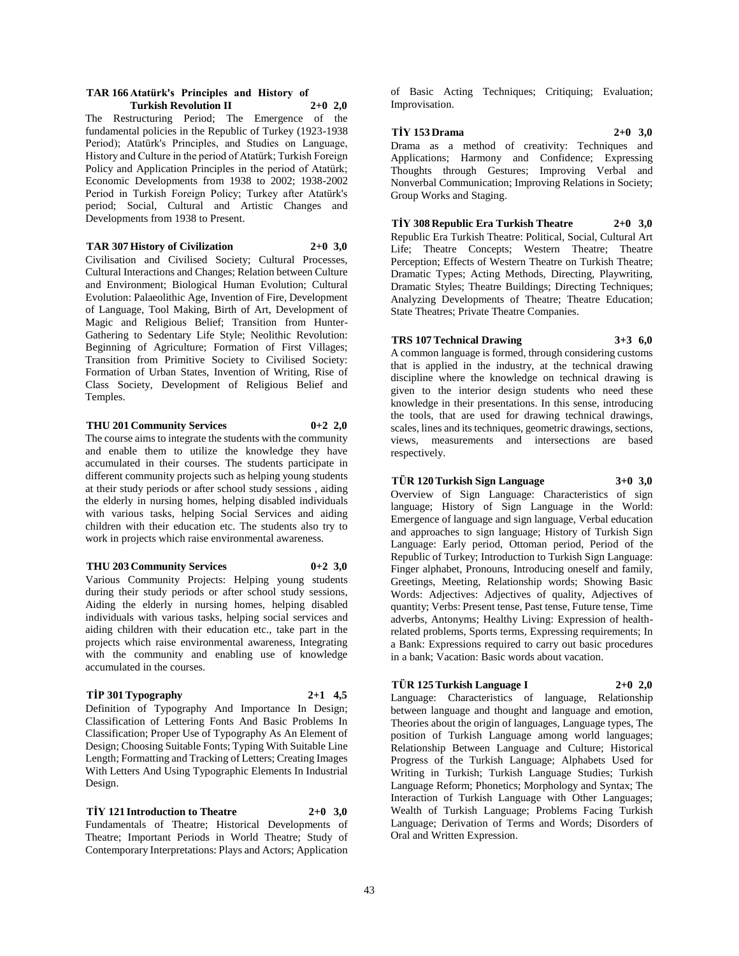#### **TAR 166 Atatürk's Principles and History of Turkish Revolution II 2+0 2,0**

The Restructuring Period; The Emergence of the fundamental policies in the Republic of Turkey (1923-1938 Period); Atatürk's Principles, and Studies on Language, History and Culture in the period of Atatürk; Turkish Foreign Policy and Application Principles in the period of Atatürk; Economic Developments from 1938 to 2002; 1938-2002 Period in Turkish Foreign Policy; Turkey after Atatürk's period; Social, Cultural and Artistic Changes and Developments from 1938 to Present.

#### **TAR 307 History of Civilization 2+0 3,0**

Civilisation and Civilised Society; Cultural Processes, Cultural Interactions and Changes; Relation between Culture and Environment; Biological Human Evolution; Cultural Evolution: Palaeolithic Age, Invention of Fire, Development of Language, Tool Making, Birth of Art, Development of Magic and Religious Belief; Transition from Hunter-Gathering to Sedentary Life Style; Neolithic Revolution: Beginning of Agriculture; Formation of First Villages; Transition from Primitive Society to Civilised Society: Formation of Urban States, Invention of Writing, Rise of Class Society, Development of Religious Belief and Temples.

## **THU 201 Community Services 0+2 2,0**

The course aims to integrate the students with the community and enable them to utilize the knowledge they have accumulated in their courses. The students participate in different community projects such as helping young students at their study periods or after school study sessions , aiding the elderly in nursing homes, helping disabled individuals with various tasks, helping Social Services and aiding children with their education etc. The students also try to work in projects which raise environmental awareness.

#### **THU 203 Community Services 0+2 3,0**

Various Community Projects: Helping young students during their study periods or after school study sessions, Aiding the elderly in nursing homes, helping disabled individuals with various tasks, helping social services and aiding children with their education etc., take part in the projects which raise environmental awareness, Integrating with the community and enabling use of knowledge accumulated in the courses.

#### **TİP 301 Typography 2+1 4,5**

Definition of Typography And Importance In Design; Classification of Lettering Fonts And Basic Problems In Classification; Proper Use of Typography As An Element of Design; Choosing Suitable Fonts; Typing With Suitable Line Length; Formatting and Tracking of Letters; Creating Images With Letters And Using Typographic Elements In Industrial Design.

**TİY 121 Introduction to Theatre 2+0 3,0** Fundamentals of Theatre; Historical Developments of Theatre; Important Periods in World Theatre; Study of Contemporary Interpretations: Plays and Actors; Application of Basic Acting Techniques; Critiquing; Evaluation; Improvisation.

#### **TİY 153 Drama 2+0 3,0**

Drama as a method of creativity: Techniques and Applications; Harmony and Confidence; Expressing Thoughts through Gestures; Improving Verbal and Nonverbal Communication; Improving Relations in Society; Group Works and Staging.

**TİY 308 Republic Era Turkish Theatre 2+0 3,0** Republic Era Turkish Theatre: Political, Social, Cultural Art Life; Theatre Concepts; Western Theatre; Theatre Perception; Effects of Western Theatre on Turkish Theatre; Dramatic Types; Acting Methods, Directing, Playwriting, Dramatic Styles; Theatre Buildings; Directing Techniques; Analyzing Developments of Theatre; Theatre Education; State Theatres; Private Theatre Companies.

#### **TRS 107 Technical Drawing 3+3 6,0**

A common language is formed, through considering customs that is applied in the industry, at the technical drawing discipline where the knowledge on technical drawing is given to the interior design students who need these knowledge in their presentations. In this sense, introducing the tools, that are used for drawing technical drawings, scales, lines and its techniques, geometric drawings, sections, views, measurements and intersections are based respectively.

## **TÜR 120 Turkish Sign Language 3+0 3,0**

Overview of Sign Language: Characteristics of sign language; History of Sign Language in the World: Emergence of language and sign language, Verbal education and approaches to sign language; History of Turkish Sign Language: Early period, Ottoman period, Period of the Republic of Turkey; Introduction to Turkish Sign Language: Finger alphabet, Pronouns, Introducing oneself and family, Greetings, Meeting, Relationship words; Showing Basic Words: Adjectives: Adjectives of quality, Adjectives of quantity; Verbs: Present tense, Past tense, Future tense, Time adverbs, Antonyms; Healthy Living: Expression of healthrelated problems, Sports terms, Expressing requirements; In a Bank: Expressions required to carry out basic procedures in a bank; Vacation: Basic words about vacation.

#### **TÜR 125 Turkish Language I 2+0 2,0**

Language: Characteristics of language, Relationship between language and thought and language and emotion, Theories about the origin of languages, Language types, The position of Turkish Language among world languages; Relationship Between Language and Culture; Historical Progress of the Turkish Language; Alphabets Used for Writing in Turkish; Turkish Language Studies; Turkish Language Reform; Phonetics; Morphology and Syntax; The Interaction of Turkish Language with Other Languages; Wealth of Turkish Language; Problems Facing Turkish Language; Derivation of Terms and Words; Disorders of Oral and Written Expression.